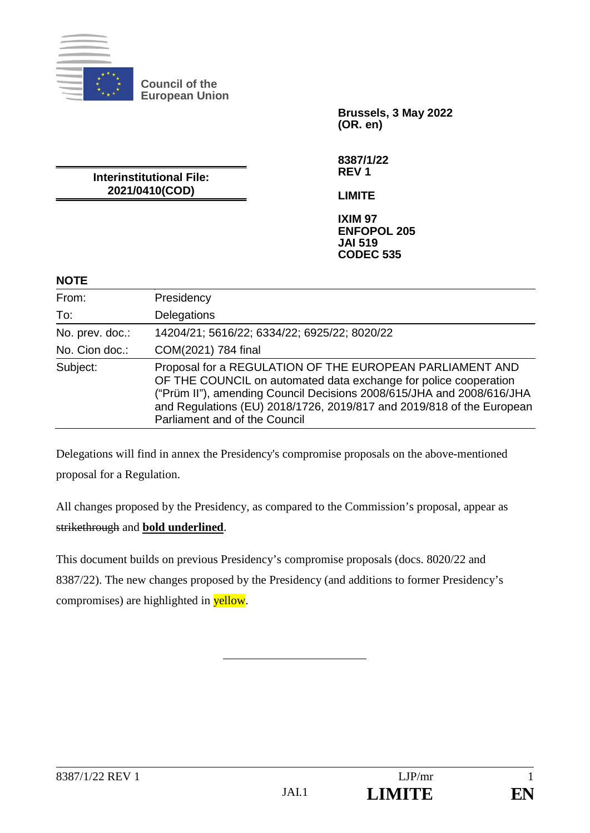

**Council of the European Union**

> **Brussels, 3 May 2022 (OR. en)**

**8387/1/22 REV 1**

**LIMITE**

**Interinstitutional File: 2021/0410(COD)**

> **IXIM 97 ENFOPOL 205 JAI 519 CODEC 535**

### **NOTE**

| From:           | Presidency                                                                                                                                                                                                                                                                                                      |
|-----------------|-----------------------------------------------------------------------------------------------------------------------------------------------------------------------------------------------------------------------------------------------------------------------------------------------------------------|
| To:             | Delegations                                                                                                                                                                                                                                                                                                     |
| No. prev. doc.: | 14204/21; 5616/22; 6334/22; 6925/22; 8020/22                                                                                                                                                                                                                                                                    |
| No. Cion doc.:  | COM(2021) 784 final                                                                                                                                                                                                                                                                                             |
| Subject:        | Proposal for a REGULATION OF THE EUROPEAN PARLIAMENT AND<br>OF THE COUNCIL on automated data exchange for police cooperation<br>("Prüm II"), amending Council Decisions 2008/615/JHA and 2008/616/JHA<br>and Regulations (EU) 2018/1726, 2019/817 and 2019/818 of the European<br>Parliament and of the Council |

Delegations will find in annex the Presidency's compromise proposals on the above-mentioned proposal for a Regulation.

All changes proposed by the Presidency, as compared to the Commission's proposal, appear as strikethrough and **bold underlined**.

This document builds on previous Presidency's compromise proposals (docs. 8020/22 and 8387/22). The new changes proposed by the Presidency (and additions to former Presidency's compromises) are highlighted in yellow.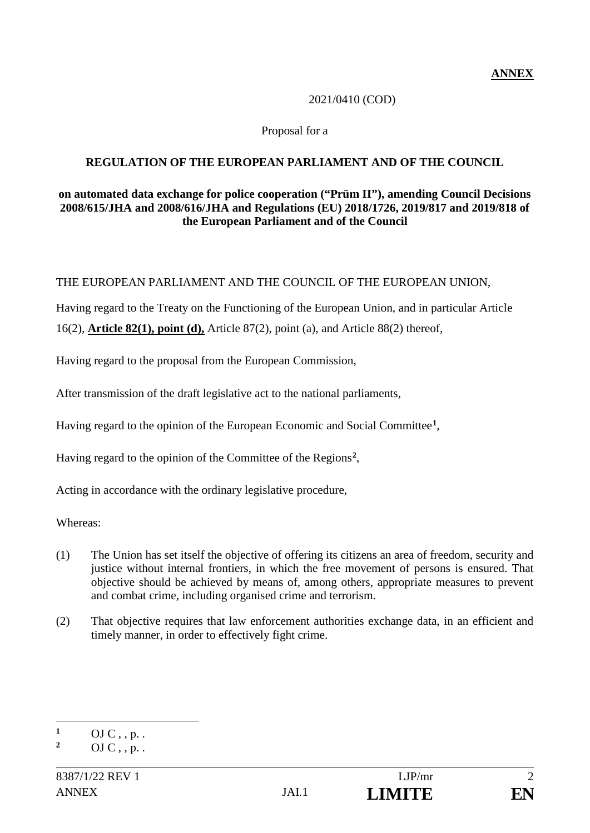## 2021/0410 (COD)

### Proposal for a

## **REGULATION OF THE EUROPEAN PARLIAMENT AND OF THE COUNCIL**

### **on automated data exchange for police cooperation ("Prüm II"), amending Council Decisions 2008/615/JHA and 2008/616/JHA and Regulations (EU) 2018/1726, 2019/817 and 2019/818 of the European Parliament and of the Council**

THE EUROPEAN PARLIAMENT AND THE COUNCIL OF THE EUROPEAN UNION,

Having regard to the Treaty on the Functioning of the European Union, and in particular Article

16(2), **Article 82(1), point (d),** Article 87(2), point (a), and Article 88(2) thereof,

Having regard to the proposal from the European Commission,

After transmission of the draft legislative act to the national parliaments,

Having regard to the opinion of the European Economic and Social Committee**<sup>1</sup>**,

Having regard to the opinion of the Committee of the Regions**<sup>2</sup>**,

Acting in accordance with the ordinary legislative procedure,

Whereas:

- (1) The Union has set itself the objective of offering its citizens an area of freedom, security and justice without internal frontiers, in which the free movement of persons is ensured. That objective should be achieved by means of, among others, appropriate measures to prevent and combat crime, including organised crime and terrorism.
- (2) That objective requires that law enforcement authorities exchange data, in an efficient and timely manner, in order to effectively fight crime.

 $\mathbf{1}$  $\frac{1}{2}$  OJ C, , p. .

**<sup>2</sup>** OJ C , , p. .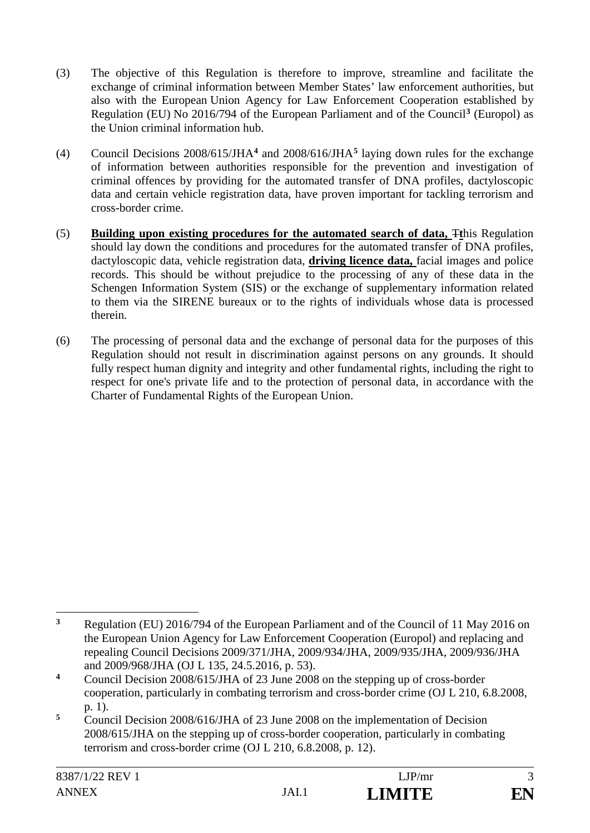- (3) The objective of this Regulation is therefore to improve, streamline and facilitate the exchange of criminal information between Member States' law enforcement authorities, but also with the European Union Agency for Law Enforcement Cooperation established by Regulation (EU) No 2016/794 of the European Parliament and of the Council**<sup>3</sup>** (Europol) as the Union criminal information hub.
- (4) Council Decisions 2008/615/JHA**<sup>4</sup>** and 2008/616/JHA**<sup>5</sup>** laying down rules for the exchange of information between authorities responsible for the prevention and investigation of criminal offences by providing for the automated transfer of DNA profiles, dactyloscopic data and certain vehicle registration data, have proven important for tackling terrorism and cross-border crime.
- (5) **Building upon existing procedures for the automated search of data,** T**t**his Regulation should lay down the conditions and procedures for the automated transfer of DNA profiles, dactyloscopic data, vehicle registration data, **driving licence data,** facial images and police records. This should be without prejudice to the processing of any of these data in the Schengen Information System (SIS) or the exchange of supplementary information related to them via the SIRENE bureaux or to the rights of individuals whose data is processed therein.
- (6) The processing of personal data and the exchange of personal data for the purposes of this Regulation should not result in discrimination against persons on any grounds. It should fully respect human dignity and integrity and other fundamental rights, including the right to respect for one's private life and to the protection of personal data, in accordance with the Charter of Fundamental Rights of the European Union.

 $\overline{\mathbf{3}}$ **<sup>3</sup>** Regulation (EU) 2016/794 of the European Parliament and of the Council of 11 May 2016 on the European Union Agency for Law Enforcement Cooperation (Europol) and replacing and repealing Council Decisions 2009/371/JHA, 2009/934/JHA, 2009/935/JHA, 2009/936/JHA and 2009/968/JHA (OJ L 135, 24.5.2016, p. 53).

**<sup>4</sup>** Council Decision 2008/615/JHA of 23 June 2008 on the stepping up of cross-border cooperation, particularly in combating terrorism and cross-border crime (OJ L 210, 6.8.2008, p. 1).

**<sup>5</sup>** Council Decision 2008/616/JHA of 23 June 2008 on the implementation of Decision 2008/615/JHA on the stepping up of cross-border cooperation, particularly in combating terrorism and cross-border crime (OJ L 210, 6.8.2008, p. 12).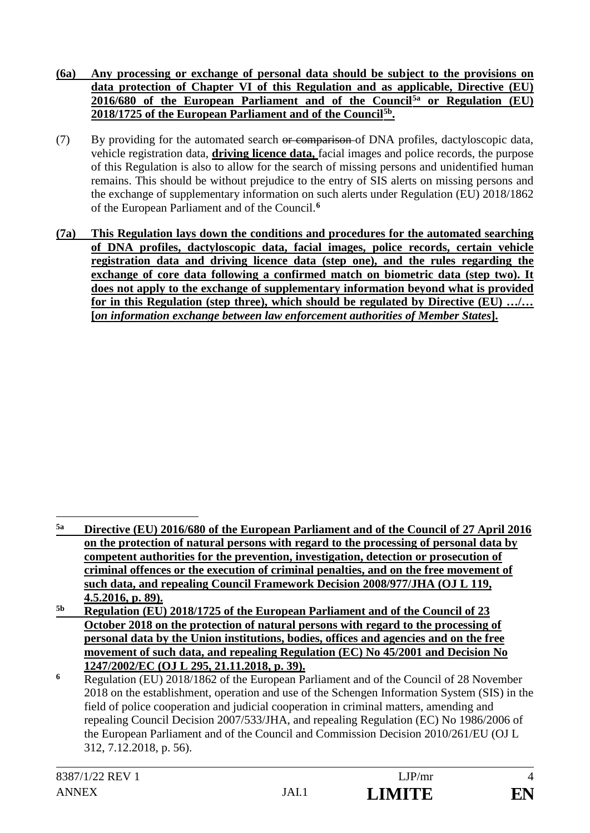- **(6a) Any processing or exchange of personal data should be subject to the provisions on data protection of Chapter VI of this Regulation and as applicable, Directive (EU) 2016/680 of the European Parliament and of the Council5a or Regulation (EU) 2018/1725 of the European Parliament and of the Council5b.**
- (7) By providing for the automated search or comparison of DNA profiles, dactyloscopic data, vehicle registration data, **driving licence data,** facial images and police records, the purpose of this Regulation is also to allow for the search of missing persons and unidentified human remains. This should be without prejudice to the entry of SIS alerts on missing persons and the exchange of supplementary information on such alerts under Regulation (EU) 2018/1862 of the European Parliament and of the Council.**<sup>6</sup>**
- **(7a) This Regulation lays down the conditions and procedures for the automated searching of DNA profiles, dactyloscopic data, facial images, police records, certain vehicle registration data and driving licence data (step one), and the rules regarding the exchange of core data following a confirmed match on biometric data (step two). It does not apply to the exchange of supplementary information beyond what is provided for in this Regulation (step three), which should be regulated by Directive (EU) …/… [***on information exchange between law enforcement authorities of Member States***].**

**5b Regulation (EU) 2018/1725 of the European Parliament and of the Council of 23 October 2018 on the protection of natural persons with regard to the processing of personal data by the Union institutions, bodies, offices and agencies and on the free movement of such data, and repealing Regulation (EC) No 45/2001 and Decision No 1247/2002/EC (OJ L 295, 21.11.2018, p. 39).** 

<sup>&</sup>lt;u>.</u> **5a Directive (EU) 2016/680 of the European Parliament and of the Council of 27 April 2016 on the protection of natural persons with regard to the processing of personal data by competent authorities for the prevention, investigation, detection or prosecution of criminal offences or the execution of criminal penalties, and on the free movement of such data, and repealing Council Framework Decision 2008/977/JHA (OJ L 119, 4.5.2016, p. 89).**

**<sup>6</sup>** Regulation (EU) 2018/1862 of the European Parliament and of the Council of 28 November 2018 on the establishment, operation and use of the Schengen Information System (SIS) in the field of police cooperation and judicial cooperation in criminal matters, amending and repealing Council Decision 2007/533/JHA, and repealing Regulation (EC) No 1986/2006 of the European Parliament and of the Council and Commission Decision 2010/261/EU (OJ L 312, 7.12.2018, p. 56).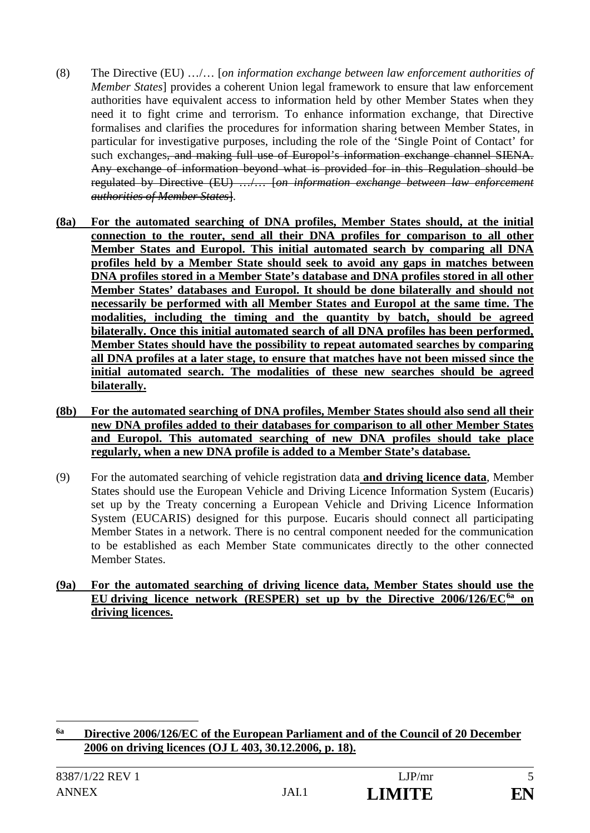- (8) The Directive (EU) …/… [*on information exchange between law enforcement authorities of Member States*] provides a coherent Union legal framework to ensure that law enforcement authorities have equivalent access to information held by other Member States when they need it to fight crime and terrorism. To enhance information exchange, that Directive formalises and clarifies the procedures for information sharing between Member States, in particular for investigative purposes, including the role of the 'Single Point of Contact' for such exchanges, and making full use of Europol's information exchange channel SIENA. Any exchange of information beyond what is provided for in this Regulation should be regulated by Directive (EU) …/… [*on information exchange between law enforcement authorities of Member States*].
- **(8a) For the automated searching of DNA profiles, Member States should, at the initial connection to the router, send all their DNA profiles for comparison to all other Member States and Europol. This initial automated search by comparing all DNA profiles held by a Member State should seek to avoid any gaps in matches between DNA profiles stored in a Member State's database and DNA profiles stored in all other Member States' databases and Europol. It should be done bilaterally and should not necessarily be performed with all Member States and Europol at the same time. The modalities, including the timing and the quantity by batch, should be agreed bilaterally. Once this initial automated search of all DNA profiles has been performed, Member States should have the possibility to repeat automated searches by comparing all DNA profiles at a later stage, to ensure that matches have not been missed since the initial automated search. The modalities of these new searches should be agreed bilaterally.**
- **(8b) For the automated searching of DNA profiles, Member States should also send all their new DNA profiles added to their databases for comparison to all other Member States and Europol. This automated searching of new DNA profiles should take place regularly, when a new DNA profile is added to a Member State's database.**
- (9) For the automated searching of vehicle registration data **and driving licence data**, Member States should use the European Vehicle and Driving Licence Information System (Eucaris) set up by the Treaty concerning a European Vehicle and Driving Licence Information System (EUCARIS) designed for this purpose. Eucaris should connect all participating Member States in a network. There is no central component needed for the communication to be established as each Member State communicates directly to the other connected Member States.
- **(9a) For the automated searching of driving licence data, Member States should use the EU driving licence network (RESPER) set up by the Directive 2006/126/EC6a on driving licences.**

<u>.</u>

**<sup>6</sup>a Directive 2006/126/EC of the European Parliament and of the Council of 20 December 2006 on driving licences (OJ L 403, 30.12.2006, p. 18).**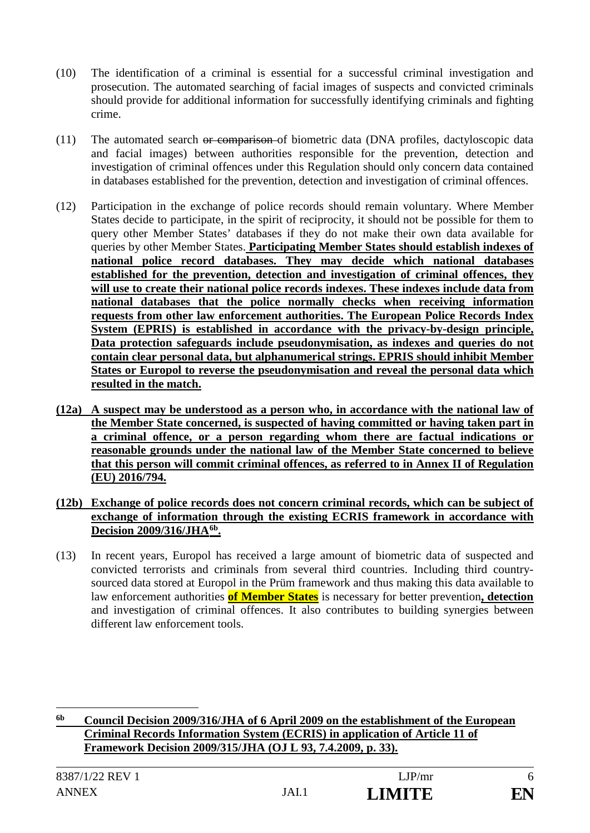- (10) The identification of a criminal is essential for a successful criminal investigation and prosecution. The automated searching of facial images of suspects and convicted criminals should provide for additional information for successfully identifying criminals and fighting crime.
- (11) The automated search or comparison of biometric data (DNA profiles, dactyloscopic data and facial images) between authorities responsible for the prevention, detection and investigation of criminal offences under this Regulation should only concern data contained in databases established for the prevention, detection and investigation of criminal offences.
- (12) Participation in the exchange of police records should remain voluntary. Where Member States decide to participate, in the spirit of reciprocity, it should not be possible for them to query other Member States' databases if they do not make their own data available for queries by other Member States. **Participating Member States should establish indexes of national police record databases. They may decide which national databases established for the prevention, detection and investigation of criminal offences, they will use to create their national police records indexes. These indexes include data from national databases that the police normally checks when receiving information requests from other law enforcement authorities. The European Police Records Index System (EPRIS) is established in accordance with the privacy-by-design principle, Data protection safeguards include pseudonymisation, as indexes and queries do not contain clear personal data, but alphanumerical strings. EPRIS should inhibit Member States or Europol to reverse the pseudonymisation and reveal the personal data which resulted in the match.**
- **(12a) A suspect may be understood as a person who, in accordance with the national law of the Member State concerned, is suspected of having committed or having taken part in a criminal offence, or a person regarding whom there are factual indications or reasonable grounds under the national law of the Member State concerned to believe that this person will commit criminal offences, as referred to in Annex II of Regulation (EU) 2016/794.**
- **(12b) Exchange of police records does not concern criminal records, which can be subject of exchange of information through the existing ECRIS framework in accordance with Decision 2009/316/JHA6b.**
- (13) In recent years, Europol has received a large amount of biometric data of suspected and convicted terrorists and criminals from several third countries. Including third countrysourced data stored at Europol in the Prüm framework and thus making this data available to law enforcement authorities **of Member States** is necessary for better prevention**, detection** and investigation of criminal offences. It also contributes to building synergies between different law enforcement tools.

**6b Council Decision 2009/316/JHA of 6 April 2009 on the establishment of the European Criminal Records Information System (ECRIS) in application of Article 11 of Framework Decision 2009/315/JHA (OJ L 93, 7.4.2009, p. 33).**

<u>.</u>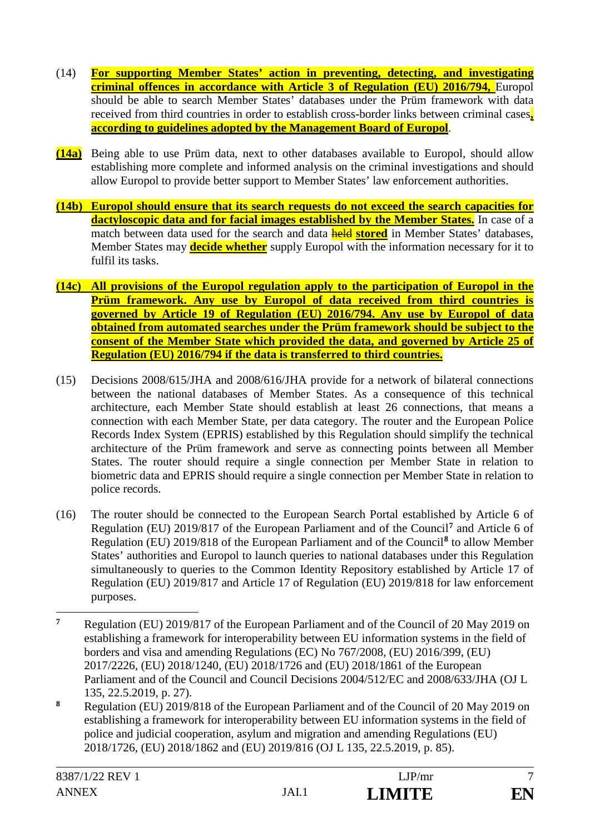- (14) **For supporting Member States' action in preventing, detecting, and investigating criminal offences in accordance with Article 3 of Regulation (EU) 2016/794,** Europol should be able to search Member States' databases under the Prüm framework with data received from third countries in order to establish cross-border links between criminal cases**, according to guidelines adopted by the Management Board of Europol**.
- **(14a)** Being able to use Prüm data, next to other databases available to Europol, should allow establishing more complete and informed analysis on the criminal investigations and should allow Europol to provide better support to Member States' law enforcement authorities.
- **(14b) Europol should ensure that its search requests do not exceed the search capacities for dactyloscopic data and for facial images established by the Member States.** In case of a match between data used for the search and data **held stored** in Member States' databases, Member States may **decide whether** supply Europol with the information necessary for it to fulfil its tasks.
- **(14c) All provisions of the Europol regulation apply to the participation of Europol in the Prüm framework. Any use by Europol of data received from third countries is governed by Article 19 of Regulation (EU) 2016/794. Any use by Europol of data obtained from automated searches under the Prüm framework should be subject to the consent of the Member State which provided the data, and governed by Article 25 of Regulation (EU) 2016/794 if the data is transferred to third countries.**
- (15) Decisions 2008/615/JHA and 2008/616/JHA provide for a network of bilateral connections between the national databases of Member States. As a consequence of this technical architecture, each Member State should establish at least 26 connections, that means a connection with each Member State, per data category. The router and the European Police Records Index System (EPRIS) established by this Regulation should simplify the technical architecture of the Prüm framework and serve as connecting points between all Member States. The router should require a single connection per Member State in relation to biometric data and EPRIS should require a single connection per Member State in relation to police records.
- (16) The router should be connected to the European Search Portal established by Article 6 of Regulation (EU) 2019/817 of the European Parliament and of the Council**<sup>7</sup>** and Article 6 of Regulation (EU) 2019/818 of the European Parliament and of the Council**<sup>8</sup>** to allow Member States' authorities and Europol to launch queries to national databases under this Regulation simultaneously to queries to the Common Identity Repository established by Article 17 of Regulation (EU) 2019/817 and Article 17 of Regulation (EU) 2019/818 for law enforcement purposes.
- $\overline{7}$ **<sup>7</sup>** Regulation (EU) 2019/817 of the European Parliament and of the Council of 20 May 2019 on establishing a framework for interoperability between EU information systems in the field of borders and visa and amending Regulations (EC) No 767/2008, (EU) 2016/399, (EU) 2017/2226, (EU) 2018/1240, (EU) 2018/1726 and (EU) 2018/1861 of the European Parliament and of the Council and Council Decisions 2004/512/EC and 2008/633/JHA (OJ L 135, 22.5.2019, p. 27).
- **<sup>8</sup>** Regulation (EU) 2019/818 of the European Parliament and of the Council of 20 May 2019 on establishing a framework for interoperability between EU information systems in the field of police and judicial cooperation, asylum and migration and amending Regulations (EU) 2018/1726, (EU) 2018/1862 and (EU) 2019/816 (OJ L 135, 22.5.2019, p. 85).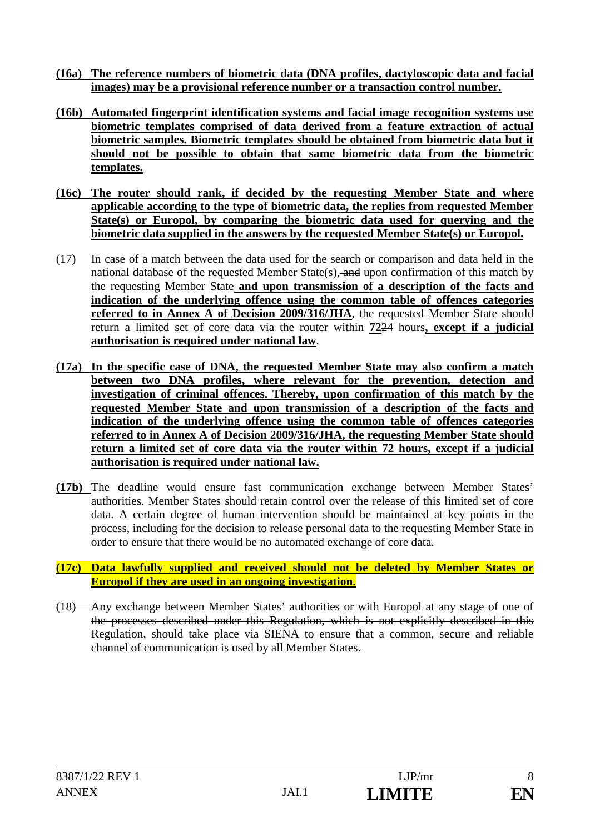- **(16a) The reference numbers of biometric data (DNA profiles, dactyloscopic data and facial images) may be a provisional reference number or a transaction control number.**
- **(16b) Automated fingerprint identification systems and facial image recognition systems use biometric templates comprised of data derived from a feature extraction of actual biometric samples. Biometric templates should be obtained from biometric data but it should not be possible to obtain that same biometric data from the biometric templates.**
- **(16c) The router should rank, if decided by the requesting Member State and where applicable according to the type of biometric data, the replies from requested Member State(s) or Europol, by comparing the biometric data used for querying and the biometric data supplied in the answers by the requested Member State(s) or Europol.**
- (17) In case of a match between the data used for the search or comparison and data held in the national database of the requested Member State(s), and upon confirmation of this match by the requesting Member State **and upon transmission of a description of the facts and indication of the underlying offence using the common table of offences categories referred to in Annex A of Decision 2009/316/JHA**, the requested Member State should return a limited set of core data via the router within **72**24 hours**, except if a judicial authorisation is required under national law**.
- **(17a) In the specific case of DNA, the requested Member State may also confirm a match between two DNA profiles, where relevant for the prevention, detection and investigation of criminal offences. Thereby, upon confirmation of this match by the requested Member State and upon transmission of a description of the facts and indication of the underlying offence using the common table of offences categories referred to in Annex A of Decision 2009/316/JHA, the requesting Member State should return a limited set of core data via the router within 72 hours, except if a judicial authorisation is required under national law.**
- **(17b)** The deadline would ensure fast communication exchange between Member States' authorities. Member States should retain control over the release of this limited set of core data. A certain degree of human intervention should be maintained at key points in the process, including for the decision to release personal data to the requesting Member State in order to ensure that there would be no automated exchange of core data.
- **(17c) Data lawfully supplied and received should not be deleted by Member States or Europol if they are used in an ongoing investigation.**
- (18) Any exchange between Member States' authorities or with Europol at any stage of one of the processes described under this Regulation, which is not explicitly described in this Regulation, should take place via SIENA to ensure that a common, secure and reliable channel of communication is used by all Member States.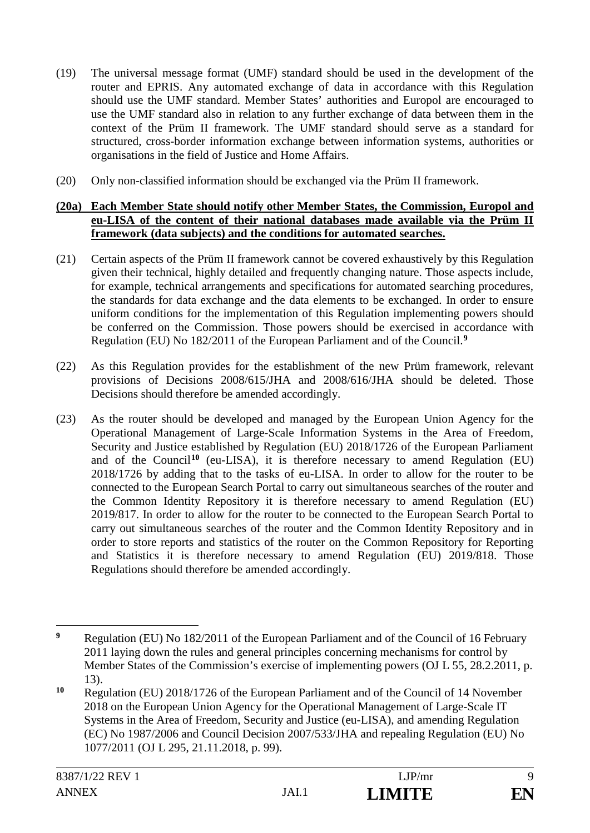- (19) The universal message format (UMF) standard should be used in the development of the router and EPRIS. Any automated exchange of data in accordance with this Regulation should use the UMF standard. Member States' authorities and Europol are encouraged to use the UMF standard also in relation to any further exchange of data between them in the context of the Prüm II framework. The UMF standard should serve as a standard for structured, cross-border information exchange between information systems, authorities or organisations in the field of Justice and Home Affairs.
- (20) Only non-classified information should be exchanged via the Prüm II framework.

#### **(20a) Each Member State should notify other Member States, the Commission, Europol and eu-LISA of the content of their national databases made available via the Prüm II framework (data subjects) and the conditions for automated searches.**

- (21) Certain aspects of the Prüm II framework cannot be covered exhaustively by this Regulation given their technical, highly detailed and frequently changing nature. Those aspects include, for example, technical arrangements and specifications for automated searching procedures, the standards for data exchange and the data elements to be exchanged. In order to ensure uniform conditions for the implementation of this Regulation implementing powers should be conferred on the Commission. Those powers should be exercised in accordance with Regulation (EU) No 182/2011 of the European Parliament and of the Council.**<sup>9</sup>**
- (22) As this Regulation provides for the establishment of the new Prüm framework, relevant provisions of Decisions 2008/615/JHA and 2008/616/JHA should be deleted. Those Decisions should therefore be amended accordingly.
- (23) As the router should be developed and managed by the European Union Agency for the Operational Management of Large-Scale Information Systems in the Area of Freedom, Security and Justice established by Regulation (EU) 2018/1726 of the European Parliament and of the Council**<sup>10</sup>** (eu-LISA), it is therefore necessary to amend Regulation (EU) 2018/1726 by adding that to the tasks of eu-LISA. In order to allow for the router to be connected to the European Search Portal to carry out simultaneous searches of the router and the Common Identity Repository it is therefore necessary to amend Regulation (EU) 2019/817. In order to allow for the router to be connected to the European Search Portal to carry out simultaneous searches of the router and the Common Identity Repository and in order to store reports and statistics of the router on the Common Repository for Reporting and Statistics it is therefore necessary to amend Regulation (EU) 2019/818. Those Regulations should therefore be amended accordingly.

 $\overline{9}$ **<sup>9</sup>** Regulation (EU) No 182/2011 of the European Parliament and of the Council of 16 February 2011 laying down the rules and general principles concerning mechanisms for control by Member States of the Commission's exercise of implementing powers (OJ L 55, 28.2.2011, p. 13).

**<sup>10</sup>** Regulation (EU) 2018/1726 of the European Parliament and of the Council of 14 November 2018 on the European Union Agency for the Operational Management of Large-Scale IT Systems in the Area of Freedom, Security and Justice (eu-LISA), and amending Regulation (EC) No 1987/2006 and Council Decision 2007/533/JHA and repealing Regulation (EU) No 1077/2011 (OJ L 295, 21.11.2018, p. 99).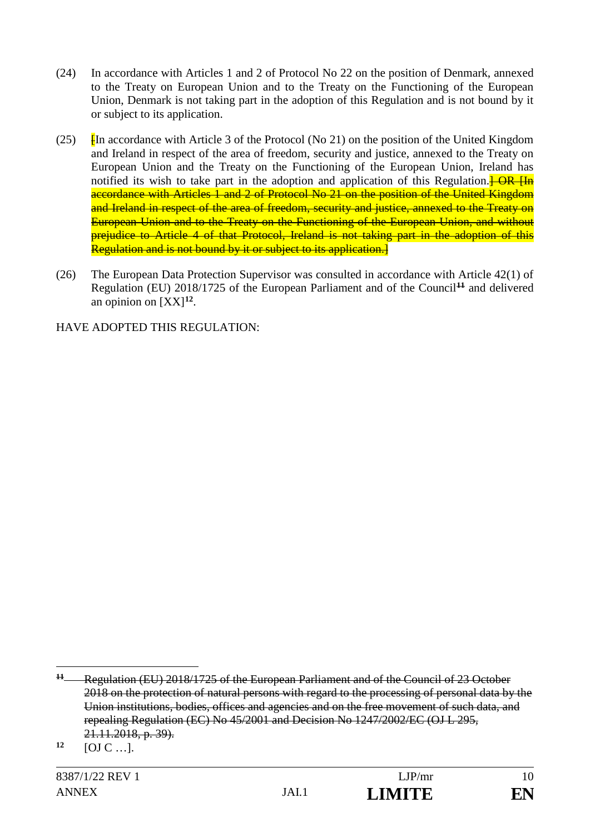- (24) In accordance with Articles 1 and 2 of Protocol No 22 on the position of Denmark, annexed to the Treaty on European Union and to the Treaty on the Functioning of the European Union, Denmark is not taking part in the adoption of this Regulation and is not bound by it or subject to its application.
- (25)  $\frac{1}{2}$  [In accordance with Article 3 of the Protocol (No 21) on the position of the United Kingdom and Ireland in respect of the area of freedom, security and justice, annexed to the Treaty on European Union and the Treaty on the Functioning of the European Union, Ireland has notified its wish to take part in the adoption and application of this Regulation. $\frac{1}{R}$ accordance with Articles 1 and 2 of Protocol No 21 on the position of the United Kingdom and Ireland in respect of the area of freedom, security and justice, annexed to the Treaty on European Union and to the Treaty on the Functioning of the European Union, and without prejudice to Article 4 of that Protocol. Ireland is not taking part in the adoption of this Regulation and is not bound by it or subject to its application.]
- (26) The European Data Protection Supervisor was consulted in accordance with Article 42(1) of Regulation (EU) 2018/1725 of the European Parliament and of the Council**<sup>11</sup>** and delivered an opinion on  $[XX]^{12}$ .

HAVE ADOPTED THIS REGULATION:

<u>.</u>

**<sup>11</sup>** Regulation (EU) 2018/1725 of the European Parliament and of the Council of 23 October 2018 on the protection of natural persons with regard to the processing of personal data by the Union institutions, bodies, offices and agencies and on the free movement of such data, and repealing Regulation (EC) No 45/2001 and Decision No 1247/2002/EC (OJ L 295, 21.11.2018, p. 39).

**<sup>12</sup>** [OJ C …].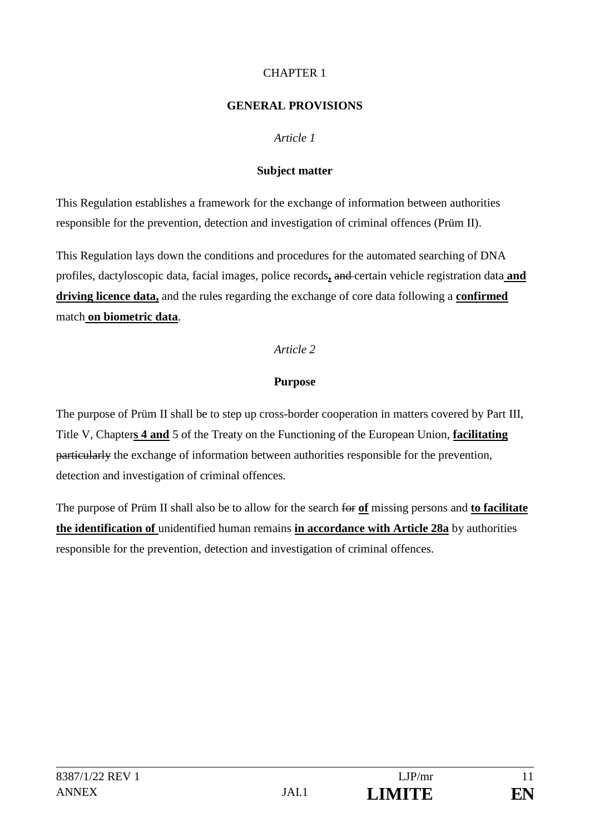## CHAPTER 1

### **GENERAL PROVISIONS**

## *Article 1*

### **Subject matter**

This Regulation establishes a framework for the exchange of information between authorities responsible for the prevention, detection and investigation of criminal offences (Prüm II).

This Regulation lays down the conditions and procedures for the automated searching of DNA profiles, dactyloscopic data, facial images, police records**,** and certain vehicle registration data **and driving licence data,** and the rules regarding the exchange of core data following a **confirmed** match **on biometric data**.

## *Article 2*

## **Purpose**

The purpose of Prüm II shall be to step up cross-border cooperation in matters covered by Part III, Title V, Chapter**s 4 and** 5 of the Treaty on the Functioning of the European Union, **facilitating** particularly the exchange of information between authorities responsible for the prevention, detection and investigation of criminal offences.

The purpose of Prüm II shall also be to allow for the search for **of** missing persons and **to facilitate the identification of** unidentified human remains **in accordance with Article 28a** by authorities responsible for the prevention, detection and investigation of criminal offences.

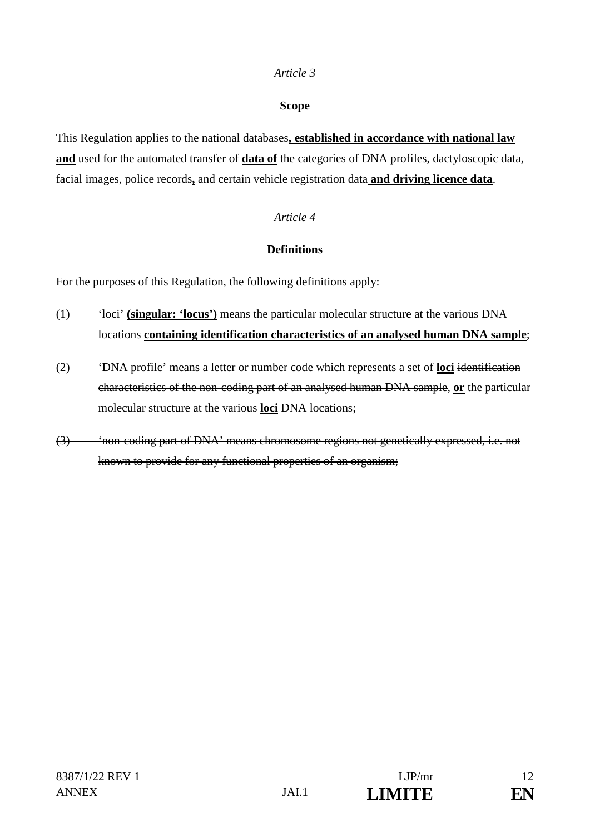### **Scope**

This Regulation applies to the national databases**, established in accordance with national law and** used for the automated transfer of **data of** the categories of DNA profiles, dactyloscopic data, facial images, police records**,** and certain vehicle registration data **and driving licence data**.

## *Article 4*

## **Definitions**

For the purposes of this Regulation, the following definitions apply:

- (1) 'loci' **(singular: 'locus')** means the particular molecular structure at the various DNA locations **containing identification characteristics of an analysed human DNA sample**;
- (2) 'DNA profile' means a letter or number code which represents a set of **loci** identification characteristics of the non coding part of an analysed human DNA sample, **or** the particular molecular structure at the various **loci** DNA locations;
- (3) 'non coding part of DNA' means chromosome regions not genetically expressed, i.e. not known to provide for any functional properties of an organism;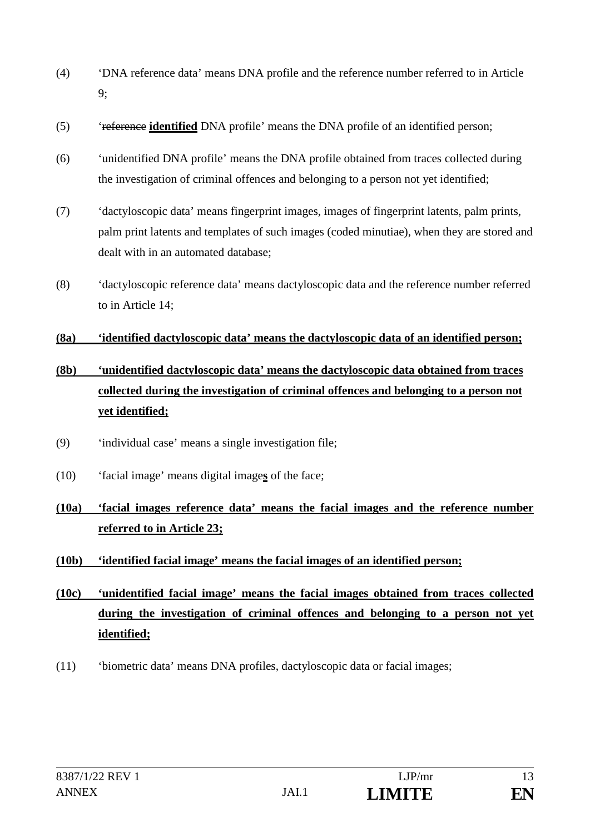- (4) 'DNA reference data' means DNA profile and the reference number referred to in Article 9;
- (5) 'reference **identified** DNA profile' means the DNA profile of an identified person;
- (6) 'unidentified DNA profile' means the DNA profile obtained from traces collected during the investigation of criminal offences and belonging to a person not yet identified;
- (7) 'dactyloscopic data' means fingerprint images, images of fingerprint latents, palm prints, palm print latents and templates of such images (coded minutiae), when they are stored and dealt with in an automated database;
- (8) 'dactyloscopic reference data' means dactyloscopic data and the reference number referred to in Article 14;

### **(8a) 'identified dactyloscopic data' means the dactyloscopic data of an identified person;**

# **(8b) 'unidentified dactyloscopic data' means the dactyloscopic data obtained from traces collected during the investigation of criminal offences and belonging to a person not yet identified;**

- (9) 'individual case' means a single investigation file;
- (10) 'facial image' means digital image**s** of the face;

# **(10a) 'facial images reference data' means the facial images and the reference number referred to in Article 23;**

## **(10b) 'identified facial image' means the facial images of an identified person;**

- **(10c) 'unidentified facial image' means the facial images obtained from traces collected during the investigation of criminal offences and belonging to a person not yet identified;**
- (11) 'biometric data' means DNA profiles, dactyloscopic data or facial images;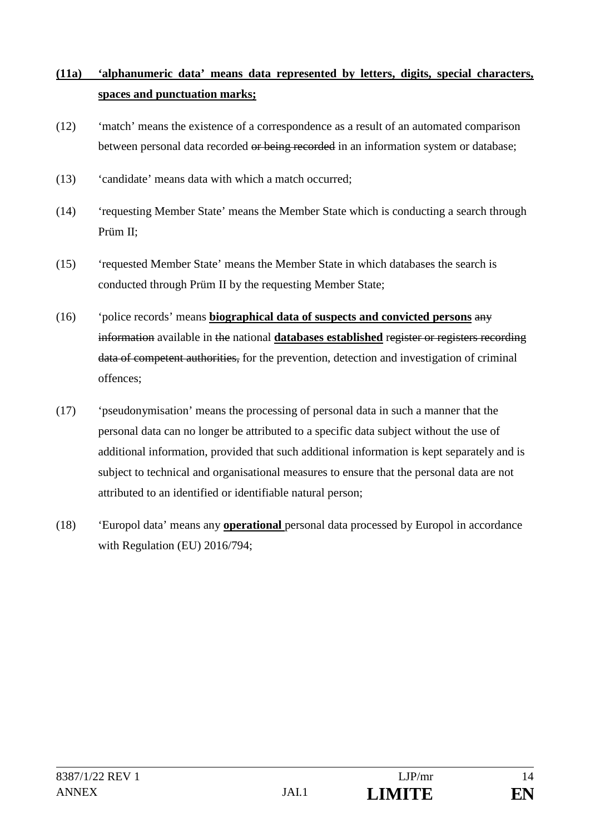# **(11a) 'alphanumeric data' means data represented by letters, digits, special characters, spaces and punctuation marks;**

- (12) 'match' means the existence of a correspondence as a result of an automated comparison between personal data recorded or being recorded in an information system or database;
- (13) 'candidate' means data with which a match occurred;
- (14) 'requesting Member State' means the Member State which is conducting a search through Prüm II;
- (15) 'requested Member State' means the Member State in which databases the search is conducted through Prüm II by the requesting Member State;
- (16) 'police records' means **biographical data of suspects and convicted persons** any information available in the national **databases established** register or registers recording data of competent authorities, for the prevention, detection and investigation of criminal offences;
- (17) 'pseudonymisation' means the processing of personal data in such a manner that the personal data can no longer be attributed to a specific data subject without the use of additional information, provided that such additional information is kept separately and is subject to technical and organisational measures to ensure that the personal data are not attributed to an identified or identifiable natural person;
- (18) 'Europol data' means any **operational** personal data processed by Europol in accordance with Regulation (EU) 2016/794;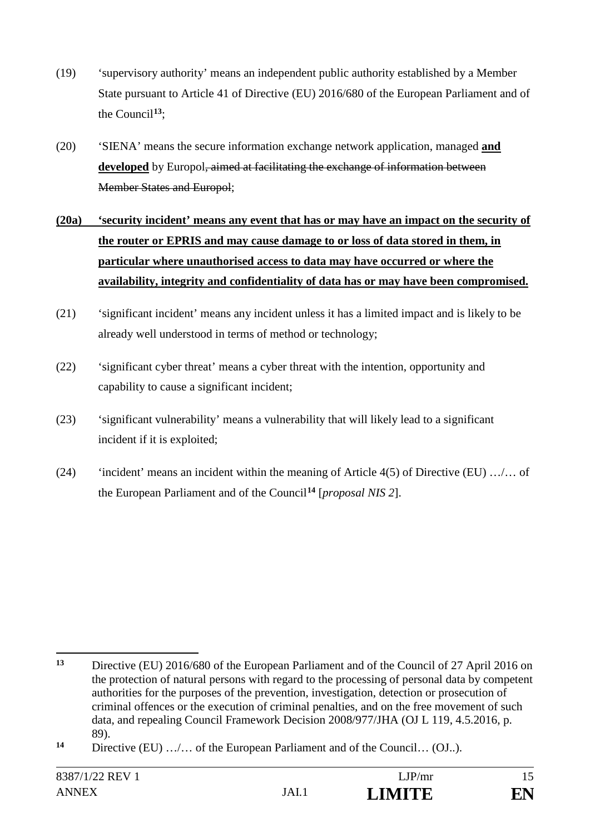- (19) 'supervisory authority' means an independent public authority established by a Member State pursuant to Article 41 of Directive (EU) 2016/680 of the European Parliament and of the Council**<sup>13</sup>**;
- (20) 'SIENA' means the secure information exchange network application, managed **and developed** by Europol, aimed at facilitating the exchange of information between Member States and Europol;
- **(20a) 'security incident' means any event that has or may have an impact on the security of the router or EPRIS and may cause damage to or loss of data stored in them, in particular where unauthorised access to data may have occurred or where the availability, integrity and confidentiality of data has or may have been compromised.**
- (21) 'significant incident' means any incident unless it has a limited impact and is likely to be already well understood in terms of method or technology;
- (22) 'significant cyber threat' means a cyber threat with the intention, opportunity and capability to cause a significant incident;
- (23) 'significant vulnerability' means a vulnerability that will likely lead to a significant incident if it is exploited;
- (24) 'incident' means an incident within the meaning of Article 4(5) of Directive (EU) …/… of the European Parliament and of the Council**<sup>14</sup>** [*proposal NIS 2*].

 $13$ **<sup>13</sup>** Directive (EU) 2016/680 of the European Parliament and of the Council of 27 April 2016 on the protection of natural persons with regard to the processing of personal data by competent authorities for the purposes of the prevention, investigation, detection or prosecution of criminal offences or the execution of criminal penalties, and on the free movement of such data, and repealing Council Framework Decision 2008/977/JHA (OJ L 119, 4.5.2016, p. 89).

**<sup>14</sup>** Directive (EU) …/… of the European Parliament and of the Council… (OJ..).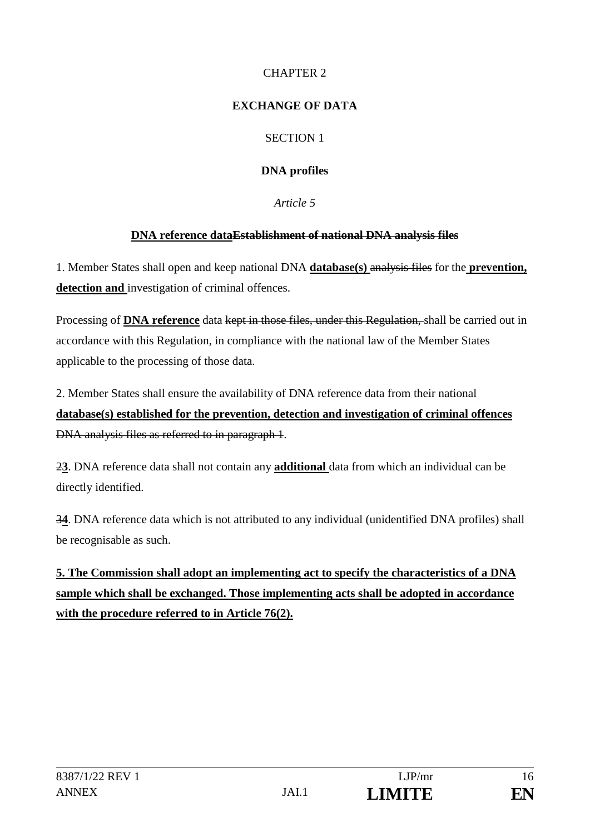# CHAPTER 2

## **EXCHANGE OF DATA**

# SECTION 1

# **DNA profiles**

*Article 5*

# **DNA reference dataEstablishment of national DNA analysis files**

1. Member States shall open and keep national DNA **database(s)** analysis files for the **prevention, detection and** investigation of criminal offences.

Processing of **DNA reference** data kept in those files, under this Regulation, shall be carried out in accordance with this Regulation, in compliance with the national law of the Member States applicable to the processing of those data.

2. Member States shall ensure the availability of DNA reference data from their national **database(s) established for the prevention, detection and investigation of criminal offences**  DNA analysis files as referred to in paragraph 1.

2**3**. DNA reference data shall not contain any **additional** data from which an individual can be directly identified.

3**4**. DNA reference data which is not attributed to any individual (unidentified DNA profiles) shall be recognisable as such.

**5. The Commission shall adopt an implementing act to specify the characteristics of a DNA sample which shall be exchanged. Those implementing acts shall be adopted in accordance with the procedure referred to in Article 76(2).**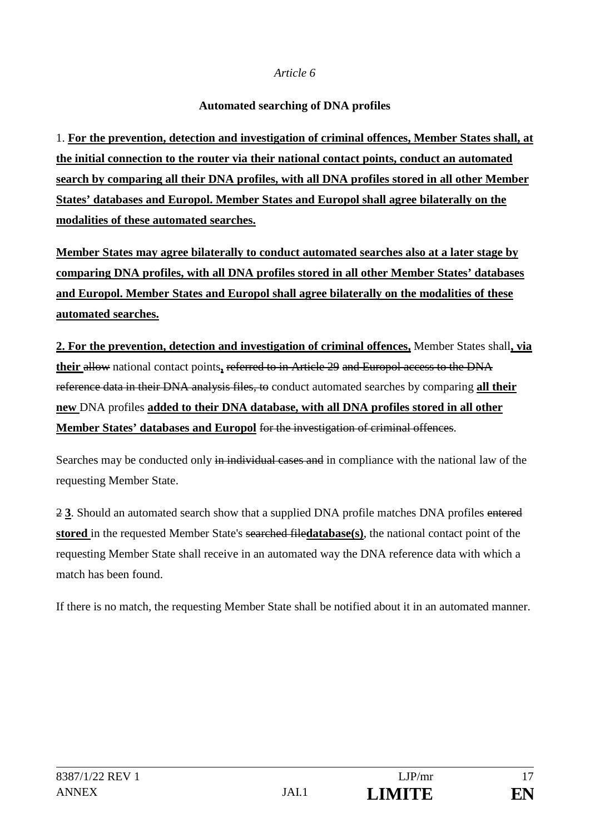## **Automated searching of DNA profiles**

1. **For the prevention, detection and investigation of criminal offences, Member States shall, at the initial connection to the router via their national contact points, conduct an automated search by comparing all their DNA profiles, with all DNA profiles stored in all other Member States' databases and Europol. Member States and Europol shall agree bilaterally on the modalities of these automated searches.**

**Member States may agree bilaterally to conduct automated searches also at a later stage by comparing DNA profiles, with all DNA profiles stored in all other Member States' databases and Europol. Member States and Europol shall agree bilaterally on the modalities of these automated searches.**

**2. For the prevention, detection and investigation of criminal offences,** Member States shall**, via their** allow national contact points**,** referred to in Article 29 and Europol access to the DNA reference data in their DNA analysis files, to conduct automated searches by comparing **all their new** DNA profiles **added to their DNA database, with all DNA profiles stored in all other Member States' databases and Europol** for the investigation of criminal offences.

Searches may be conducted only in individual cases and in compliance with the national law of the requesting Member State.

2 **3**. Should an automated search show that a supplied DNA profile matches DNA profiles entered **stored** in the requested Member State's searched file**database(s)**, the national contact point of the requesting Member State shall receive in an automated way the DNA reference data with which a match has been found.

If there is no match, the requesting Member State shall be notified about it in an automated manner.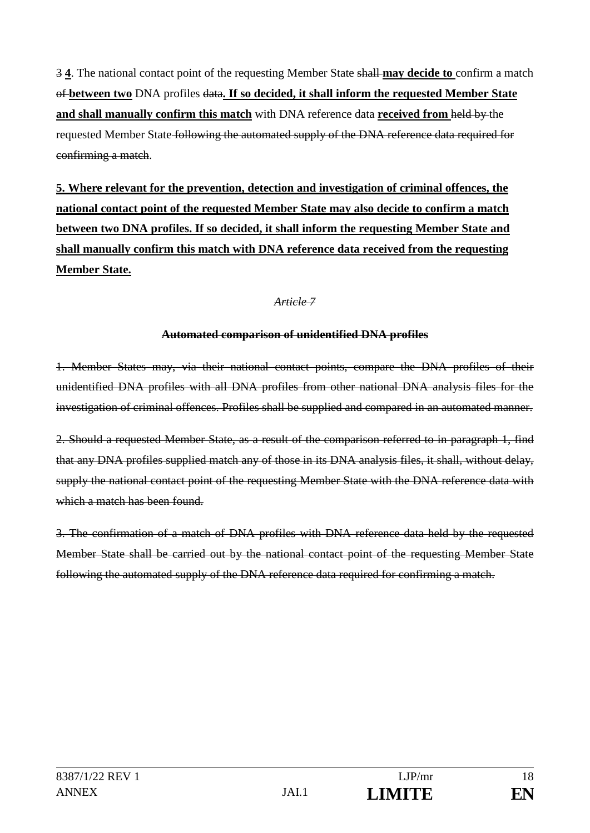3 **4**. The national contact point of the requesting Member State shall **may decide to** confirm a match of **between two** DNA profiles data**. If so decided, it shall inform the requested Member State and shall manually confirm this match** with DNA reference data **received from** held by the requested Member State following the automated supply of the DNA reference data required for confirming a match.

**5. Where relevant for the prevention, detection and investigation of criminal offences, the national contact point of the requested Member State may also decide to confirm a match between two DNA profiles. If so decided, it shall inform the requesting Member State and shall manually confirm this match with DNA reference data received from the requesting Member State.**

## *Article 7*

### **Automated comparison of unidentified DNA profiles**

1. Member States may, via their national contact points, compare the DNA profiles of their unidentified DNA profiles with all DNA profiles from other national DNA analysis files for the investigation of criminal offences. Profiles shall be supplied and compared in an automated manner.

2. Should a requested Member State, as a result of the comparison referred to in paragraph 1, find that any DNA profiles supplied match any of those in its DNA analysis files, it shall, without delay, supply the national contact point of the requesting Member State with the DNA reference data with which a match has been found.

3. The confirmation of a match of DNA profiles with DNA reference data held by the requested Member State shall be carried out by the national contact point of the requesting Member State following the automated supply of the DNA reference data required for confirming a match.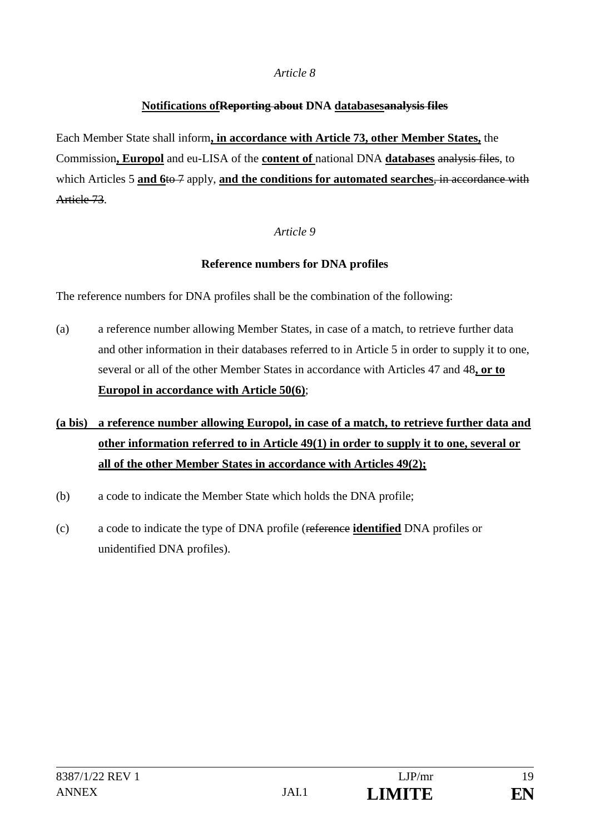## **Notifications ofReporting about DNA databasesanalysis files**

Each Member State shall inform**, in accordance with Article 73, other Member States,** the Commission**, Europol** and eu-LISA of the **content of** national DNA **databases** analysis files, to which Articles 5 **and 6**to 7 apply, **and the conditions for automated searches**, in accordance with Article 73.

### *Article 9*

### **Reference numbers for DNA profiles**

The reference numbers for DNA profiles shall be the combination of the following:

- (a) a reference number allowing Member States, in case of a match, to retrieve further data and other information in their databases referred to in Article 5 in order to supply it to one, several or all of the other Member States in accordance with Articles 47 and 48**, or to Europol in accordance with Article 50(6)**;
- **(a bis) a reference number allowing Europol, in case of a match, to retrieve further data and other information referred to in Article 49(1) in order to supply it to one, several or all of the other Member States in accordance with Articles 49(2);**
- (b) a code to indicate the Member State which holds the DNA profile;
- (c) a code to indicate the type of DNA profile (reference **identified** DNA profiles or unidentified DNA profiles).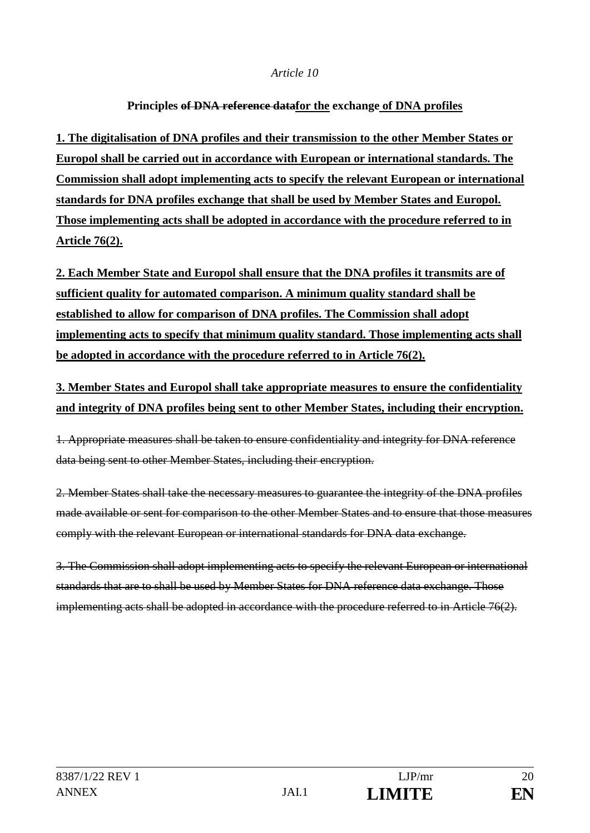### **Principles of DNA reference datafor the exchange of DNA profiles**

**1. The digitalisation of DNA profiles and their transmission to the other Member States or Europol shall be carried out in accordance with European or international standards. The Commission shall adopt implementing acts to specify the relevant European or international standards for DNA profiles exchange that shall be used by Member States and Europol. Those implementing acts shall be adopted in accordance with the procedure referred to in Article 76(2).**

**2. Each Member State and Europol shall ensure that the DNA profiles it transmits are of sufficient quality for automated comparison. A minimum quality standard shall be established to allow for comparison of DNA profiles. The Commission shall adopt implementing acts to specify that minimum quality standard. Those implementing acts shall be adopted in accordance with the procedure referred to in Article 76(2).** 

**3. Member States and Europol shall take appropriate measures to ensure the confidentiality and integrity of DNA profiles being sent to other Member States, including their encryption.**

1. Appropriate measures shall be taken to ensure confidentiality and integrity for DNA reference data being sent to other Member States, including their encryption.

2. Member States shall take the necessary measures to guarantee the integrity of the DNA profiles made available or sent for comparison to the other Member States and to ensure that those measures comply with the relevant European or international standards for DNA data exchange.

3. The Commission shall adopt implementing acts to specify the relevant European or international standards that are to shall be used by Member States for DNA reference data exchange. Those implementing acts shall be adopted in accordance with the procedure referred to in Article 76(2).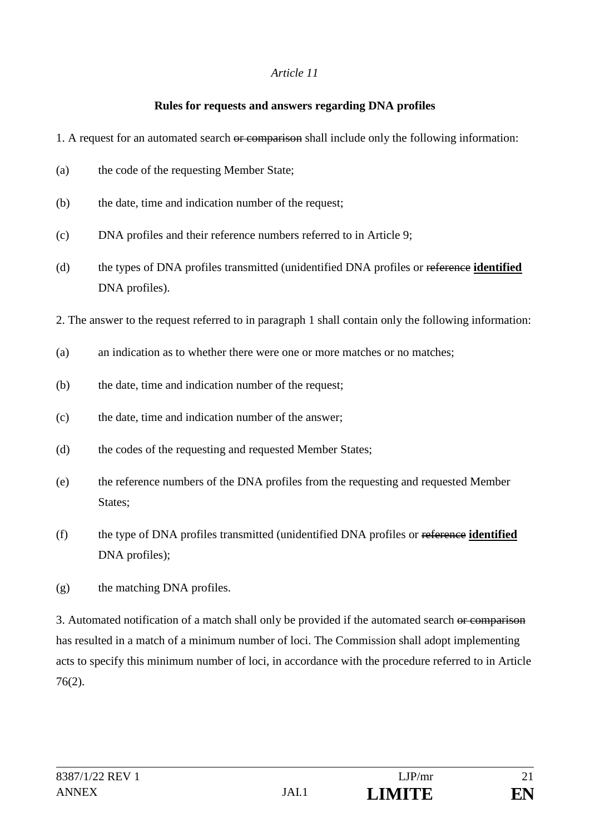### **Rules for requests and answers regarding DNA profiles**

- 1. A request for an automated search or comparison shall include only the following information:
- (a) the code of the requesting Member State;
- (b) the date, time and indication number of the request;
- (c) DNA profiles and their reference numbers referred to in Article 9;
- (d) the types of DNA profiles transmitted (unidentified DNA profiles or reference **identified** DNA profiles).
- 2. The answer to the request referred to in paragraph 1 shall contain only the following information:
- (a) an indication as to whether there were one or more matches or no matches:
- (b) the date, time and indication number of the request;
- (c) the date, time and indication number of the answer;
- (d) the codes of the requesting and requested Member States;
- (e) the reference numbers of the DNA profiles from the requesting and requested Member States;
- (f) the type of DNA profiles transmitted (unidentified DNA profiles or reference **identified** DNA profiles);
- (g) the matching DNA profiles.

3. Automated notification of a match shall only be provided if the automated search or comparison has resulted in a match of a minimum number of loci. The Commission shall adopt implementing acts to specify this minimum number of loci, in accordance with the procedure referred to in Article 76(2).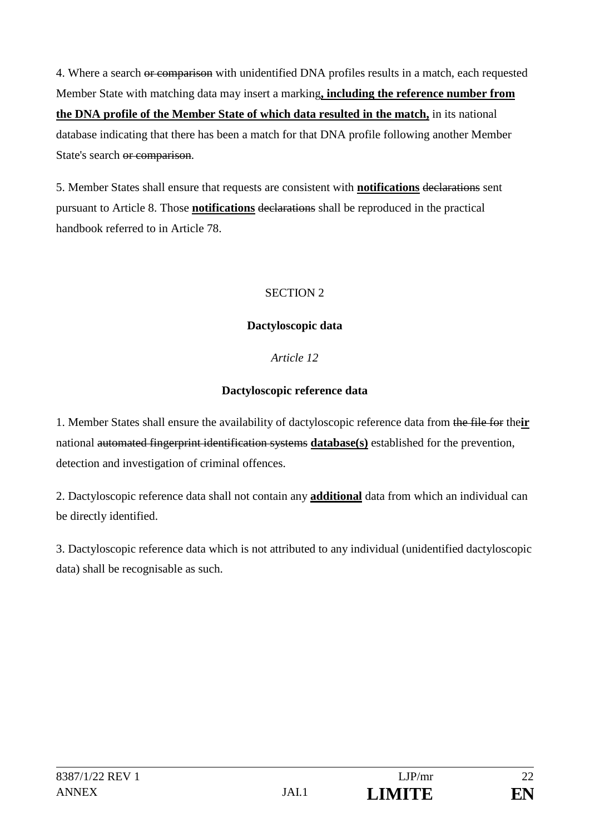4. Where a search or comparison with unidentified DNA profiles results in a match, each requested Member State with matching data may insert a marking**, including the reference number from the DNA profile of the Member State of which data resulted in the match,** in its national database indicating that there has been a match for that DNA profile following another Member State's search or comparison.

5. Member States shall ensure that requests are consistent with **notifications** declarations sent pursuant to Article 8. Those **notifications** declarations shall be reproduced in the practical handbook referred to in Article 78.

## SECTION 2

# **Dactyloscopic data**

# *Article 12*

# **Dactyloscopic reference data**

1. Member States shall ensure the availability of dactyloscopic reference data from the file for the**ir** national automated fingerprint identification systems **database(s)** established for the prevention, detection and investigation of criminal offences.

2. Dactyloscopic reference data shall not contain any **additional** data from which an individual can be directly identified.

3. Dactyloscopic reference data which is not attributed to any individual (unidentified dactyloscopic data) shall be recognisable as such.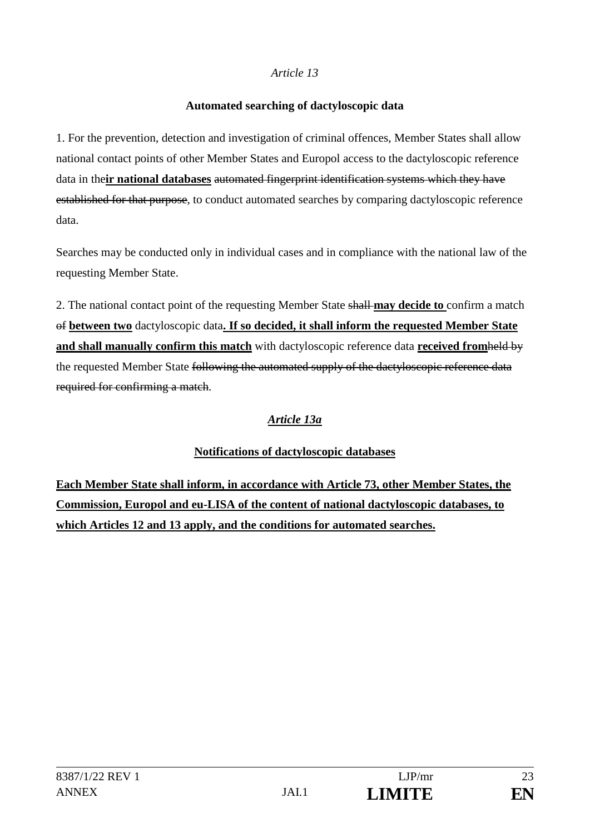### **Automated searching of dactyloscopic data**

1. For the prevention, detection and investigation of criminal offences, Member States shall allow national contact points of other Member States and Europol access to the dactyloscopic reference data in the**ir national databases** automated fingerprint identification systems which they have established for that purpose, to conduct automated searches by comparing dactyloscopic reference data.

Searches may be conducted only in individual cases and in compliance with the national law of the requesting Member State.

2. The national contact point of the requesting Member State shall **may decide to** confirm a match of **between two** dactyloscopic data**. If so decided, it shall inform the requested Member State and shall manually confirm this match** with dactyloscopic reference data **received from**held by the requested Member State following the automated supply of the dactyloscopic reference data required for confirming a match.

# *Article 13a*

## **Notifications of dactyloscopic databases**

**Each Member State shall inform, in accordance with Article 73, other Member States, the Commission, Europol and eu-LISA of the content of national dactyloscopic databases, to which Articles 12 and 13 apply, and the conditions for automated searches.**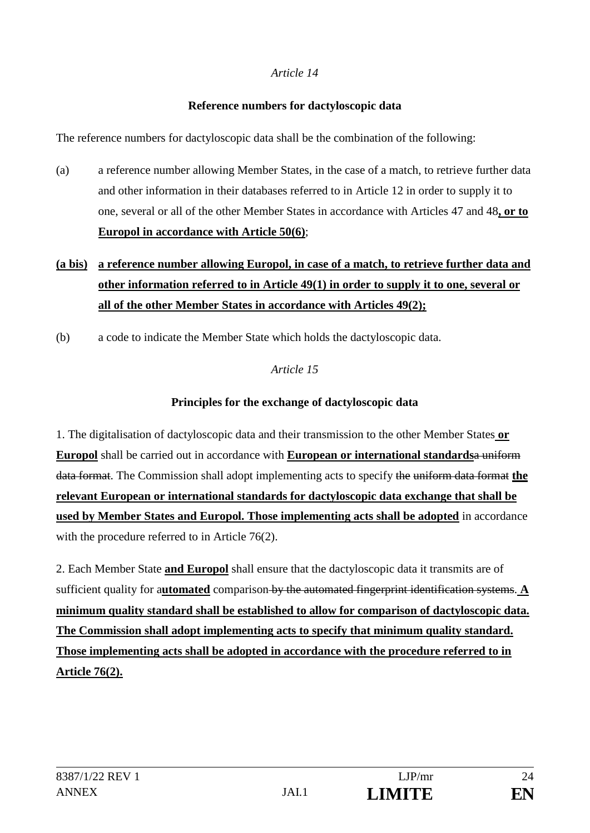## **Reference numbers for dactyloscopic data**

The reference numbers for dactyloscopic data shall be the combination of the following:

(a) a reference number allowing Member States, in the case of a match, to retrieve further data and other information in their databases referred to in Article 12 in order to supply it to one, several or all of the other Member States in accordance with Articles 47 and 48**, or to Europol in accordance with Article 50(6)**;

# **(a bis) a reference number allowing Europol, in case of a match, to retrieve further data and other information referred to in Article 49(1) in order to supply it to one, several or all of the other Member States in accordance with Articles 49(2);**

(b) a code to indicate the Member State which holds the dactyloscopic data.

# *Article 15*

# **Principles for the exchange of dactyloscopic data**

1. The digitalisation of dactyloscopic data and their transmission to the other Member States **or Europol** shall be carried out in accordance with **European or international standards**a uniform data format. The Commission shall adopt implementing acts to specify the uniform data format **the relevant European or international standards for dactyloscopic data exchange that shall be used by Member States and Europol. Those implementing acts shall be adopted** in accordance with the procedure referred to in Article 76(2).

2. Each Member State **and Europol** shall ensure that the dactyloscopic data it transmits are of sufficient quality for a**utomated** comparison by the automated fingerprint identification systems. **A minimum quality standard shall be established to allow for comparison of dactyloscopic data. The Commission shall adopt implementing acts to specify that minimum quality standard. Those implementing acts shall be adopted in accordance with the procedure referred to in Article 76(2).**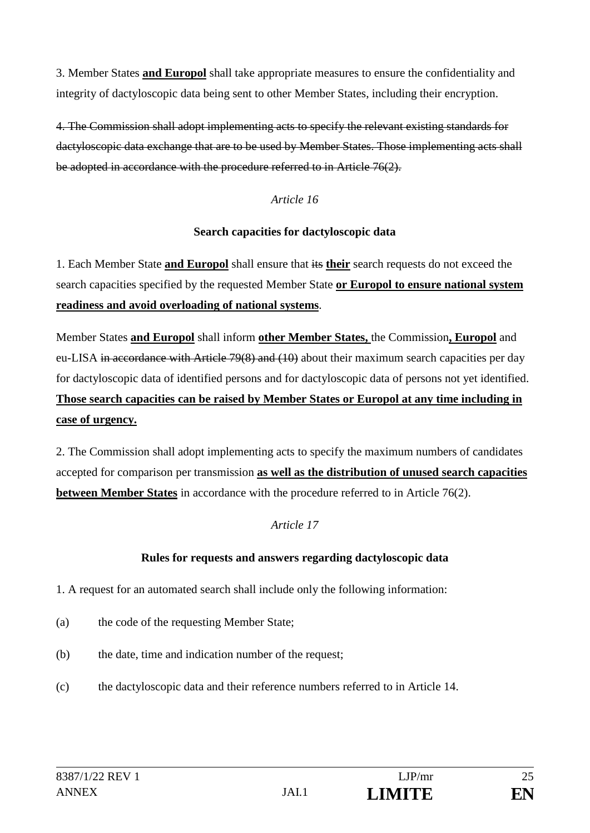3. Member States **and Europol** shall take appropriate measures to ensure the confidentiality and integrity of dactyloscopic data being sent to other Member States, including their encryption.

4. The Commission shall adopt implementing acts to specify the relevant existing standards for dactyloscopic data exchange that are to be used by Member States. Those implementing acts shall be adopted in accordance with the procedure referred to in Article 76(2).

### *Article 16*

### **Search capacities for dactyloscopic data**

1. Each Member State **and Europol** shall ensure that its **their** search requests do not exceed the search capacities specified by the requested Member State **or Europol to ensure national system readiness and avoid overloading of national systems**.

Member States **and Europol** shall inform **other Member States,** the Commission**, Europol** and eu-LISA in accordance with Article 79(8) and (10) about their maximum search capacities per day for dactyloscopic data of identified persons and for dactyloscopic data of persons not yet identified. **Those search capacities can be raised by Member States or Europol at any time including in case of urgency.**

2. The Commission shall adopt implementing acts to specify the maximum numbers of candidates accepted for comparison per transmission **as well as the distribution of unused search capacities between Member States** in accordance with the procedure referred to in Article 76(2).

### *Article 17*

### **Rules for requests and answers regarding dactyloscopic data**

1. A request for an automated search shall include only the following information:

- (a) the code of the requesting Member State;
- (b) the date, time and indication number of the request;
- (c) the dactyloscopic data and their reference numbers referred to in Article 14.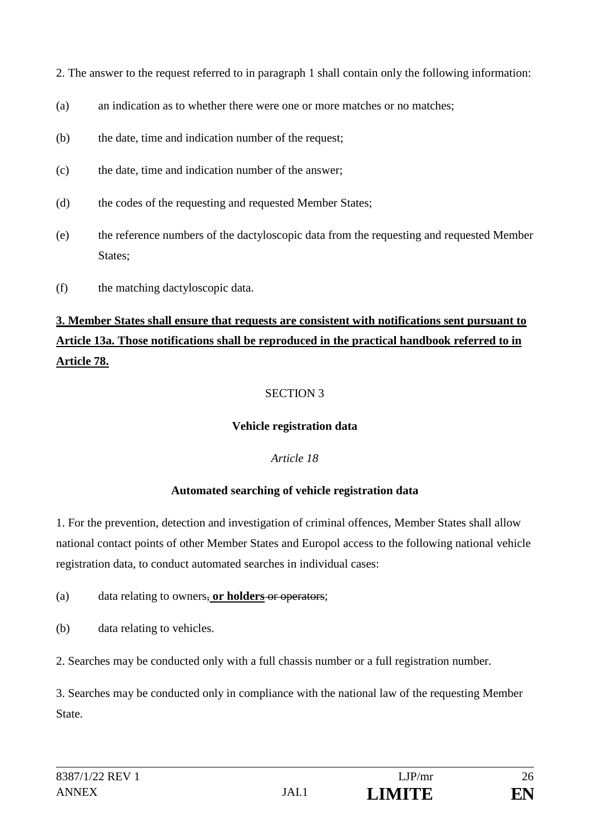2. The answer to the request referred to in paragraph 1 shall contain only the following information:

- (a) an indication as to whether there were one or more matches or no matches:
- (b) the date, time and indication number of the request;
- (c) the date, time and indication number of the answer;
- (d) the codes of the requesting and requested Member States;
- (e) the reference numbers of the dactyloscopic data from the requesting and requested Member States;
- (f) the matching dactyloscopic data.

# **3. Member States shall ensure that requests are consistent with notifications sent pursuant to Article 13a. Those notifications shall be reproduced in the practical handbook referred to in Article 78.**

# SECTION 3

## **Vehicle registration data**

## *Article 18*

## **Automated searching of vehicle registration data**

1. For the prevention, detection and investigation of criminal offences, Member States shall allow national contact points of other Member States and Europol access to the following national vehicle registration data, to conduct automated searches in individual cases:

## (a) data relating to owners, **or holders** or operators;

- (b) data relating to vehicles.
- 2. Searches may be conducted only with a full chassis number or a full registration number.

3. Searches may be conducted only in compliance with the national law of the requesting Member State.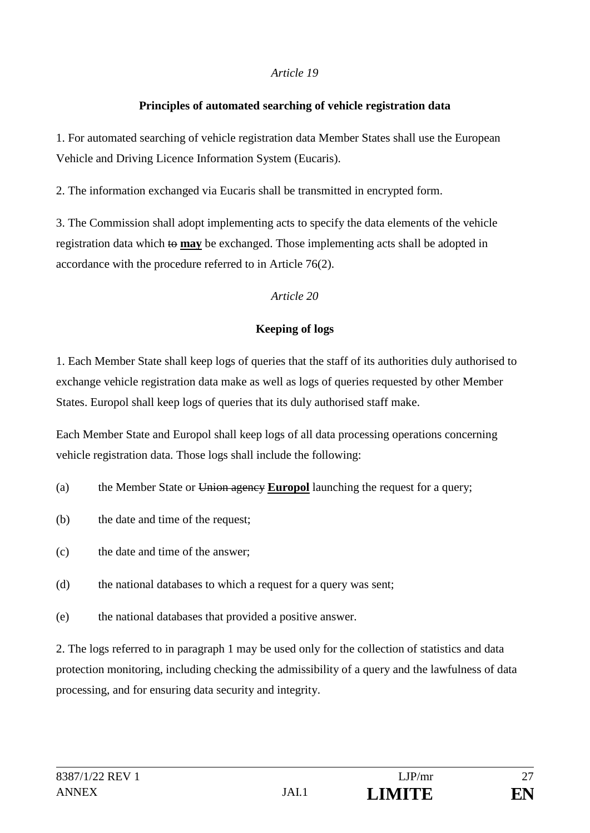## **Principles of automated searching of vehicle registration data**

1. For automated searching of vehicle registration data Member States shall use the European Vehicle and Driving Licence Information System (Eucaris).

2. The information exchanged via Eucaris shall be transmitted in encrypted form.

3. The Commission shall adopt implementing acts to specify the data elements of the vehicle registration data which to **may** be exchanged. Those implementing acts shall be adopted in accordance with the procedure referred to in Article 76(2).

## *Article 20*

## **Keeping of logs**

1. Each Member State shall keep logs of queries that the staff of its authorities duly authorised to exchange vehicle registration data make as well as logs of queries requested by other Member States. Europol shall keep logs of queries that its duly authorised staff make.

Each Member State and Europol shall keep logs of all data processing operations concerning vehicle registration data. Those logs shall include the following:

- (a) the Member State or Union agency **Europol** launching the request for a query;
- (b) the date and time of the request;
- (c) the date and time of the answer;
- (d) the national databases to which a request for a query was sent;
- (e) the national databases that provided a positive answer.

2. The logs referred to in paragraph 1 may be used only for the collection of statistics and data protection monitoring, including checking the admissibility of a query and the lawfulness of data processing, and for ensuring data security and integrity.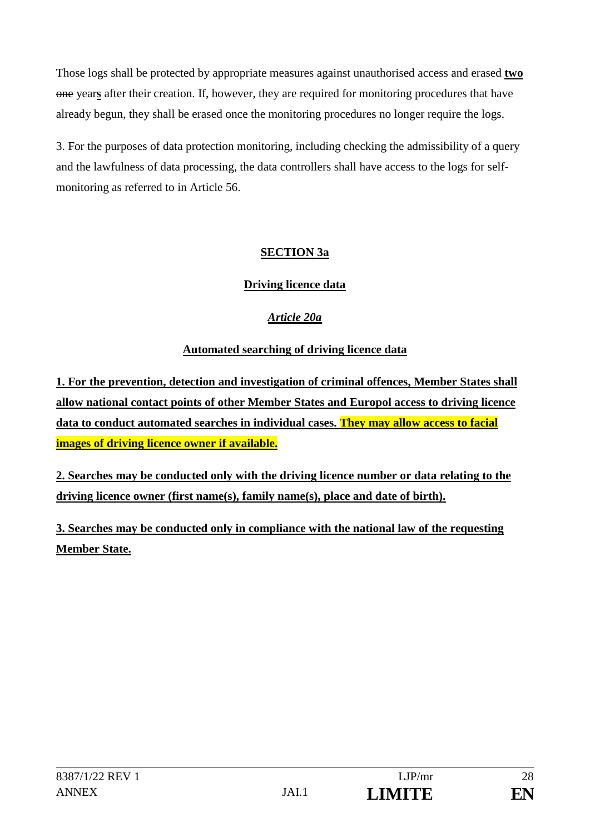Those logs shall be protected by appropriate measures against unauthorised access and erased **two** one year**s** after their creation. If, however, they are required for monitoring procedures that have already begun, they shall be erased once the monitoring procedures no longer require the logs.

3. For the purposes of data protection monitoring, including checking the admissibility of a query and the lawfulness of data processing, the data controllers shall have access to the logs for selfmonitoring as referred to in Article 56.

# **SECTION 3a**

# **Driving licence data**

# *Article 20a*

# **Automated searching of driving licence data**

**1. For the prevention, detection and investigation of criminal offences, Member States shall allow national contact points of other Member States and Europol access to driving licence data to conduct automated searches in individual cases. They may allow access to facial images of driving licence owner if available.**

**2. Searches may be conducted only with the driving licence number or data relating to the driving licence owner (first name(s), family name(s), place and date of birth).**

**3. Searches may be conducted only in compliance with the national law of the requesting Member State.**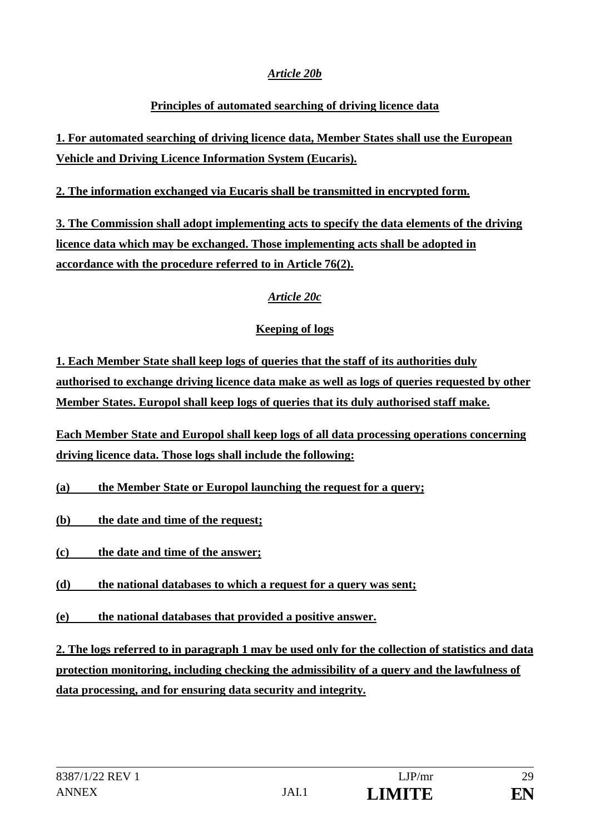## *Article 20b*

# **Principles of automated searching of driving licence data**

**1. For automated searching of driving licence data, Member States shall use the European Vehicle and Driving Licence Information System (Eucaris).**

## **2. The information exchanged via Eucaris shall be transmitted in encrypted form.**

**3. The Commission shall adopt implementing acts to specify the data elements of the driving licence data which may be exchanged. Those implementing acts shall be adopted in accordance with the procedure referred to in Article 76(2).**

# *Article 20c*

# **Keeping of logs**

**1. Each Member State shall keep logs of queries that the staff of its authorities duly authorised to exchange driving licence data make as well as logs of queries requested by other Member States. Europol shall keep logs of queries that its duly authorised staff make.**

**Each Member State and Europol shall keep logs of all data processing operations concerning driving licence data. Those logs shall include the following:** 

**(a) the Member State or Europol launching the request for a query;** 

- **(b) the date and time of the request;**
- **(c) the date and time of the answer;**
- **(d) the national databases to which a request for a query was sent;**
- **(e) the national databases that provided a positive answer.**

**2. The logs referred to in paragraph 1 may be used only for the collection of statistics and data protection monitoring, including checking the admissibility of a query and the lawfulness of data processing, and for ensuring data security and integrity.**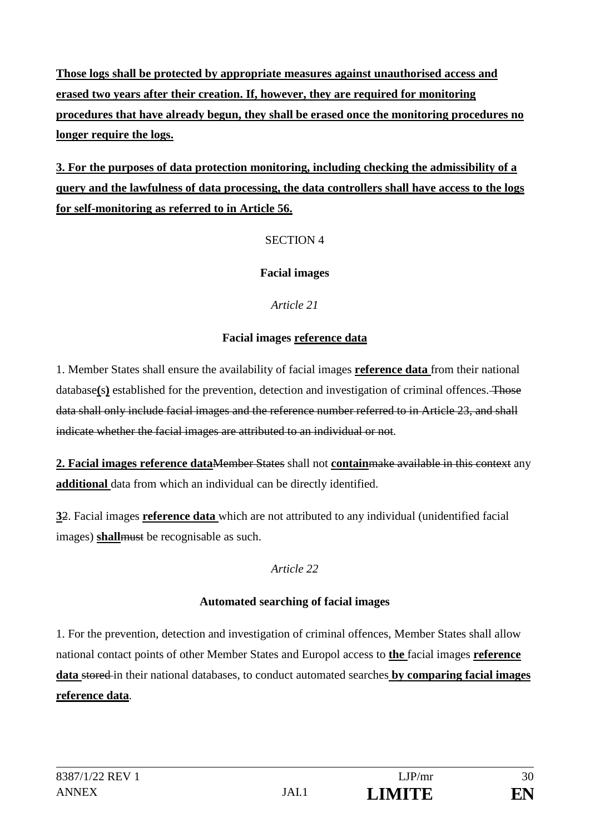**Those logs shall be protected by appropriate measures against unauthorised access and erased two years after their creation. If, however, they are required for monitoring procedures that have already begun, they shall be erased once the monitoring procedures no longer require the logs.**

**3. For the purposes of data protection monitoring, including checking the admissibility of a query and the lawfulness of data processing, the data controllers shall have access to the logs for self-monitoring as referred to in Article 56.**

## SECTION 4

## **Facial images**

*Article 21*

### **Facial images reference data**

1. Member States shall ensure the availability of facial images **reference data** from their national database**(**s**)** established for the prevention, detection and investigation of criminal offences. Those data shall only include facial images and the reference number referred to in Article 23, and shall indicate whether the facial images are attributed to an individual or not.

**2. Facial images reference data**Member States shall not **contain**make available in this context any **additional** data from which an individual can be directly identified.

**3**2. Facial images **reference data** which are not attributed to any individual (unidentified facial images) **shallmust** be recognisable as such.

*Article 22*

### **Automated searching of facial images**

1. For the prevention, detection and investigation of criminal offences, Member States shall allow national contact points of other Member States and Europol access to **the** facial images **reference data** stored in their national databases, to conduct automated searches **by comparing facial images reference data**.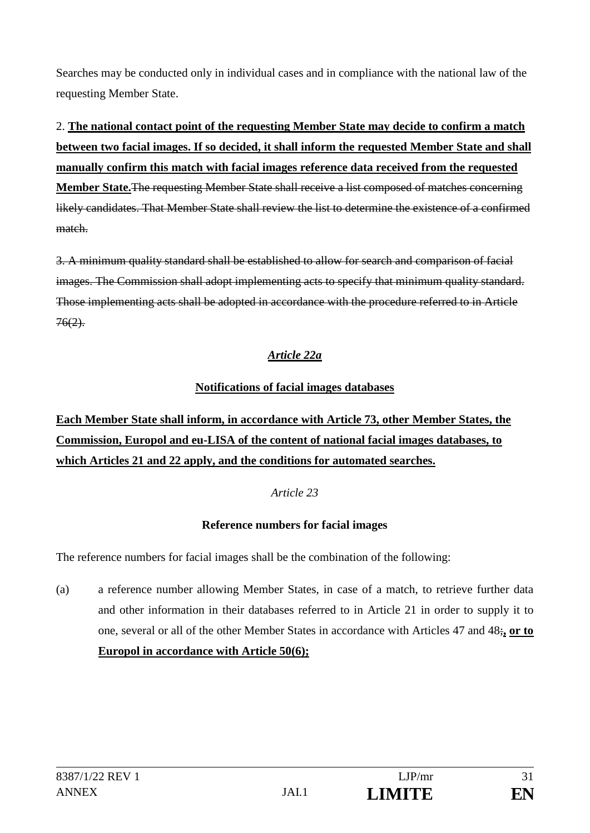Searches may be conducted only in individual cases and in compliance with the national law of the requesting Member State.

2. **The national contact point of the requesting Member State may decide to confirm a match between two facial images. If so decided, it shall inform the requested Member State and shall manually confirm this match with facial images reference data received from the requested Member State.**The requesting Member State shall receive a list composed of matches concerning likely candidates. That Member State shall review the list to determine the existence of a confirmed match.

3. A minimum quality standard shall be established to allow for search and comparison of facial images. The Commission shall adopt implementing acts to specify that minimum quality standard. Those implementing acts shall be adopted in accordance with the procedure referred to in Article  $76(2)$ .

# *Article 22a*

# **Notifications of facial images databases**

# **Each Member State shall inform, in accordance with Article 73, other Member States, the Commission, Europol and eu-LISA of the content of national facial images databases, to which Articles 21 and 22 apply, and the conditions for automated searches.**

## *Article 23*

# **Reference numbers for facial images**

The reference numbers for facial images shall be the combination of the following:

(a) a reference number allowing Member States, in case of a match, to retrieve further data and other information in their databases referred to in Article 21 in order to supply it to one, several or all of the other Member States in accordance with Articles 47 and 48;**, or to Europol in accordance with Article 50(6);**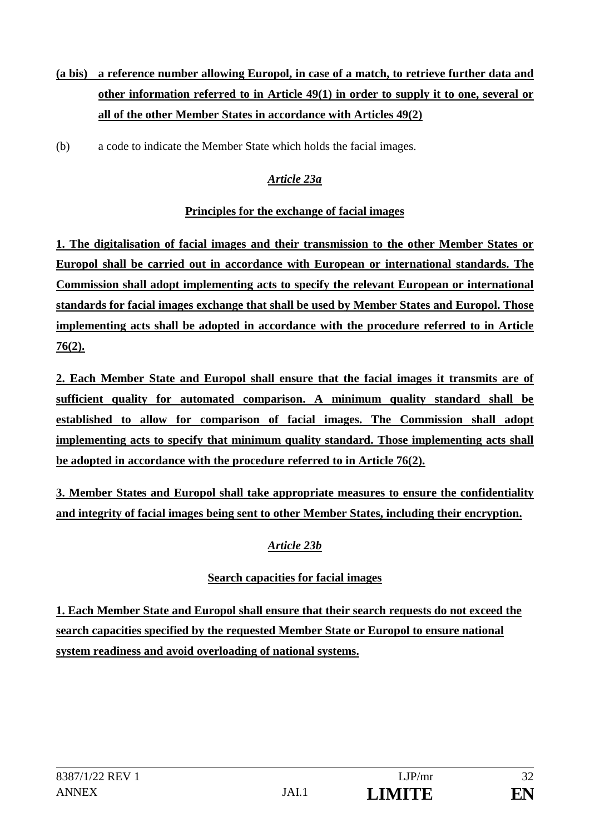# **(a bis) a reference number allowing Europol, in case of a match, to retrieve further data and other information referred to in Article 49(1) in order to supply it to one, several or all of the other Member States in accordance with Articles 49(2)**

(b) a code to indicate the Member State which holds the facial images.

# *Article 23a*

## **Principles for the exchange of facial images**

**1. The digitalisation of facial images and their transmission to the other Member States or Europol shall be carried out in accordance with European or international standards. The Commission shall adopt implementing acts to specify the relevant European or international standards for facial images exchange that shall be used by Member States and Europol. Those implementing acts shall be adopted in accordance with the procedure referred to in Article 76(2).** 

**2. Each Member State and Europol shall ensure that the facial images it transmits are of sufficient quality for automated comparison. A minimum quality standard shall be established to allow for comparison of facial images. The Commission shall adopt implementing acts to specify that minimum quality standard. Those implementing acts shall be adopted in accordance with the procedure referred to in Article 76(2).**

**3. Member States and Europol shall take appropriate measures to ensure the confidentiality and integrity of facial images being sent to other Member States, including their encryption.**

## *Article 23b*

## **Search capacities for facial images**

**1. Each Member State and Europol shall ensure that their search requests do not exceed the search capacities specified by the requested Member State or Europol to ensure national system readiness and avoid overloading of national systems.**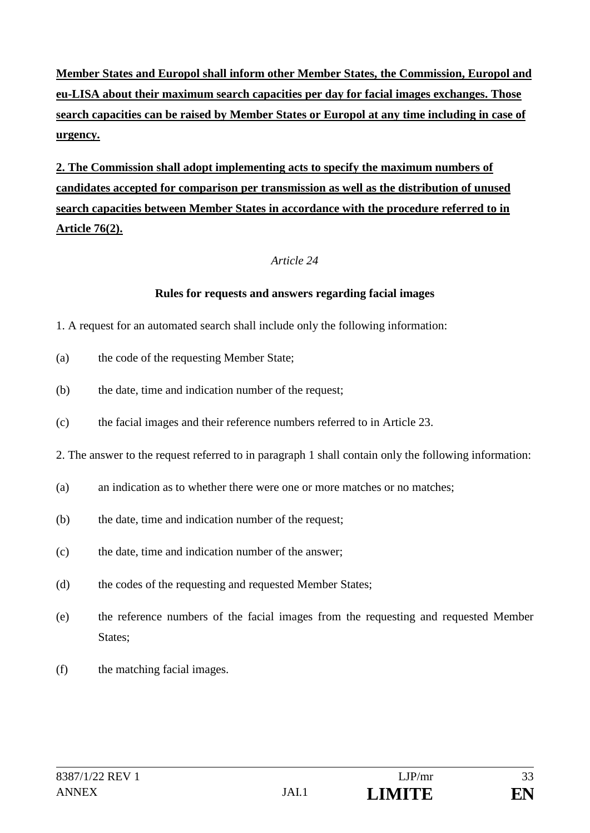**Member States and Europol shall inform other Member States, the Commission, Europol and eu-LISA about their maximum search capacities per day for facial images exchanges. Those search capacities can be raised by Member States or Europol at any time including in case of urgency.**

**2. The Commission shall adopt implementing acts to specify the maximum numbers of candidates accepted for comparison per transmission as well as the distribution of unused search capacities between Member States in accordance with the procedure referred to in Article 76(2).**

### *Article 24*

### **Rules for requests and answers regarding facial images**

- 1. A request for an automated search shall include only the following information:
- (a) the code of the requesting Member State;
- (b) the date, time and indication number of the request;
- (c) the facial images and their reference numbers referred to in Article 23.
- 2. The answer to the request referred to in paragraph 1 shall contain only the following information:
- (a) an indication as to whether there were one or more matches or no matches;
- (b) the date, time and indication number of the request;
- (c) the date, time and indication number of the answer;
- (d) the codes of the requesting and requested Member States;
- (e) the reference numbers of the facial images from the requesting and requested Member States;
- (f) the matching facial images.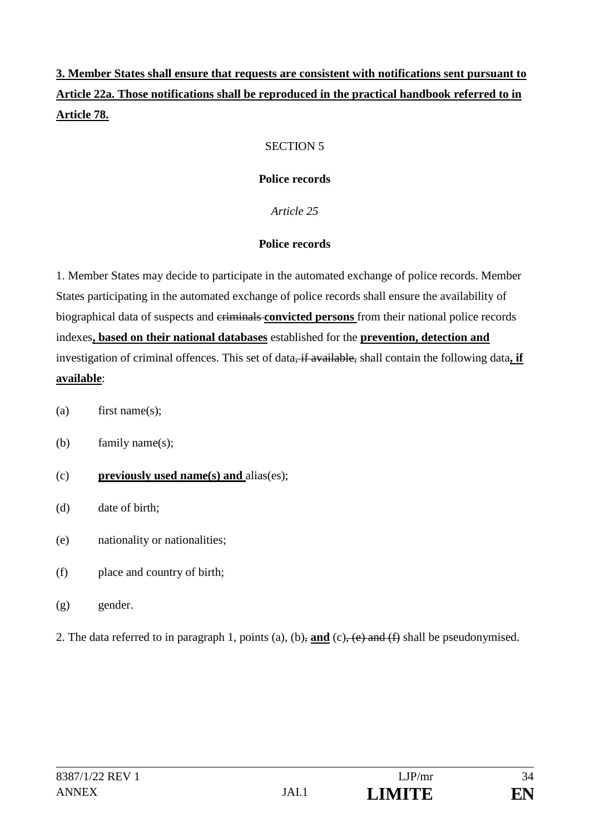# **3. Member States shall ensure that requests are consistent with notifications sent pursuant to Article 22a. Those notifications shall be reproduced in the practical handbook referred to in Article 78.**

## SECTION 5

## **Police records**

*Article 25*

## **Police records**

1. Member States may decide to participate in the automated exchange of police records. Member States participating in the automated exchange of police records shall ensure the availability of biographical data of suspects and criminals **convicted persons** from their national police records indexes**, based on their national databases** established for the **prevention, detection and**  investigation of criminal offences. This set of data<del>, if available,</del> shall contain the following data, if **available**:

- (a) first name(s);
- (b) family name(s);
- (c) **previously used name(s) and** alias(es);
- (d) date of birth;
- (e) nationality or nationalities;
- (f) place and country of birth;
- (g) gender.
- 2. The data referred to in paragraph 1, points (a), (b), **and** (c), (e) and (f) shall be pseudonymised.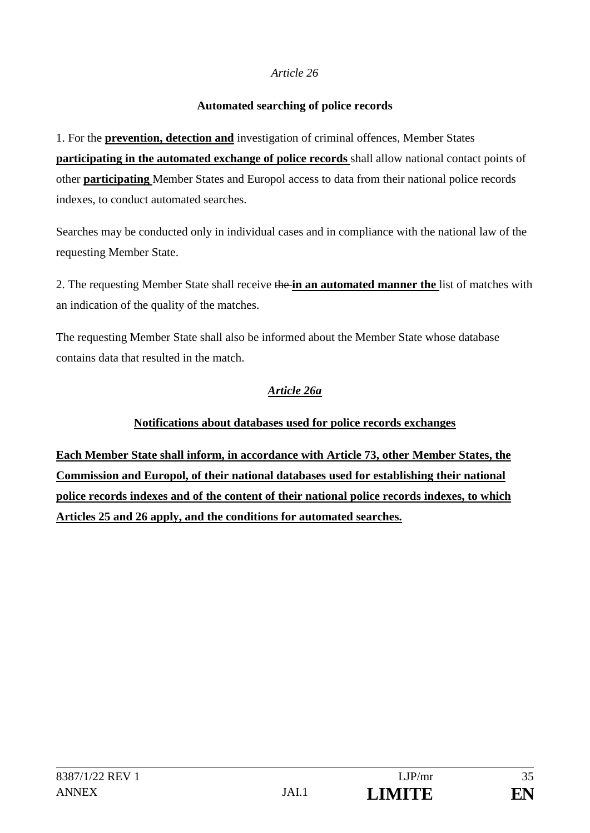## **Automated searching of police records**

1. For the **prevention, detection and** investigation of criminal offences, Member States **participating in the automated exchange of police records** shall allow national contact points of other **participating** Member States and Europol access to data from their national police records indexes, to conduct automated searches.

Searches may be conducted only in individual cases and in compliance with the national law of the requesting Member State.

2. The requesting Member State shall receive the **in an automated manner the** list of matches with an indication of the quality of the matches.

The requesting Member State shall also be informed about the Member State whose database contains data that resulted in the match.

# *Article 26a*

# **Notifications about databases used for police records exchanges**

**Each Member State shall inform, in accordance with Article 73, other Member States, the Commission and Europol, of their national databases used for establishing their national police records indexes and of the content of their national police records indexes, to which Articles 25 and 26 apply, and the conditions for automated searches.**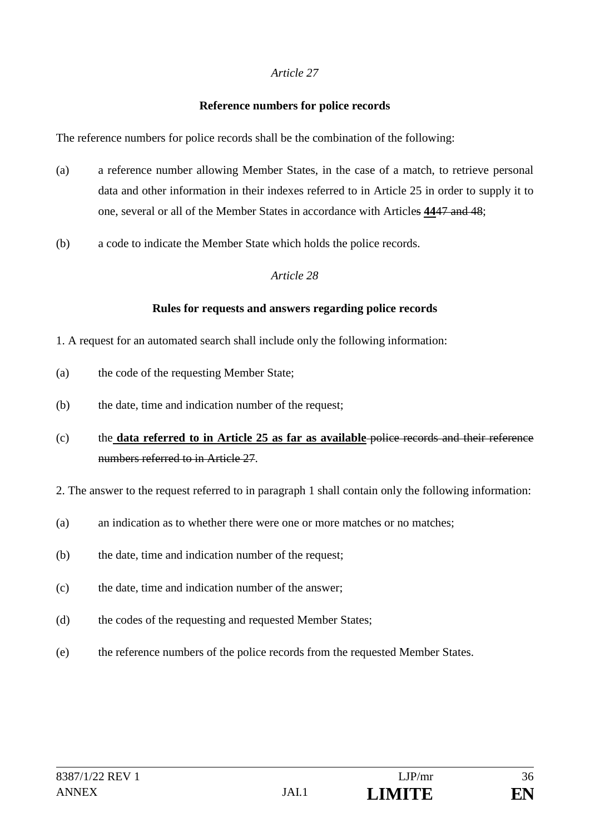### **Reference numbers for police records**

The reference numbers for police records shall be the combination of the following:

- (a) a reference number allowing Member States, in the case of a match, to retrieve personal data and other information in their indexes referred to in Article 25 in order to supply it to one, several or all of the Member States in accordance with Articles **44**47 and 48;
- (b) a code to indicate the Member State which holds the police records.

### *Article 28*

### **Rules for requests and answers regarding police records**

- 1. A request for an automated search shall include only the following information:
- (a) the code of the requesting Member State;
- (b) the date, time and indication number of the request;
- (c) the **data referred to in Article 25 as far as available** police records and their reference numbers referred to in Article 27.
- 2. The answer to the request referred to in paragraph 1 shall contain only the following information:
- (a) an indication as to whether there were one or more matches or no matches;
- (b) the date, time and indication number of the request;
- (c) the date, time and indication number of the answer;
- (d) the codes of the requesting and requested Member States;
- (e) the reference numbers of the police records from the requested Member States.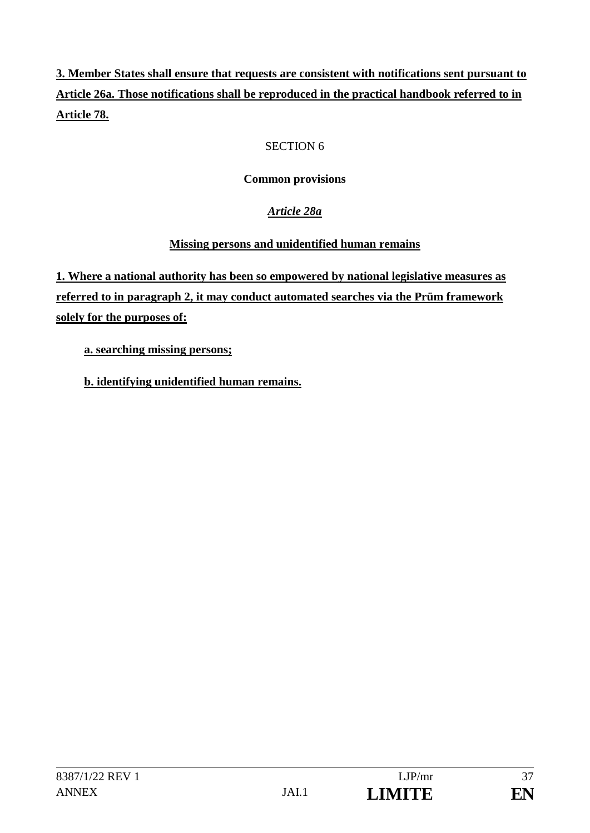**3. Member States shall ensure that requests are consistent with notifications sent pursuant to Article 26a. Those notifications shall be reproduced in the practical handbook referred to in Article 78.**

# SECTION 6

# **Common provisions**

# *Article 28a*

# **Missing persons and unidentified human remains**

**1. Where a national authority has been so empowered by national legislative measures as referred to in paragraph 2, it may conduct automated searches via the Prüm framework solely for the purposes of:**

 **a. searching missing persons;** 

**b. identifying unidentified human remains.**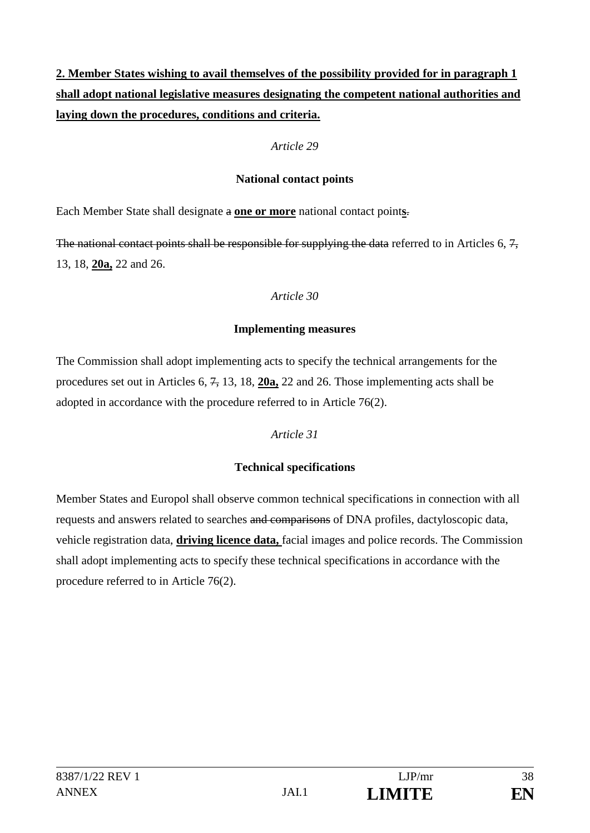**2. Member States wishing to avail themselves of the possibility provided for in paragraph 1 shall adopt national legislative measures designating the competent national authorities and laying down the procedures, conditions and criteria.**

#### *Article 29*

#### **National contact points**

Each Member State shall designate a **one or more** national contact point**s**.

The national contact points shall be responsible for supplying the data referred to in Articles 6, 7, 13, 18, **20a,** 22 and 26.

#### *Article 30*

### **Implementing measures**

The Commission shall adopt implementing acts to specify the technical arrangements for the procedures set out in Articles 6, 7, 13, 18, **20a,** 22 and 26. Those implementing acts shall be adopted in accordance with the procedure referred to in Article 76(2).

## *Article 31*

# **Technical specifications**

Member States and Europol shall observe common technical specifications in connection with all requests and answers related to searches and comparisons of DNA profiles, dactyloscopic data, vehicle registration data, **driving licence data,** facial images and police records. The Commission shall adopt implementing acts to specify these technical specifications in accordance with the procedure referred to in Article 76(2).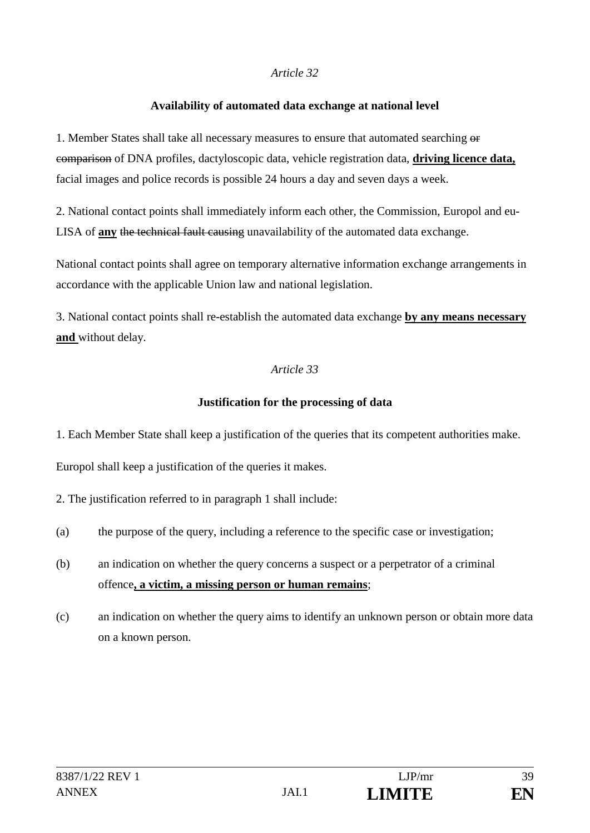#### **Availability of automated data exchange at national level**

1. Member States shall take all necessary measures to ensure that automated searching  $\theta$ comparison of DNA profiles, dactyloscopic data, vehicle registration data, **driving licence data,**  facial images and police records is possible 24 hours a day and seven days a week.

2. National contact points shall immediately inform each other, the Commission, Europol and eu-LISA of **any** the technical fault causing unavailability of the automated data exchange.

National contact points shall agree on temporary alternative information exchange arrangements in accordance with the applicable Union law and national legislation.

3. National contact points shall re-establish the automated data exchange **by any means necessary and** without delay.

## *Article 33*

### **Justification for the processing of data**

1. Each Member State shall keep a justification of the queries that its competent authorities make.

Europol shall keep a justification of the queries it makes.

2. The justification referred to in paragraph 1 shall include:

- (a) the purpose of the query, including a reference to the specific case or investigation;
- (b) an indication on whether the query concerns a suspect or a perpetrator of a criminal offence**, a victim, a missing person or human remains**;
- (c) an indication on whether the query aims to identify an unknown person or obtain more data on a known person.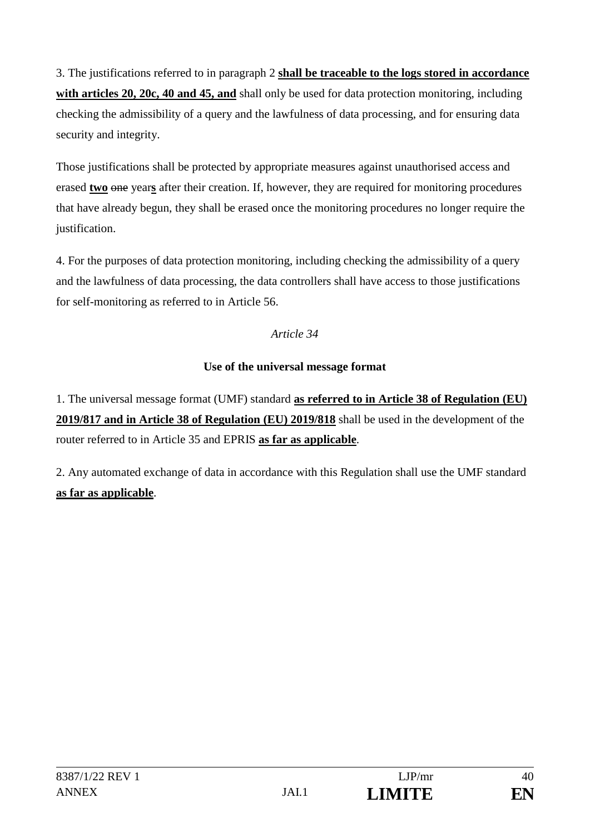3. The justifications referred to in paragraph 2 **shall be traceable to the logs stored in accordance with articles 20, 20c, 40 and 45, and** shall only be used for data protection monitoring, including checking the admissibility of a query and the lawfulness of data processing, and for ensuring data security and integrity.

Those justifications shall be protected by appropriate measures against unauthorised access and erased **two** one years after their creation. If, however, they are required for monitoring procedures that have already begun, they shall be erased once the monitoring procedures no longer require the justification.

4. For the purposes of data protection monitoring, including checking the admissibility of a query and the lawfulness of data processing, the data controllers shall have access to those justifications for self-monitoring as referred to in Article 56.

*Article 34*

# **Use of the universal message format**

1. The universal message format (UMF) standard **as referred to in Article 38 of Regulation (EU) 2019/817 and in Article 38 of Regulation (EU) 2019/818** shall be used in the development of the router referred to in Article 35 and EPRIS **as far as applicable**.

2. Any automated exchange of data in accordance with this Regulation shall use the UMF standard **as far as applicable**.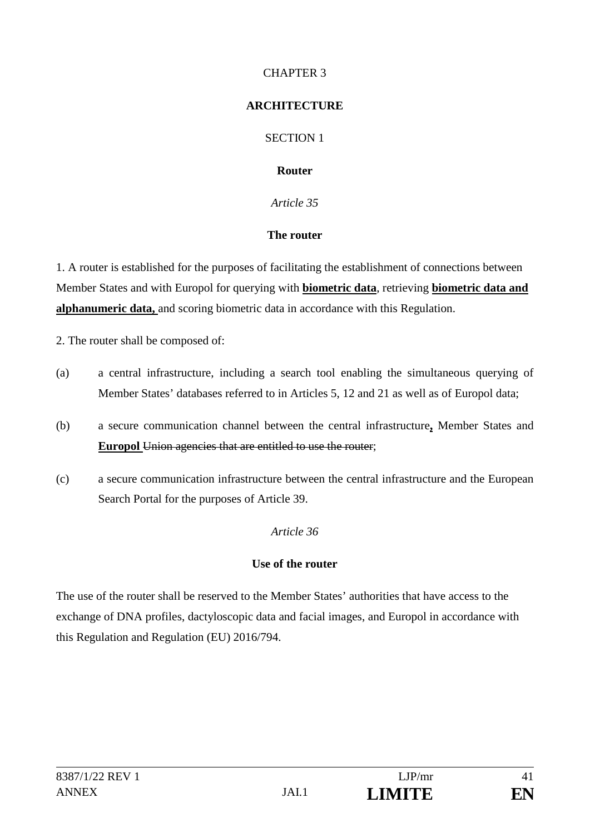### CHAPTER 3

### **ARCHITECTURE**

SECTION 1

### **Router**

*Article 35*

### **The router**

1. A router is established for the purposes of facilitating the establishment of connections between Member States and with Europol for querying with **biometric data**, retrieving **biometric data and alphanumeric data,** and scoring biometric data in accordance with this Regulation.

2. The router shall be composed of:

- (a) a central infrastructure, including a search tool enabling the simultaneous querying of Member States' databases referred to in Articles 5, 12 and 21 as well as of Europol data;
- (b) a secure communication channel between the central infrastructure**,** Member States and **Europol** Union agencies that are entitled to use the router;
- (c) a secure communication infrastructure between the central infrastructure and the European Search Portal for the purposes of Article 39.

## *Article 36*

## **Use of the router**

The use of the router shall be reserved to the Member States' authorities that have access to the exchange of DNA profiles, dactyloscopic data and facial images, and Europol in accordance with this Regulation and Regulation (EU) 2016/794.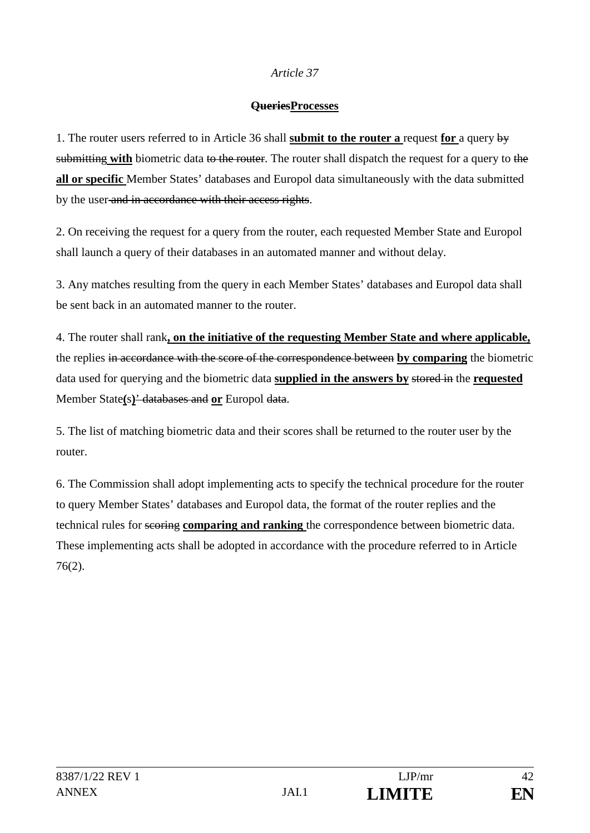#### **QueriesProcesses**

1. The router users referred to in Article 36 shall **submit to the router a** request **for** a query by submitting with biometric data to the router. The router shall dispatch the request for a query to the **all or specific** Member States' databases and Europol data simultaneously with the data submitted by the user and in accordance with their access rights.

2. On receiving the request for a query from the router, each requested Member State and Europol shall launch a query of their databases in an automated manner and without delay.

3. Any matches resulting from the query in each Member States' databases and Europol data shall be sent back in an automated manner to the router.

4. The router shall rank**, on the initiative of the requesting Member State and where applicable,** the replies in accordance with the score of the correspondence between **by comparing** the biometric data used for querying and the biometric data **supplied in the answers by** stored in the **requested** Member State**(**s**)**' databases and **or** Europol data.

5. The list of matching biometric data and their scores shall be returned to the router user by the router.

6. The Commission shall adopt implementing acts to specify the technical procedure for the router to query Member States' databases and Europol data, the format of the router replies and the technical rules for scoring **comparing and ranking** the correspondence between biometric data. These implementing acts shall be adopted in accordance with the procedure referred to in Article 76(2).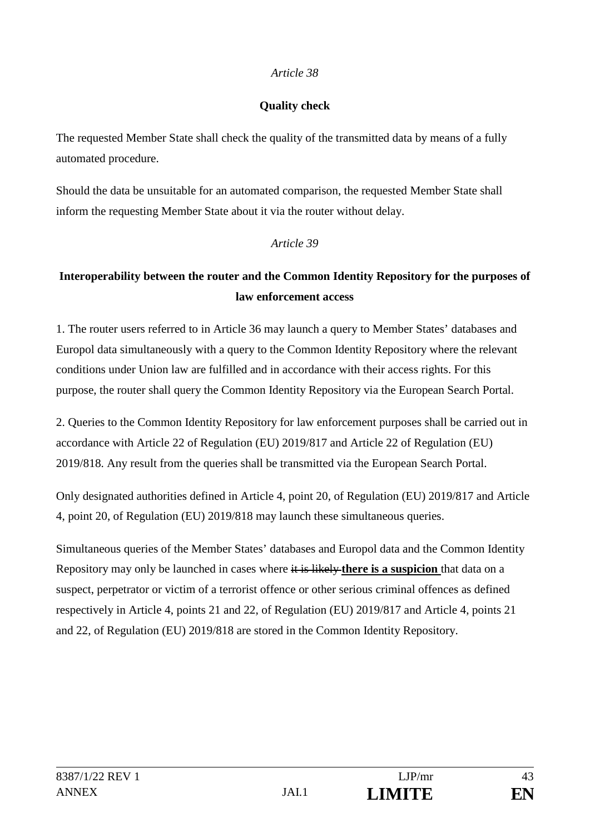### **Quality check**

The requested Member State shall check the quality of the transmitted data by means of a fully automated procedure.

Should the data be unsuitable for an automated comparison, the requested Member State shall inform the requesting Member State about it via the router without delay.

### *Article 39*

# **Interoperability between the router and the Common Identity Repository for the purposes of law enforcement access**

1. The router users referred to in Article 36 may launch a query to Member States' databases and Europol data simultaneously with a query to the Common Identity Repository where the relevant conditions under Union law are fulfilled and in accordance with their access rights. For this purpose, the router shall query the Common Identity Repository via the European Search Portal.

2. Queries to the Common Identity Repository for law enforcement purposes shall be carried out in accordance with Article 22 of Regulation (EU) 2019/817 and Article 22 of Regulation (EU) 2019/818. Any result from the queries shall be transmitted via the European Search Portal.

Only designated authorities defined in Article 4, point 20, of Regulation (EU) 2019/817 and Article 4, point 20, of Regulation (EU) 2019/818 may launch these simultaneous queries.

Simultaneous queries of the Member States' databases and Europol data and the Common Identity Repository may only be launched in cases where it is likely **there is a suspicion** that data on a suspect, perpetrator or victim of a terrorist offence or other serious criminal offences as defined respectively in Article 4, points 21 and 22, of Regulation (EU) 2019/817 and Article 4, points 21 and 22, of Regulation (EU) 2019/818 are stored in the Common Identity Repository.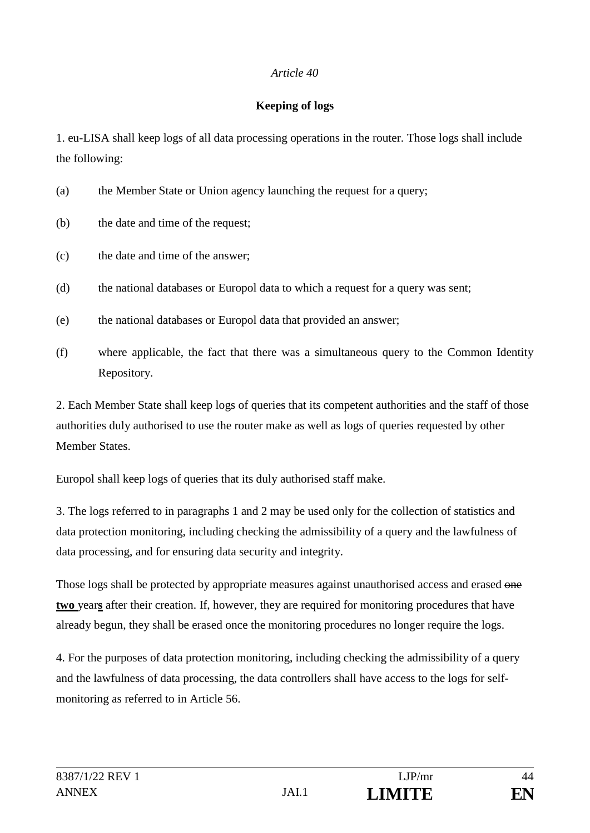### **Keeping of logs**

1. eu-LISA shall keep logs of all data processing operations in the router. Those logs shall include the following:

| (a) | the Member State or Union agency launching the request for a query; |  |  |  |  |
|-----|---------------------------------------------------------------------|--|--|--|--|
|     |                                                                     |  |  |  |  |

- (b) the date and time of the request;
- (c) the date and time of the answer;
- (d) the national databases or Europol data to which a request for a query was sent;
- (e) the national databases or Europol data that provided an answer;
- (f) where applicable, the fact that there was a simultaneous query to the Common Identity Repository.

2. Each Member State shall keep logs of queries that its competent authorities and the staff of those authorities duly authorised to use the router make as well as logs of queries requested by other Member States.

Europol shall keep logs of queries that its duly authorised staff make.

3. The logs referred to in paragraphs 1 and 2 may be used only for the collection of statistics and data protection monitoring, including checking the admissibility of a query and the lawfulness of data processing, and for ensuring data security and integrity.

Those logs shall be protected by appropriate measures against unauthorised access and erased one **two** year**s** after their creation. If, however, they are required for monitoring procedures that have already begun, they shall be erased once the monitoring procedures no longer require the logs.

4. For the purposes of data protection monitoring, including checking the admissibility of a query and the lawfulness of data processing, the data controllers shall have access to the logs for selfmonitoring as referred to in Article 56.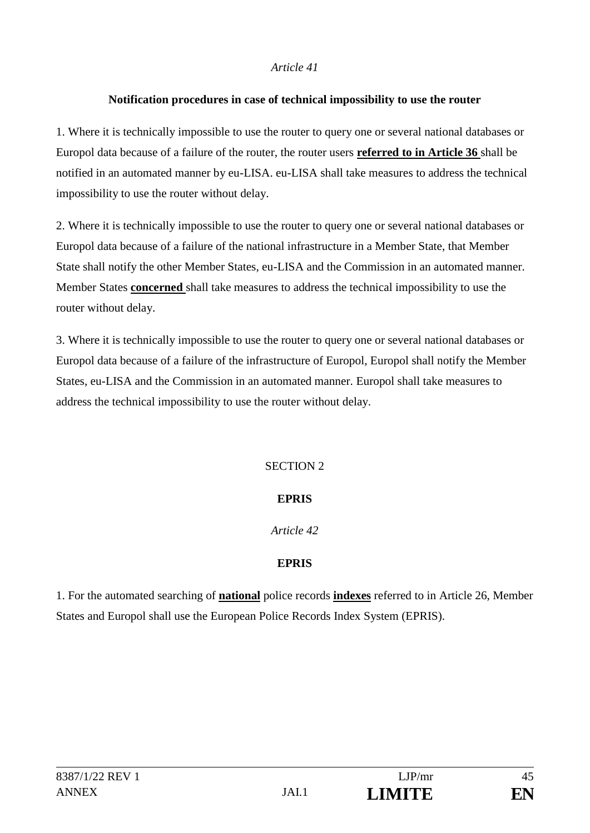### **Notification procedures in case of technical impossibility to use the router**

1. Where it is technically impossible to use the router to query one or several national databases or Europol data because of a failure of the router, the router users **referred to in Article 36** shall be notified in an automated manner by eu-LISA. eu-LISA shall take measures to address the technical impossibility to use the router without delay.

2. Where it is technically impossible to use the router to query one or several national databases or Europol data because of a failure of the national infrastructure in a Member State, that Member State shall notify the other Member States, eu-LISA and the Commission in an automated manner. Member States **concerned** shall take measures to address the technical impossibility to use the router without delay.

3. Where it is technically impossible to use the router to query one or several national databases or Europol data because of a failure of the infrastructure of Europol, Europol shall notify the Member States, eu-LISA and the Commission in an automated manner. Europol shall take measures to address the technical impossibility to use the router without delay.

# SECTION 2

## **EPRIS**

## *Article 42*

## **EPRIS**

1. For the automated searching of **national** police records **indexes** referred to in Article 26, Member States and Europol shall use the European Police Records Index System (EPRIS).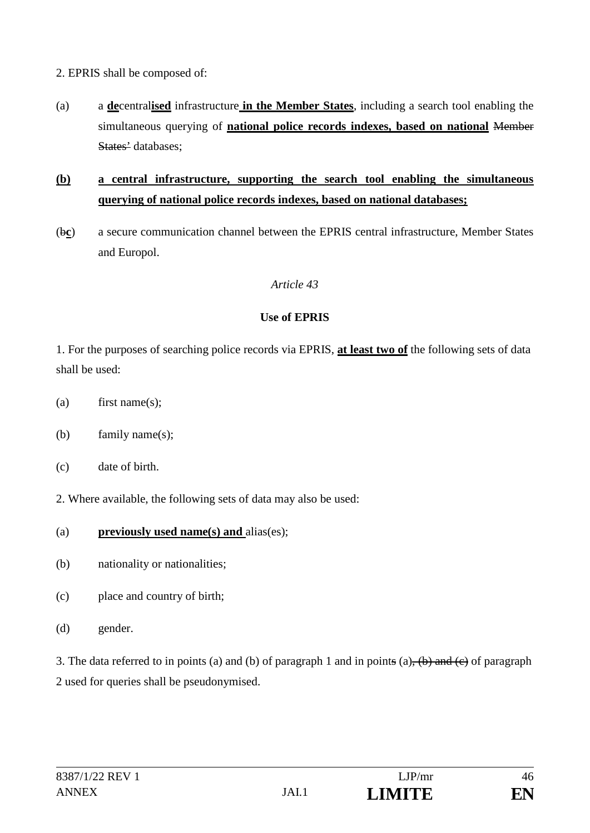2. EPRIS shall be composed of:

(a) a **de**central**ised** infrastructure **in the Member States**, including a search tool enabling the simultaneous querying of **national police records indexes, based on national** Member States' databases;

# **(b) a central infrastructure, supporting the search tool enabling the simultaneous querying of national police records indexes, based on national databases;**

(b**c**) a secure communication channel between the EPRIS central infrastructure, Member States and Europol.

## *Article 43*

### **Use of EPRIS**

1. For the purposes of searching police records via EPRIS, **at least two of** the following sets of data shall be used:

- (a) first name(s);
- (b) family name(s);
- (c) date of birth.
- 2. Where available, the following sets of data may also be used:
- (a) **previously used name(s) and** alias(es);
- (b) nationality or nationalities;
- (c) place and country of birth;
- (d) gender.

3. The data referred to in points (a) and (b) of paragraph 1 and in points (a),  $(b)$  and  $(c)$  of paragraph 2 used for queries shall be pseudonymised.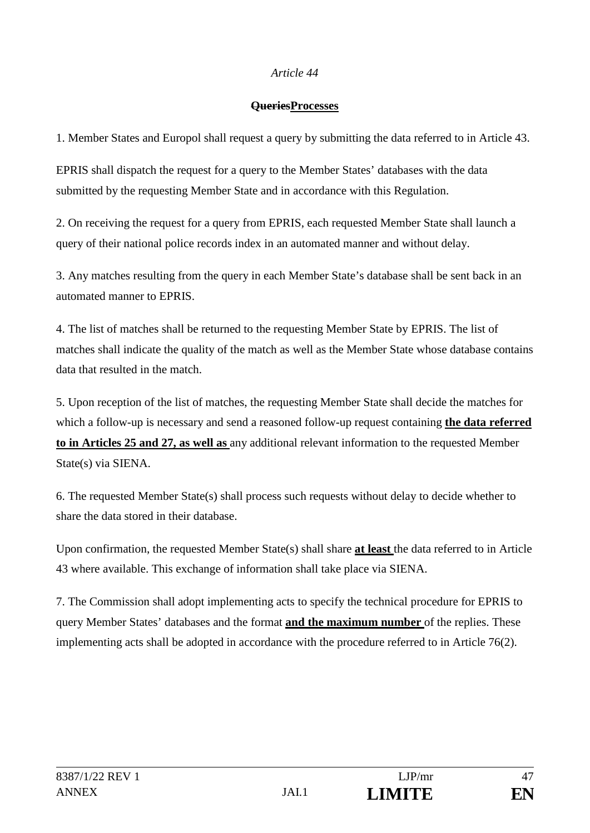#### **QueriesProcesses**

1. Member States and Europol shall request a query by submitting the data referred to in Article 43.

EPRIS shall dispatch the request for a query to the Member States' databases with the data submitted by the requesting Member State and in accordance with this Regulation.

2. On receiving the request for a query from EPRIS, each requested Member State shall launch a query of their national police records index in an automated manner and without delay.

3. Any matches resulting from the query in each Member State's database shall be sent back in an automated manner to EPRIS.

4. The list of matches shall be returned to the requesting Member State by EPRIS. The list of matches shall indicate the quality of the match as well as the Member State whose database contains data that resulted in the match.

5. Upon reception of the list of matches, the requesting Member State shall decide the matches for which a follow-up is necessary and send a reasoned follow-up request containing **the data referred to in Articles 25 and 27, as well as** any additional relevant information to the requested Member State(s) via SIENA.

6. The requested Member State(s) shall process such requests without delay to decide whether to share the data stored in their database.

Upon confirmation, the requested Member State(s) shall share **at least** the data referred to in Article 43 where available. This exchange of information shall take place via SIENA.

7. The Commission shall adopt implementing acts to specify the technical procedure for EPRIS to query Member States' databases and the format **and the maximum number** of the replies. These implementing acts shall be adopted in accordance with the procedure referred to in Article 76(2).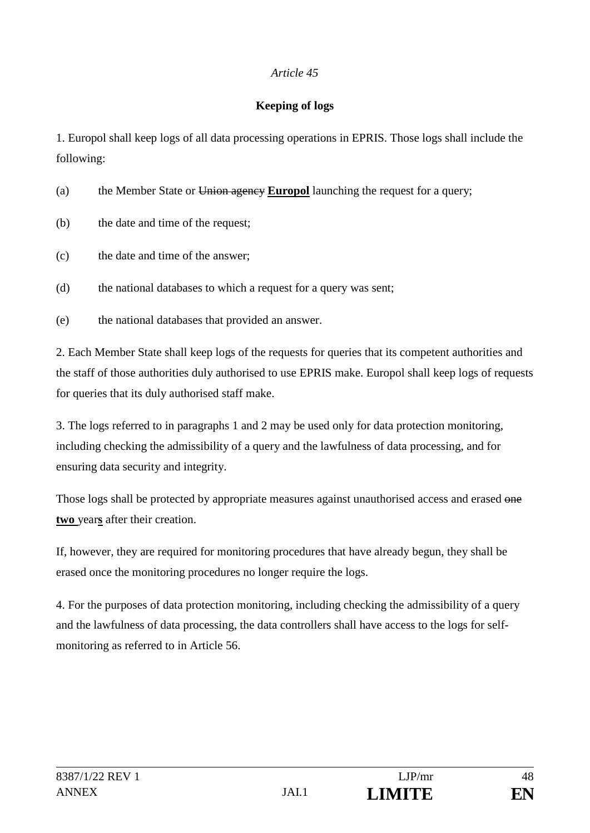### **Keeping of logs**

1. Europol shall keep logs of all data processing operations in EPRIS. Those logs shall include the following:

(a) the Member State or Union agency **Europol** launching the request for a query;

- (b) the date and time of the request;
- (c) the date and time of the answer;

(d) the national databases to which a request for a query was sent;

(e) the national databases that provided an answer.

2. Each Member State shall keep logs of the requests for queries that its competent authorities and the staff of those authorities duly authorised to use EPRIS make. Europol shall keep logs of requests for queries that its duly authorised staff make.

3. The logs referred to in paragraphs 1 and 2 may be used only for data protection monitoring, including checking the admissibility of a query and the lawfulness of data processing, and for ensuring data security and integrity.

Those logs shall be protected by appropriate measures against unauthorised access and erased one **two** year**s** after their creation.

If, however, they are required for monitoring procedures that have already begun, they shall be erased once the monitoring procedures no longer require the logs.

4. For the purposes of data protection monitoring, including checking the admissibility of a query and the lawfulness of data processing, the data controllers shall have access to the logs for selfmonitoring as referred to in Article 56.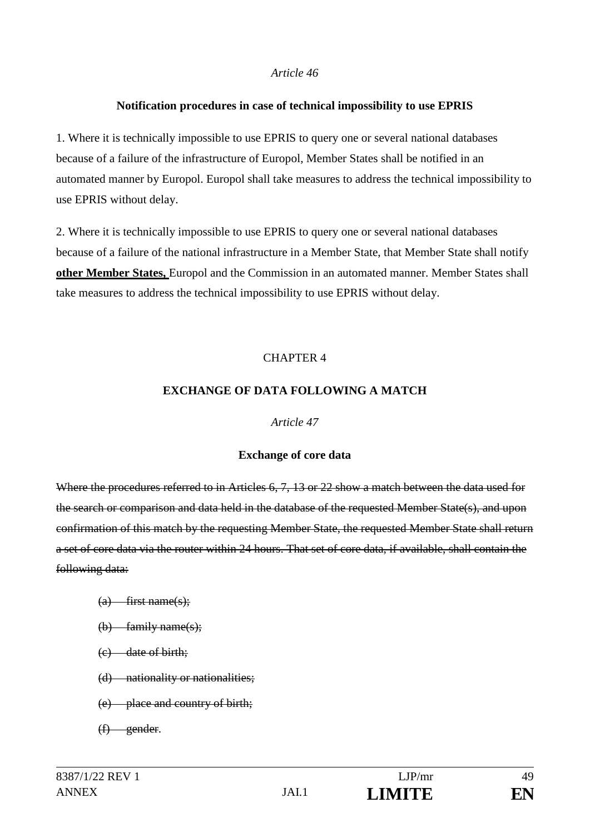#### **Notification procedures in case of technical impossibility to use EPRIS**

1. Where it is technically impossible to use EPRIS to query one or several national databases because of a failure of the infrastructure of Europol, Member States shall be notified in an automated manner by Europol. Europol shall take measures to address the technical impossibility to use EPRIS without delay.

2. Where it is technically impossible to use EPRIS to query one or several national databases because of a failure of the national infrastructure in a Member State, that Member State shall notify **other Member States,** Europol and the Commission in an automated manner. Member States shall take measures to address the technical impossibility to use EPRIS without delay.

### CHAPTER 4

#### **EXCHANGE OF DATA FOLLOWING A MATCH**

#### *Article 47*

#### **Exchange of core data**

Where the procedures referred to in Articles 6, 7, 13 or 22 show a match between the data used for the search or comparison and data held in the database of the requested Member State(s), and upon confirmation of this match by the requesting Member State, the requested Member State shall return a set of core data via the router within 24 hours. That set of core data, if available, shall contain the following data:

- $(a)$  first name(s);
- $(b)$  family name(s);
- (c) date of birth;
- (d) nationality or nationalities;
- (e) place and country of birth;
- (f) gender.

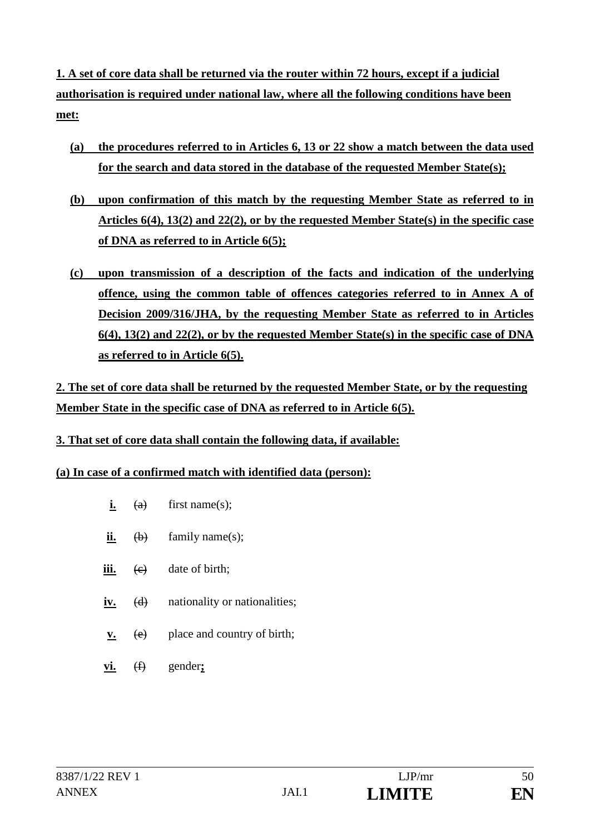**1. A set of core data shall be returned via the router within 72 hours, except if a judicial authorisation is required under national law, where all the following conditions have been met:**

- **(a) the procedures referred to in Articles 6, 13 or 22 show a match between the data used for the search and data stored in the database of the requested Member State(s);**
- **(b) upon confirmation of this match by the requesting Member State as referred to in Articles 6(4), 13(2) and 22(2), or by the requested Member State(s) in the specific case of DNA as referred to in Article 6(5);**
- **(c) upon transmission of a description of the facts and indication of the underlying offence, using the common table of offences categories referred to in Annex A of Decision 2009/316/JHA, by the requesting Member State as referred to in Articles 6(4), 13(2) and 22(2), or by the requested Member State(s) in the specific case of DNA as referred to in Article 6(5).**

**2. The set of core data shall be returned by the requested Member State, or by the requesting Member State in the specific case of DNA as referred to in Article 6(5).**

- **3. That set of core data shall contain the following data, if available:**
- **(a) In case of a confirmed match with identified data (person):**
	- $i.$  (a) first name(s);
	- **ii.**  $\left(\frac{b}{c}\right)$  family name(s);
	- **iii.** (e) date of birth;
	- **iv.** (d) nationality or nationalities;
	- **v.** (e) place and country of birth;
	- **vi.** (f) gender**;**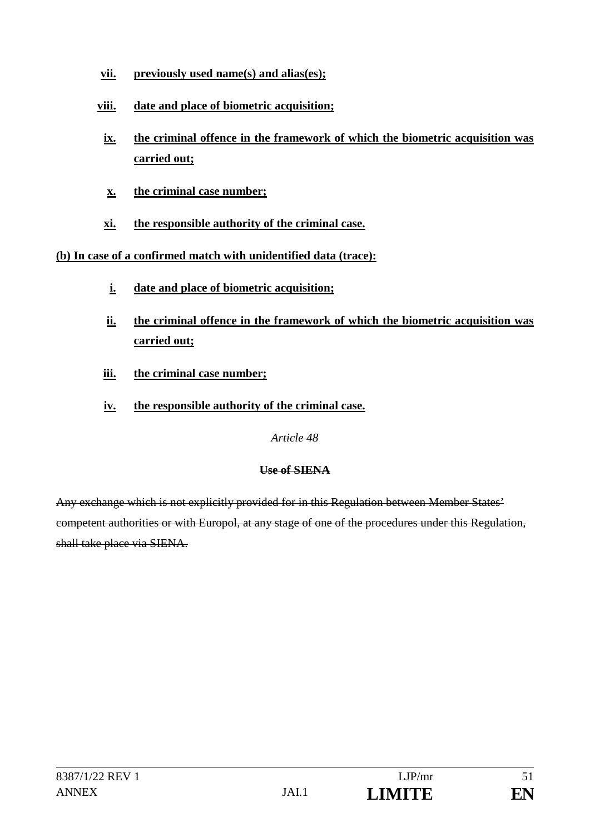- **vii. previously used name(s) and alias(es);**
- **viii. date and place of biometric acquisition;**
- **ix. the criminal offence in the framework of which the biometric acquisition was carried out;**
- **x. the criminal case number;**
- **xi. the responsible authority of the criminal case.**

# **(b) In case of a confirmed match with unidentified data (trace):**

- **i. date and place of biometric acquisition;**
- **ii. the criminal offence in the framework of which the biometric acquisition was carried out;**
- **iii. the criminal case number;**
- **iv. the responsible authority of the criminal case.**

*Article 48*

# **Use of SIENA**

Any exchange which is not explicitly provided for in this Regulation between Member States' competent authorities or with Europol, at any stage of one of the procedures under this Regulation, shall take place via SIENA.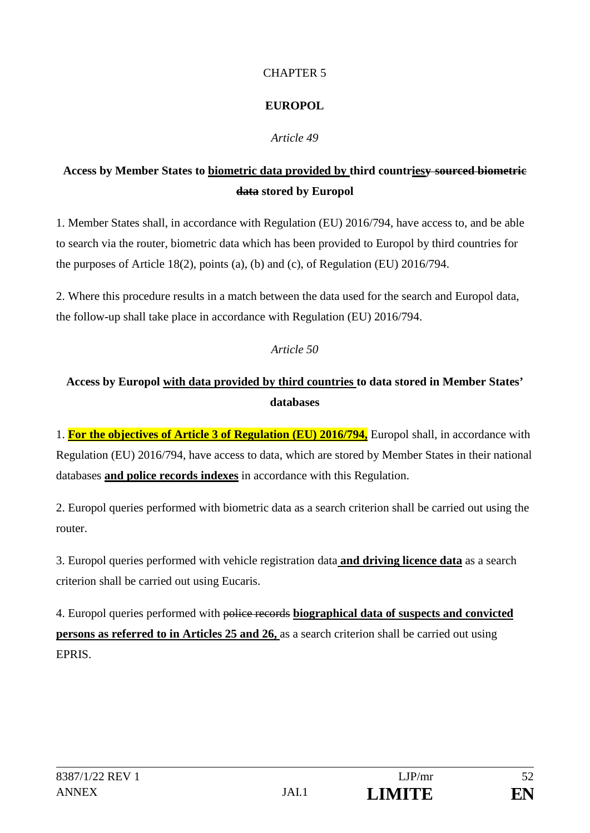### CHAPTER 5

# **EUROPOL**

# *Article 49*

# **Access by Member States to biometric data provided by third countriesy sourced biometric data stored by Europol**

1. Member States shall, in accordance with Regulation (EU) 2016/794, have access to, and be able to search via the router, biometric data which has been provided to Europol by third countries for the purposes of Article 18(2), points (a), (b) and (c), of Regulation (EU) 2016/794.

2. Where this procedure results in a match between the data used for the search and Europol data, the follow-up shall take place in accordance with Regulation (EU) 2016/794.

## *Article 50*

# **Access by Europol with data provided by third countries to data stored in Member States' databases**

1. **For the objectives of Article 3 of Regulation (EU) 2016/794,** Europol shall, in accordance with Regulation (EU) 2016/794, have access to data, which are stored by Member States in their national databases **and police records indexes** in accordance with this Regulation.

2. Europol queries performed with biometric data as a search criterion shall be carried out using the router.

3. Europol queries performed with vehicle registration data **and driving licence data** as a search criterion shall be carried out using Eucaris.

4. Europol queries performed with police records **biographical data of suspects and convicted persons as referred to in Articles 25 and 26,** as a search criterion shall be carried out using **EPRIS**.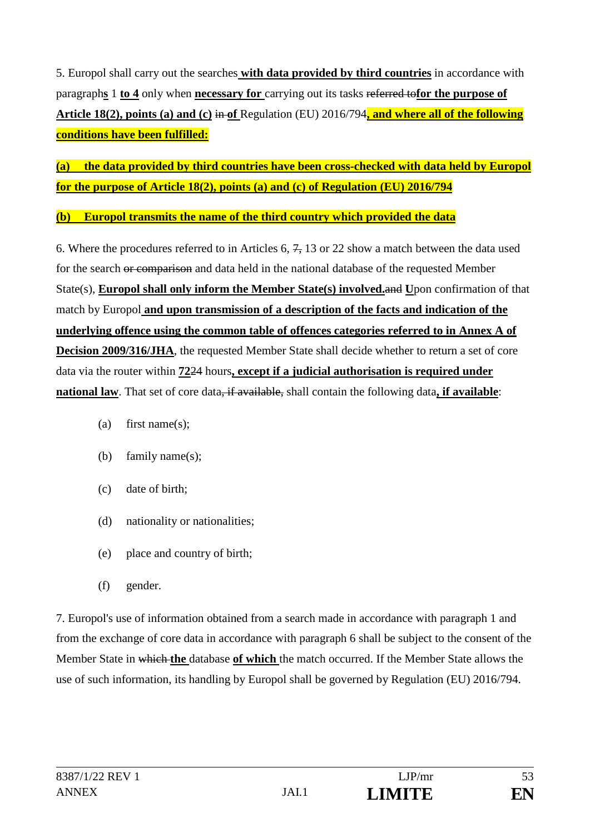5. Europol shall carry out the searches **with data provided by third countries** in accordance with paragraph**s** 1 **to 4** only when **necessary for** carrying out its tasks referred to**for the purpose of Article 18(2), points (a) and (c)** in **of** Regulation (EU) 2016/794**, and where all of the following conditions have been fulfilled:**

**(a) the data provided by third countries have been cross-checked with data held by Europol for the purpose of Article 18(2), points (a) and (c) of Regulation (EU) 2016/794**

**(b) Europol transmits the name of the third country which provided the data**

6. Where the procedures referred to in Articles 6,  $\frac{7}{2}$ , 13 or 22 show a match between the data used for the search or comparison and data held in the national database of the requested Member State(s), **Europol shall only inform the Member State(s) involved.**and **U**pon confirmation of that match by Europol **and upon transmission of a description of the facts and indication of the underlying offence using the common table of offences categories referred to in Annex A of Decision 2009/316/JHA**, the requested Member State shall decide whether to return a set of core data via the router within **72**24 hours**, except if a judicial authorisation is required under national law**. That set of core data, if available, shall contain the following data**, if available**:

- (a) first name(s);
- (b) family name(s);
- (c) date of birth;
- (d) nationality or nationalities;
- (e) place and country of birth;
- (f) gender.

7. Europol's use of information obtained from a search made in accordance with paragraph 1 and from the exchange of core data in accordance with paragraph 6 shall be subject to the consent of the Member State in which **the** database **of which** the match occurred. If the Member State allows the use of such information, its handling by Europol shall be governed by Regulation (EU) 2016/794.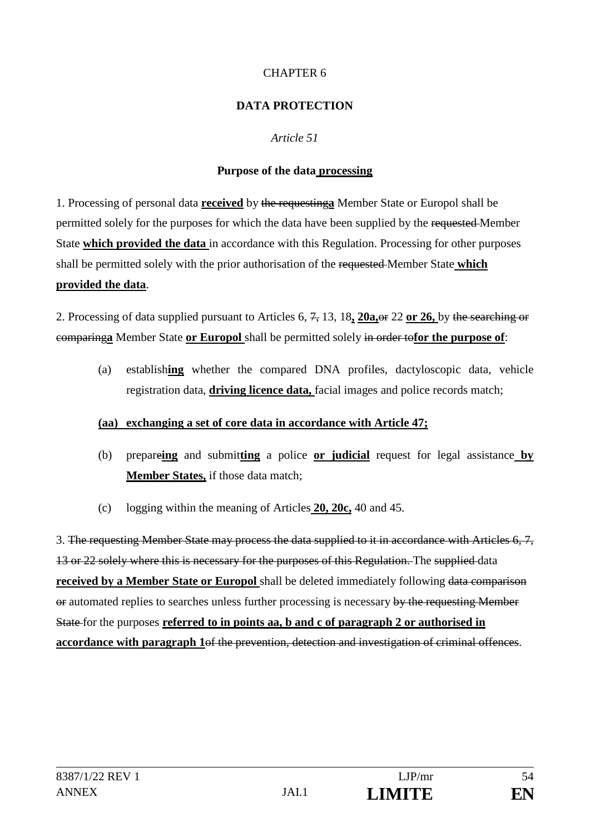### CHAPTER 6

### **DATA PROTECTION**

### *Article 51*

### **Purpose of the data processing**

1. Processing of personal data **received** by the requesting**a** Member State or Europol shall be permitted solely for the purposes for which the data have been supplied by the requested Member State **which provided the data** in accordance with this Regulation. Processing for other purposes shall be permitted solely with the prior authorisation of the requested Member State **which provided the data**.

2. Processing of data supplied pursuant to Articles 6, 7, 13, 18**, 20a,**or 22 **or 26,** by the searching or comparing**a** Member State **or Europol** shall be permitted solely in order to**for the purpose of**:

(a) establish**ing** whether the compared DNA profiles, dactyloscopic data, vehicle registration data, **driving licence data,** facial images and police records match;

#### **(aa) exchanging a set of core data in accordance with Article 47;**

- (b) prepare**ing** and submit**ting** a police **or judicial** request for legal assistance **by Member States,** if those data match;
- (c) logging within the meaning of Articles **20, 20c,** 40 and 45.

3. The requesting Member State may process the data supplied to it in accordance with Articles 6, 7, 13 or 22 solely where this is necessary for the purposes of this Regulation. The supplied data **received by a Member State or Europol** shall be deleted immediately following data comparison or automated replies to searches unless further processing is necessary by the requesting Member State for the purposes **referred to in points aa, b and c of paragraph 2 or authorised in accordance with paragraph 1**of the prevention, detection and investigation of criminal offences.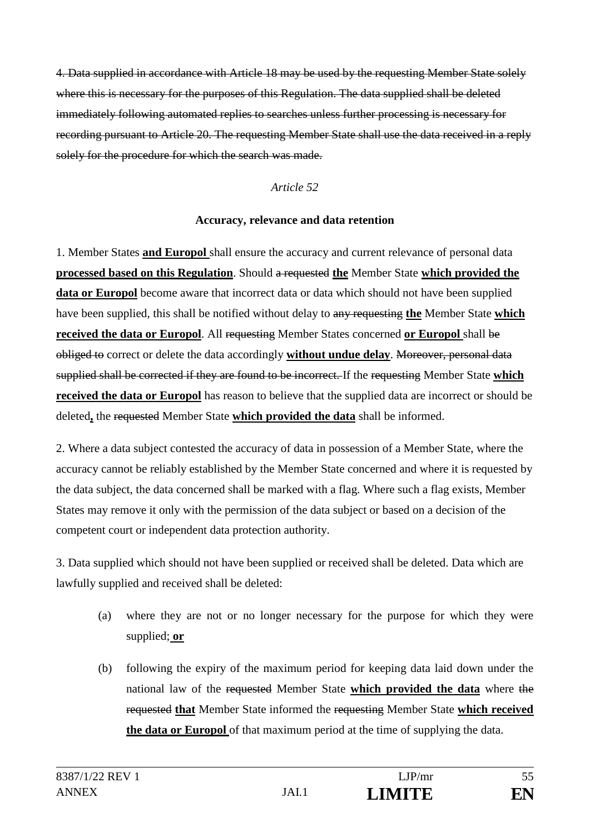4. Data supplied in accordance with Article 18 may be used by the requesting Member State solely where this is necessary for the purposes of this Regulation. The data supplied shall be deleted immediately following automated replies to searches unless further processing is necessary for recording pursuant to Article 20. The requesting Member State shall use the data received in a reply solely for the procedure for which the search was made.

#### *Article 52*

#### **Accuracy, relevance and data retention**

1. Member States **and Europol** shall ensure the accuracy and current relevance of personal data **processed based on this Regulation**. Should a requested **the** Member State **which provided the data or Europol** become aware that incorrect data or data which should not have been supplied have been supplied, this shall be notified without delay to any requesting **the** Member State **which received the data or Europol**. All requesting Member States concerned **or Europol** shall be obliged to correct or delete the data accordingly **without undue delay**. Moreover, personal data supplied shall be corrected if they are found to be incorrect. If the requesting Member State **which received the data or Europol** has reason to believe that the supplied data are incorrect or should be deleted**,** the requested Member State **which provided the data** shall be informed.

2. Where a data subject contested the accuracy of data in possession of a Member State, where the accuracy cannot be reliably established by the Member State concerned and where it is requested by the data subject, the data concerned shall be marked with a flag. Where such a flag exists, Member States may remove it only with the permission of the data subject or based on a decision of the competent court or independent data protection authority.

3. Data supplied which should not have been supplied or received shall be deleted. Data which are lawfully supplied and received shall be deleted:

- (a) where they are not or no longer necessary for the purpose for which they were supplied; **or**
- (b) following the expiry of the maximum period for keeping data laid down under the national law of the requested Member State **which provided the data** where the requested **that** Member State informed the requesting Member State **which received the data or Europol** of that maximum period at the time of supplying the data.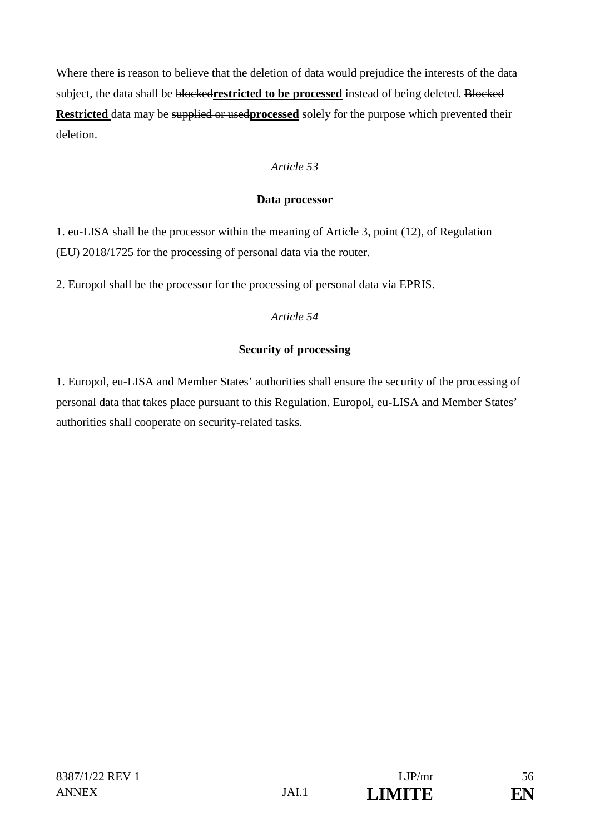Where there is reason to believe that the deletion of data would prejudice the interests of the data subject, the data shall be blocked**restricted to be processed** instead of being deleted. Blocked **Restricted** data may be supplied or usedprocessed solely for the purpose which prevented their deletion.

## *Article 53*

### **Data processor**

1. eu-LISA shall be the processor within the meaning of Article 3, point (12), of Regulation (EU) 2018/1725 for the processing of personal data via the router.

2. Europol shall be the processor for the processing of personal data via EPRIS.

## *Article 54*

# **Security of processing**

1. Europol, eu-LISA and Member States' authorities shall ensure the security of the processing of personal data that takes place pursuant to this Regulation. Europol, eu-LISA and Member States' authorities shall cooperate on security-related tasks.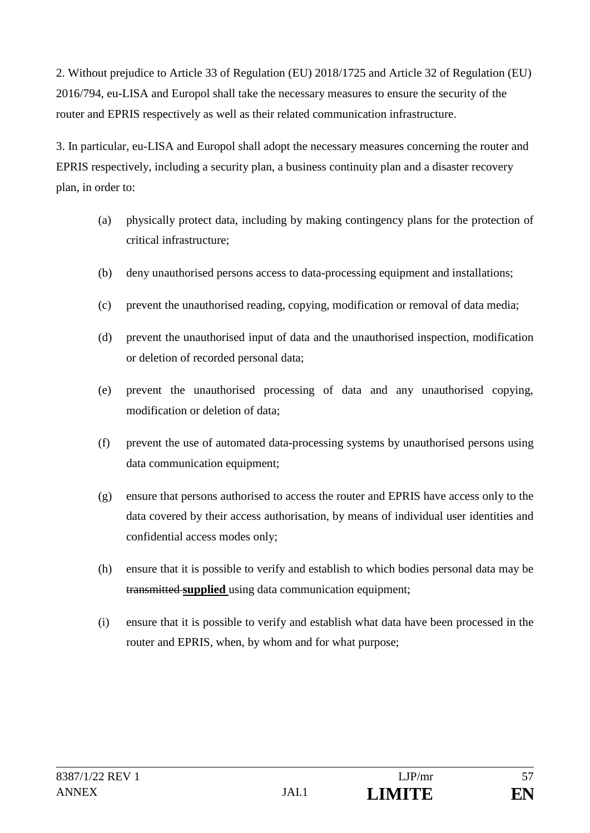2. Without prejudice to Article 33 of Regulation (EU) 2018/1725 and Article 32 of Regulation (EU) 2016/794, eu-LISA and Europol shall take the necessary measures to ensure the security of the router and EPRIS respectively as well as their related communication infrastructure.

3. In particular, eu-LISA and Europol shall adopt the necessary measures concerning the router and EPRIS respectively, including a security plan, a business continuity plan and a disaster recovery plan, in order to:

- (a) physically protect data, including by making contingency plans for the protection of critical infrastructure;
- (b) deny unauthorised persons access to data-processing equipment and installations;
- (c) prevent the unauthorised reading, copying, modification or removal of data media;
- (d) prevent the unauthorised input of data and the unauthorised inspection, modification or deletion of recorded personal data;
- (e) prevent the unauthorised processing of data and any unauthorised copying, modification or deletion of data;
- (f) prevent the use of automated data-processing systems by unauthorised persons using data communication equipment;
- (g) ensure that persons authorised to access the router and EPRIS have access only to the data covered by their access authorisation, by means of individual user identities and confidential access modes only;
- (h) ensure that it is possible to verify and establish to which bodies personal data may be transmitted **supplied** using data communication equipment;
- (i) ensure that it is possible to verify and establish what data have been processed in the router and EPRIS, when, by whom and for what purpose;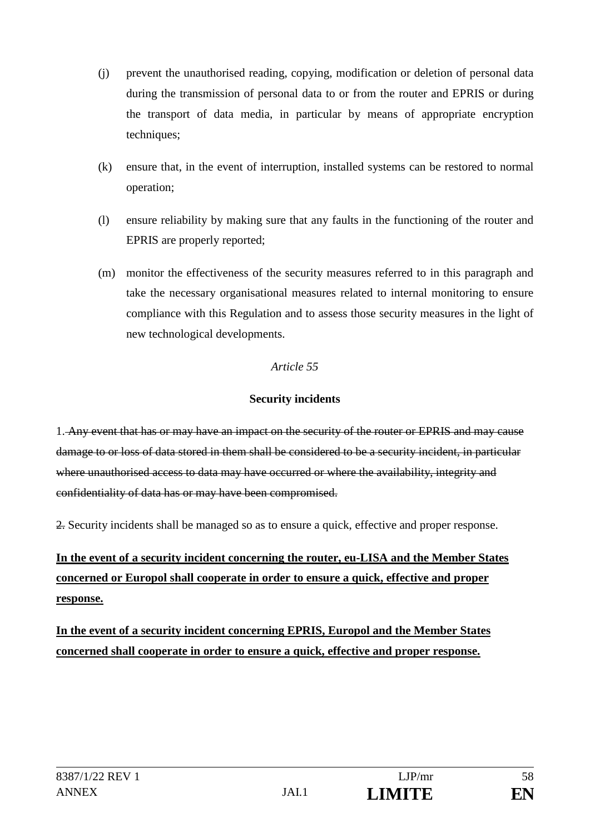- (j) prevent the unauthorised reading, copying, modification or deletion of personal data during the transmission of personal data to or from the router and EPRIS or during the transport of data media, in particular by means of appropriate encryption techniques;
- (k) ensure that, in the event of interruption, installed systems can be restored to normal operation;
- (l) ensure reliability by making sure that any faults in the functioning of the router and EPRIS are properly reported;
- (m) monitor the effectiveness of the security measures referred to in this paragraph and take the necessary organisational measures related to internal monitoring to ensure compliance with this Regulation and to assess those security measures in the light of new technological developments.

### **Security incidents**

1. Any event that has or may have an impact on the security of the router or EPRIS and may cause damage to or loss of data stored in them shall be considered to be a security incident, in particular where unauthorised access to data may have occurred or where the availability, integrity and confidentiality of data has or may have been compromised.

2. Security incidents shall be managed so as to ensure a quick, effective and proper response.

# **In the event of a security incident concerning the router, eu-LISA and the Member States concerned or Europol shall cooperate in order to ensure a quick, effective and proper response.**

**In the event of a security incident concerning EPRIS, Europol and the Member States concerned shall cooperate in order to ensure a quick, effective and proper response.**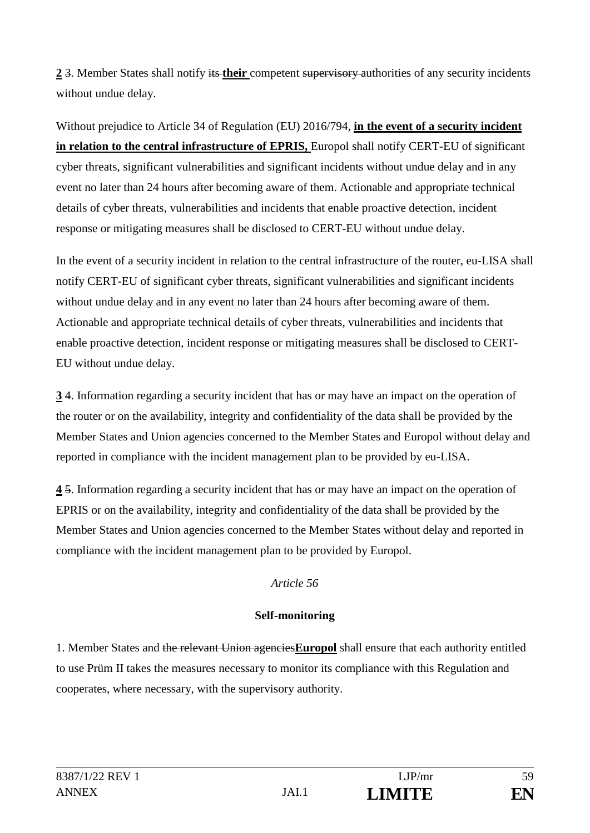**2** 3. Member States shall notify its **their** competent supervisory authorities of any security incidents without undue delay.

Without prejudice to Article 34 of Regulation (EU) 2016/794, **in the event of a security incident in relation to the central infrastructure of EPRIS, Europol shall notify CERT-EU of significant** cyber threats, significant vulnerabilities and significant incidents without undue delay and in any event no later than 24 hours after becoming aware of them. Actionable and appropriate technical details of cyber threats, vulnerabilities and incidents that enable proactive detection, incident response or mitigating measures shall be disclosed to CERT-EU without undue delay.

In the event of a security incident in relation to the central infrastructure of the router, eu-LISA shall notify CERT-EU of significant cyber threats, significant vulnerabilities and significant incidents without undue delay and in any event no later than 24 hours after becoming aware of them. Actionable and appropriate technical details of cyber threats, vulnerabilities and incidents that enable proactive detection, incident response or mitigating measures shall be disclosed to CERT-EU without undue delay.

**3** 4. Information regarding a security incident that has or may have an impact on the operation of the router or on the availability, integrity and confidentiality of the data shall be provided by the Member States and Union agencies concerned to the Member States and Europol without delay and reported in compliance with the incident management plan to be provided by eu-LISA.

**4** 5. Information regarding a security incident that has or may have an impact on the operation of EPRIS or on the availability, integrity and confidentiality of the data shall be provided by the Member States and Union agencies concerned to the Member States without delay and reported in compliance with the incident management plan to be provided by Europol.

## *Article 56*

## **Self-monitoring**

1. Member States and the relevant Union agencies**Europol** shall ensure that each authority entitled to use Prüm II takes the measures necessary to monitor its compliance with this Regulation and cooperates, where necessary, with the supervisory authority.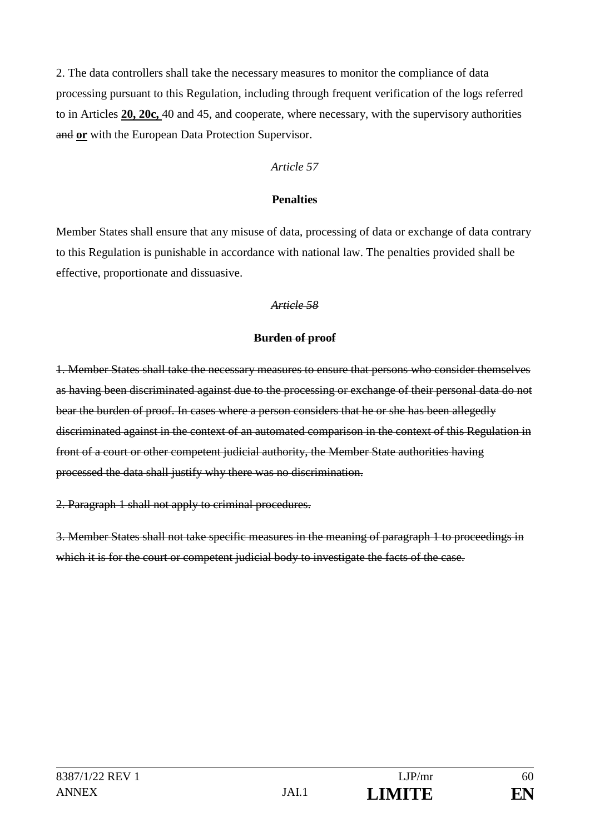2. The data controllers shall take the necessary measures to monitor the compliance of data processing pursuant to this Regulation, including through frequent verification of the logs referred to in Articles **20, 20c,** 40 and 45, and cooperate, where necessary, with the supervisory authorities and **or** with the European Data Protection Supervisor.

#### *Article 57*

#### **Penalties**

Member States shall ensure that any misuse of data, processing of data or exchange of data contrary to this Regulation is punishable in accordance with national law. The penalties provided shall be effective, proportionate and dissuasive.

#### *Article 58*

#### **Burden of proof**

1. Member States shall take the necessary measures to ensure that persons who consider themselves as having been discriminated against due to the processing or exchange of their personal data do not bear the burden of proof. In cases where a person considers that he or she has been allegedly discriminated against in the context of an automated comparison in the context of this Regulation in front of a court or other competent judicial authority, the Member State authorities having processed the data shall justify why there was no discrimination.

2. Paragraph 1 shall not apply to criminal procedures.

3. Member States shall not take specific measures in the meaning of paragraph 1 to proceedings in which it is for the court or competent judicial body to investigate the facts of the case.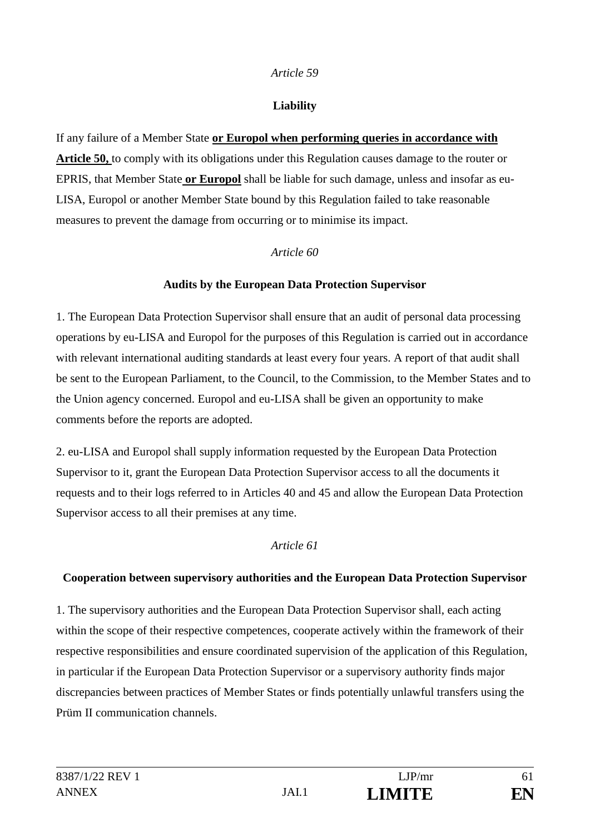### **Liability**

If any failure of a Member State **or Europol when performing queries in accordance with Article 50,** to comply with its obligations under this Regulation causes damage to the router or EPRIS, that Member State **or Europol** shall be liable for such damage, unless and insofar as eu-LISA, Europol or another Member State bound by this Regulation failed to take reasonable measures to prevent the damage from occurring or to minimise its impact.

### *Article 60*

### **Audits by the European Data Protection Supervisor**

1. The European Data Protection Supervisor shall ensure that an audit of personal data processing operations by eu-LISA and Europol for the purposes of this Regulation is carried out in accordance with relevant international auditing standards at least every four years. A report of that audit shall be sent to the European Parliament, to the Council, to the Commission, to the Member States and to the Union agency concerned. Europol and eu-LISA shall be given an opportunity to make comments before the reports are adopted.

2. eu-LISA and Europol shall supply information requested by the European Data Protection Supervisor to it, grant the European Data Protection Supervisor access to all the documents it requests and to their logs referred to in Articles 40 and 45 and allow the European Data Protection Supervisor access to all their premises at any time.

## *Article 61*

## **Cooperation between supervisory authorities and the European Data Protection Supervisor**

1. The supervisory authorities and the European Data Protection Supervisor shall, each acting within the scope of their respective competences, cooperate actively within the framework of their respective responsibilities and ensure coordinated supervision of the application of this Regulation, in particular if the European Data Protection Supervisor or a supervisory authority finds major discrepancies between practices of Member States or finds potentially unlawful transfers using the Prüm II communication channels.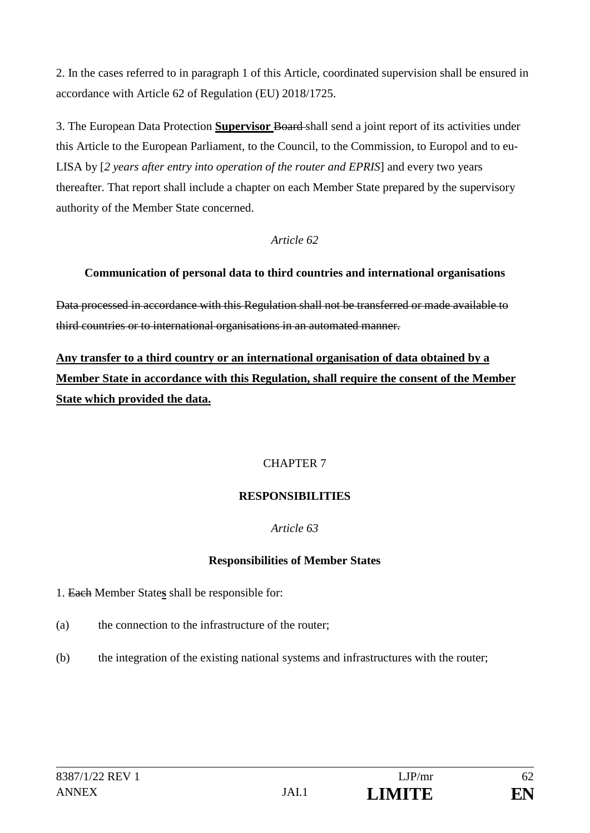2. In the cases referred to in paragraph 1 of this Article, coordinated supervision shall be ensured in accordance with Article 62 of Regulation (EU) 2018/1725.

3. The European Data Protection **Supervisor** Board shall send a joint report of its activities under this Article to the European Parliament, to the Council, to the Commission, to Europol and to eu-LISA by [*2 years after entry into operation of the router and EPRIS*] and every two years thereafter. That report shall include a chapter on each Member State prepared by the supervisory authority of the Member State concerned.

### *Article 62*

## **Communication of personal data to third countries and international organisations**

Data processed in accordance with this Regulation shall not be transferred or made available to third countries or to international organisations in an automated manner.

**Any transfer to a third country or an international organisation of data obtained by a Member State in accordance with this Regulation, shall require the consent of the Member State which provided the data.**

## CHAPTER 7

## **RESPONSIBILITIES**

## *Article 63*

## **Responsibilities of Member States**

1. Each Member State**s** shall be responsible for:

- (a) the connection to the infrastructure of the router;
- (b) the integration of the existing national systems and infrastructures with the router;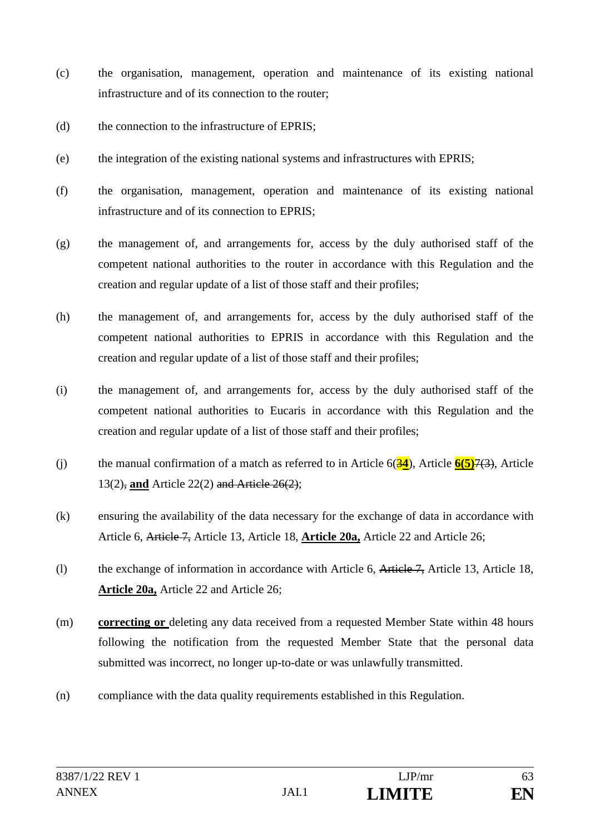- (c) the organisation, management, operation and maintenance of its existing national infrastructure and of its connection to the router;
- (d) the connection to the infrastructure of EPRIS;
- (e) the integration of the existing national systems and infrastructures with EPRIS;
- (f) the organisation, management, operation and maintenance of its existing national infrastructure and of its connection to EPRIS;
- (g) the management of, and arrangements for, access by the duly authorised staff of the competent national authorities to the router in accordance with this Regulation and the creation and regular update of a list of those staff and their profiles;
- (h) the management of, and arrangements for, access by the duly authorised staff of the competent national authorities to EPRIS in accordance with this Regulation and the creation and regular update of a list of those staff and their profiles;
- (i) the management of, and arrangements for, access by the duly authorised staff of the competent national authorities to Eucaris in accordance with this Regulation and the creation and regular update of a list of those staff and their profiles;
- (j) the manual confirmation of a match as referred to in Article 6(3**4**), Article **6(5)**7(3), Article 13(2), **and** Article 22(2) and Article 26(2);
- (k) ensuring the availability of the data necessary for the exchange of data in accordance with Article 6, Article 7, Article 13, Article 18, **Article 20a,** Article 22 and Article 26;
- (l) the exchange of information in accordance with Article 6, Article 7, Article 13, Article 18, **Article 20a,** Article 22 and Article 26;
- (m) **correcting or** deleting any data received from a requested Member State within 48 hours following the notification from the requested Member State that the personal data submitted was incorrect, no longer up-to-date or was unlawfully transmitted.
- (n) compliance with the data quality requirements established in this Regulation.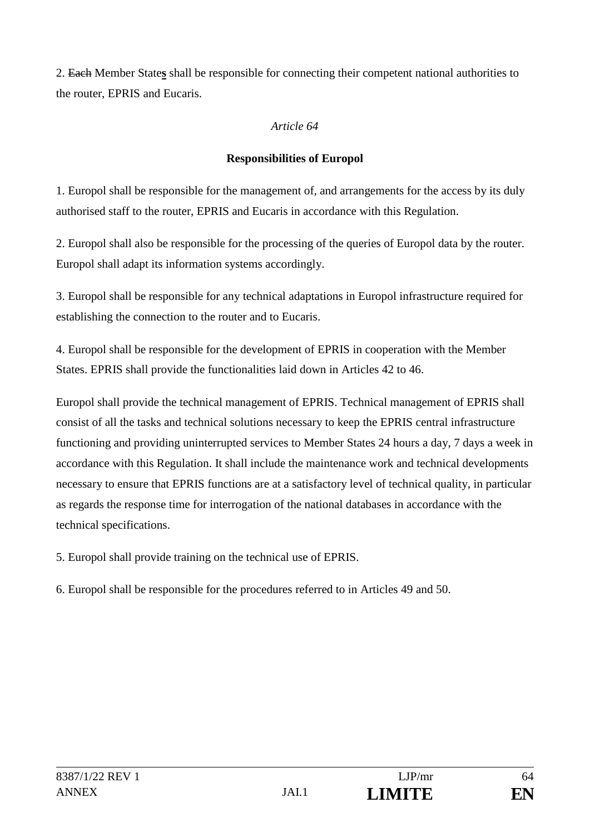2. Each Member State**s** shall be responsible for connecting their competent national authorities to the router, EPRIS and Eucaris.

### *Article 64*

# **Responsibilities of Europol**

1. Europol shall be responsible for the management of, and arrangements for the access by its duly authorised staff to the router, EPRIS and Eucaris in accordance with this Regulation.

2. Europol shall also be responsible for the processing of the queries of Europol data by the router. Europol shall adapt its information systems accordingly.

3. Europol shall be responsible for any technical adaptations in Europol infrastructure required for establishing the connection to the router and to Eucaris.

4. Europol shall be responsible for the development of EPRIS in cooperation with the Member States. EPRIS shall provide the functionalities laid down in Articles 42 to 46.

Europol shall provide the technical management of EPRIS. Technical management of EPRIS shall consist of all the tasks and technical solutions necessary to keep the EPRIS central infrastructure functioning and providing uninterrupted services to Member States 24 hours a day, 7 days a week in accordance with this Regulation. It shall include the maintenance work and technical developments necessary to ensure that EPRIS functions are at a satisfactory level of technical quality, in particular as regards the response time for interrogation of the national databases in accordance with the technical specifications.

5. Europol shall provide training on the technical use of EPRIS.

6. Europol shall be responsible for the procedures referred to in Articles 49 and 50.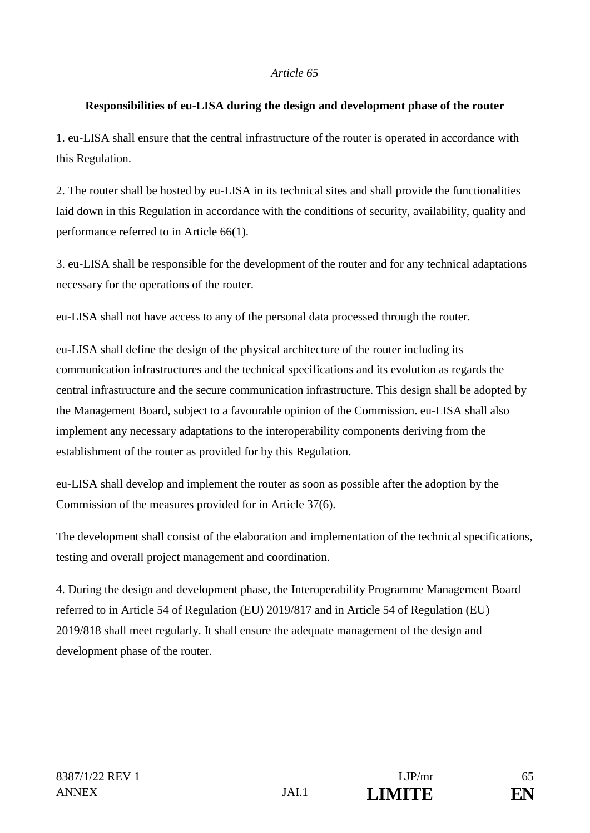#### **Responsibilities of eu-LISA during the design and development phase of the router**

1. eu-LISA shall ensure that the central infrastructure of the router is operated in accordance with this Regulation.

2. The router shall be hosted by eu-LISA in its technical sites and shall provide the functionalities laid down in this Regulation in accordance with the conditions of security, availability, quality and performance referred to in Article 66(1).

3. eu-LISA shall be responsible for the development of the router and for any technical adaptations necessary for the operations of the router.

eu-LISA shall not have access to any of the personal data processed through the router.

eu-LISA shall define the design of the physical architecture of the router including its communication infrastructures and the technical specifications and its evolution as regards the central infrastructure and the secure communication infrastructure. This design shall be adopted by the Management Board, subject to a favourable opinion of the Commission. eu-LISA shall also implement any necessary adaptations to the interoperability components deriving from the establishment of the router as provided for by this Regulation.

eu-LISA shall develop and implement the router as soon as possible after the adoption by the Commission of the measures provided for in Article 37(6).

The development shall consist of the elaboration and implementation of the technical specifications, testing and overall project management and coordination.

4. During the design and development phase, the Interoperability Programme Management Board referred to in Article 54 of Regulation (EU) 2019/817 and in Article 54 of Regulation (EU) 2019/818 shall meet regularly. It shall ensure the adequate management of the design and development phase of the router.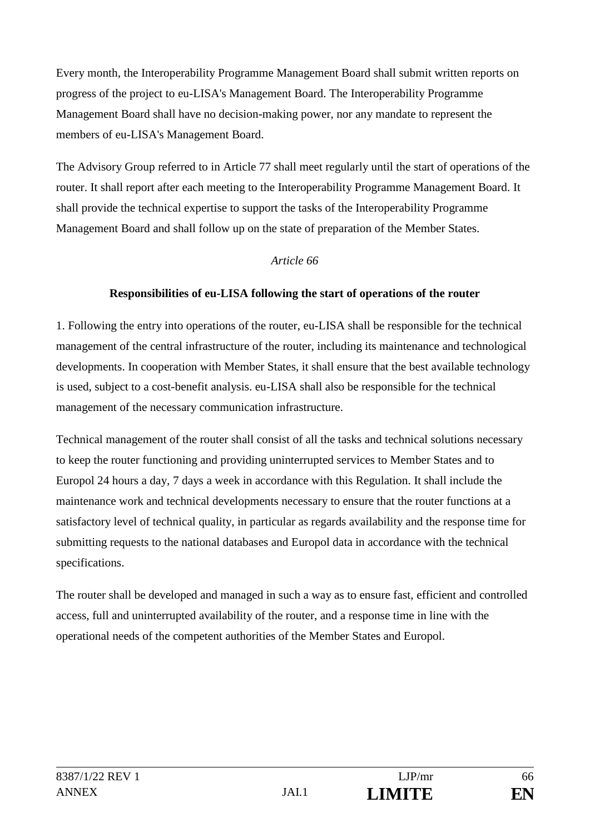Every month, the Interoperability Programme Management Board shall submit written reports on progress of the project to eu-LISA's Management Board. The Interoperability Programme Management Board shall have no decision-making power, nor any mandate to represent the members of eu-LISA's Management Board.

The Advisory Group referred to in Article 77 shall meet regularly until the start of operations of the router. It shall report after each meeting to the Interoperability Programme Management Board. It shall provide the technical expertise to support the tasks of the Interoperability Programme Management Board and shall follow up on the state of preparation of the Member States.

#### *Article 66*

### **Responsibilities of eu-LISA following the start of operations of the router**

1. Following the entry into operations of the router, eu-LISA shall be responsible for the technical management of the central infrastructure of the router, including its maintenance and technological developments. In cooperation with Member States, it shall ensure that the best available technology is used, subject to a cost-benefit analysis. eu-LISA shall also be responsible for the technical management of the necessary communication infrastructure.

Technical management of the router shall consist of all the tasks and technical solutions necessary to keep the router functioning and providing uninterrupted services to Member States and to Europol 24 hours a day, 7 days a week in accordance with this Regulation. It shall include the maintenance work and technical developments necessary to ensure that the router functions at a satisfactory level of technical quality, in particular as regards availability and the response time for submitting requests to the national databases and Europol data in accordance with the technical specifications.

The router shall be developed and managed in such a way as to ensure fast, efficient and controlled access, full and uninterrupted availability of the router, and a response time in line with the operational needs of the competent authorities of the Member States and Europol.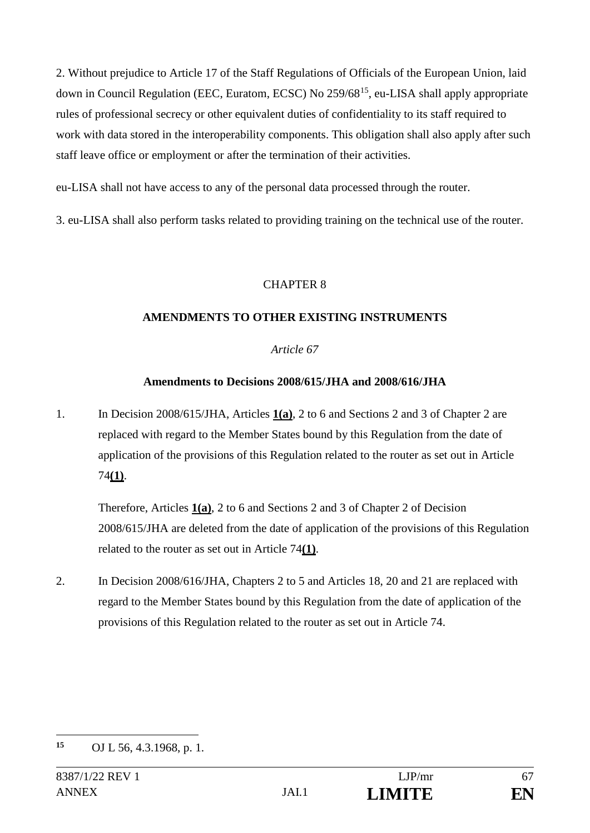2. Without prejudice to Article 17 of the Staff Regulations of Officials of the European Union, laid down in Council Regulation (EEC, Euratom, ECSC) No 259/6815, eu-LISA shall apply appropriate rules of professional secrecy or other equivalent duties of confidentiality to its staff required to work with data stored in the interoperability components. This obligation shall also apply after such staff leave office or employment or after the termination of their activities.

eu-LISA shall not have access to any of the personal data processed through the router.

3. eu-LISA shall also perform tasks related to providing training on the technical use of the router.

### CHAPTER 8

### **AMENDMENTS TO OTHER EXISTING INSTRUMENTS**

### *Article 67*

### **Amendments to Decisions 2008/615/JHA and 2008/616/JHA**

1. In Decision 2008/615/JHA, Articles **1(a)**, 2 to 6 and Sections 2 and 3 of Chapter 2 are replaced with regard to the Member States bound by this Regulation from the date of application of the provisions of this Regulation related to the router as set out in Article 74**(1)**.

Therefore, Articles **1(a)**, 2 to 6 and Sections 2 and 3 of Chapter 2 of Decision 2008/615/JHA are deleted from the date of application of the provisions of this Regulation related to the router as set out in Article 74**(1)**.

2. In Decision 2008/616/JHA, Chapters 2 to 5 and Articles 18, 20 and 21 are replaced with regard to the Member States bound by this Regulation from the date of application of the provisions of this Regulation related to the router as set out in Article 74.



<sup>&</sup>lt;u>.</u> **15** OJ L 56, 4.3.1968, p. 1.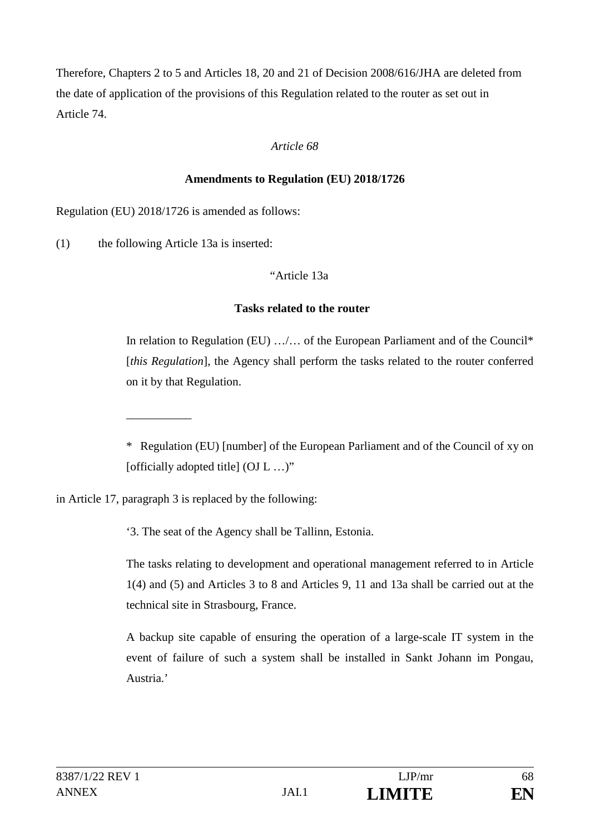Therefore, Chapters 2 to 5 and Articles 18, 20 and 21 of Decision 2008/616/JHA are deleted from the date of application of the provisions of this Regulation related to the router as set out in Article 74.

### *Article 68*

### **Amendments to Regulation (EU) 2018/1726**

Regulation (EU) 2018/1726 is amended as follows:

(1) the following Article 13a is inserted:

\_\_\_\_\_\_\_\_\_\_\_

### "Article 13a

### **Tasks related to the router**

In relation to Regulation (EU) …/… of the European Parliament and of the Council\* [*this Regulation*], the Agency shall perform the tasks related to the router conferred on it by that Regulation.

\* Regulation (EU) [number] of the European Parliament and of the Council of xy on [officially adopted title] (OJ L ...)"

in Article 17, paragraph 3 is replaced by the following:

'3. The seat of the Agency shall be Tallinn, Estonia.

The tasks relating to development and operational management referred to in Article 1(4) and (5) and Articles 3 to 8 and Articles 9, 11 and 13a shall be carried out at the technical site in Strasbourg, France.

A backup site capable of ensuring the operation of a large-scale IT system in the event of failure of such a system shall be installed in Sankt Johann im Pongau, Austria.'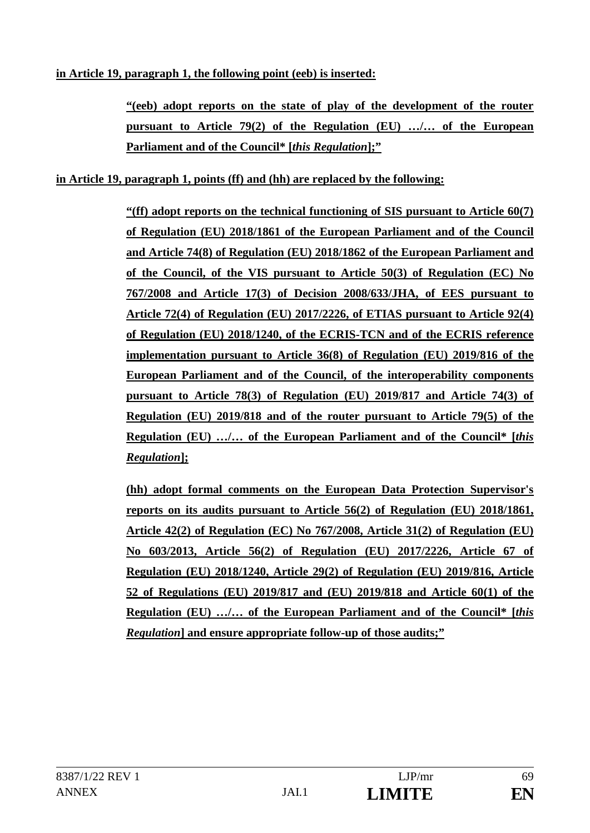### **in Article 19, paragraph 1, the following point (eeb) is inserted:**

**"(eeb) adopt reports on the state of play of the development of the router pursuant to Article 79(2) of the Regulation (EU) …/… of the European Parliament and of the Council\* [***this Regulation***];"**

### **in Article 19, paragraph 1, points (ff) and (hh) are replaced by the following:**

**"(ff) adopt reports on the technical functioning of SIS pursuant to Article 60(7) of Regulation (EU) 2018/1861 of the European Parliament and of the Council and Article 74(8) of Regulation (EU) 2018/1862 of the European Parliament and of the Council, of the VIS pursuant to Article 50(3) of Regulation (EC) No 767/2008 and Article 17(3) of Decision 2008/633/JHA, of EES pursuant to Article 72(4) of Regulation (EU) 2017/2226, of ETIAS pursuant to Article 92(4) of Regulation (EU) 2018/1240, of the ECRIS-TCN and of the ECRIS reference implementation pursuant to Article 36(8) of Regulation (EU) 2019/816 of the European Parliament and of the Council, of the interoperability components pursuant to Article 78(3) of Regulation (EU) 2019/817 and Article 74(3) of Regulation (EU) 2019/818 and of the router pursuant to Article 79(5) of the Regulation (EU) …/… of the European Parliament and of the Council\* [***this Regulation***];** 

**(hh) adopt formal comments on the European Data Protection Supervisor's reports on its audits pursuant to Article 56(2) of Regulation (EU) 2018/1861, Article 42(2) of Regulation (EC) No 767/2008, Article 31(2) of Regulation (EU) No 603/2013, Article 56(2) of Regulation (EU) 2017/2226, Article 67 of Regulation (EU) 2018/1240, Article 29(2) of Regulation (EU) 2019/816, Article 52 of Regulations (EU) 2019/817 and (EU) 2019/818 and Article 60(1) of the Regulation (EU) …/… of the European Parliament and of the Council\* [***this Regulation***] and ensure appropriate follow-up of those audits;"**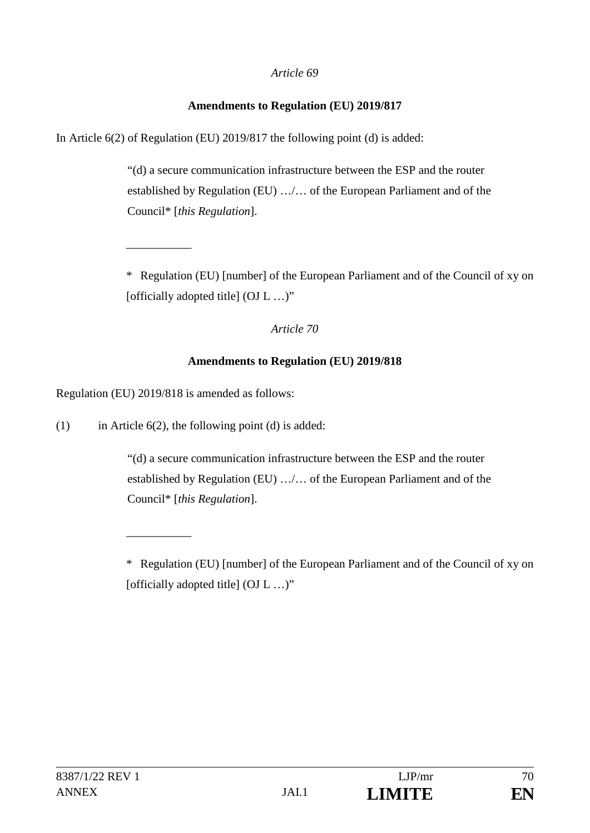#### **Amendments to Regulation (EU) 2019/817**

In Article 6(2) of Regulation (EU) 2019/817 the following point (d) is added:

"(d) a secure communication infrastructure between the ESP and the router established by Regulation (EU) …/… of the European Parliament and of the Council\* [*this Regulation*].

\* Regulation (EU) [number] of the European Parliament and of the Council of xy on [officially adopted title] (OJ L ...)"

#### *Article 70*

#### **Amendments to Regulation (EU) 2019/818**

Regulation (EU) 2019/818 is amended as follows:

\_\_\_\_\_\_\_\_\_\_\_

\_\_\_\_\_\_\_\_\_\_\_

(1) in Article  $6(2)$ , the following point (d) is added:

"(d) a secure communication infrastructure between the ESP and the router established by Regulation (EU) …/… of the European Parliament and of the Council\* [*this Regulation*].



<sup>\*</sup> Regulation (EU) [number] of the European Parliament and of the Council of xy on [officially adopted title] (OJ L ...)"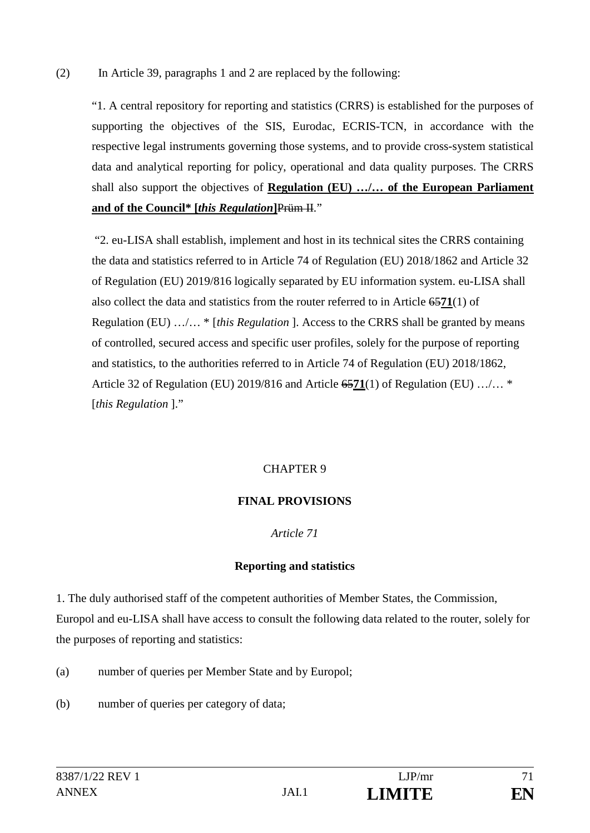### (2) In Article 39, paragraphs 1 and 2 are replaced by the following:

"1. A central repository for reporting and statistics (CRRS) is established for the purposes of supporting the objectives of the SIS, Eurodac, ECRIS-TCN, in accordance with the respective legal instruments governing those systems, and to provide cross-system statistical data and analytical reporting for policy, operational and data quality purposes. The CRRS shall also support the objectives of **Regulation (EU) …/… of the European Parliament and of the Council\* [***this Regulation***]**Prüm II."

"2. eu-LISA shall establish, implement and host in its technical sites the CRRS containing the data and statistics referred to in Article 74 of Regulation (EU) 2018/1862 and Article 32 of Regulation (EU) 2019/816 logically separated by EU information system. eu-LISA shall also collect the data and statistics from the router referred to in Article 65**71**(1) of Regulation (EU) …/… \* [*this Regulation* ]. Access to the CRRS shall be granted by means of controlled, secured access and specific user profiles, solely for the purpose of reporting and statistics, to the authorities referred to in Article 74 of Regulation (EU) 2018/1862, Article 32 of Regulation (EU) 2019/816 and Article 65**71**(1) of Regulation (EU) …/… \* [*this Regulation* ]."

## CHAPTER 9

## **FINAL PROVISIONS**

#### *Article 71*

#### **Reporting and statistics**

1. The duly authorised staff of the competent authorities of Member States, the Commission, Europol and eu-LISA shall have access to consult the following data related to the router, solely for the purposes of reporting and statistics:

- (a) number of queries per Member State and by Europol;
- (b) number of queries per category of data;

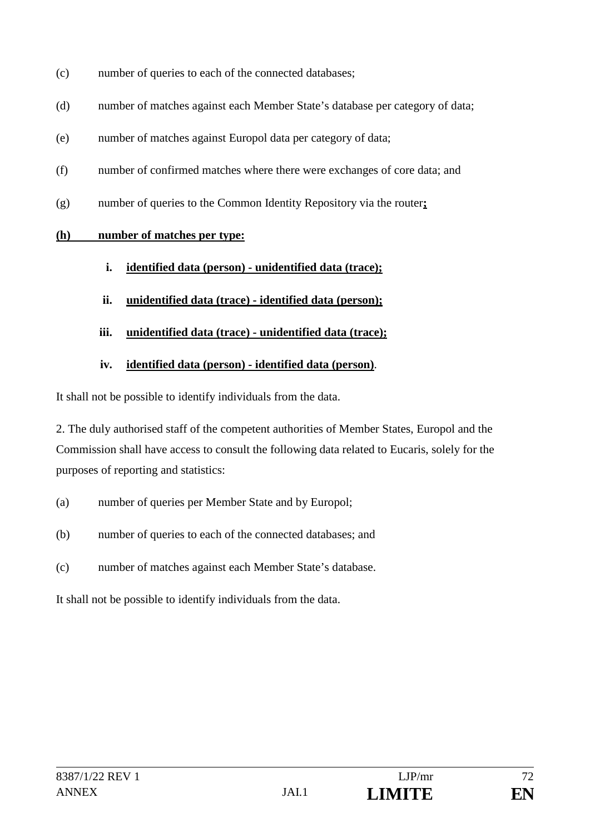- (c) number of queries to each of the connected databases;
- (d) number of matches against each Member State's database per category of data;
- (e) number of matches against Europol data per category of data;
- (f) number of confirmed matches where there were exchanges of core data; and
- (g) number of queries to the Common Identity Repository via the router**;**

## **(h) number of matches per type:**

- **i. identified data (person) unidentified data (trace);**
- **ii. unidentified data (trace) identified data (person);**
- **iii. unidentified data (trace) unidentified data (trace);**

# **iv. identified data (person) - identified data (person)**.

It shall not be possible to identify individuals from the data.

2. The duly authorised staff of the competent authorities of Member States, Europol and the Commission shall have access to consult the following data related to Eucaris, solely for the purposes of reporting and statistics:

- (a) number of queries per Member State and by Europol;
- (b) number of queries to each of the connected databases; and
- (c) number of matches against each Member State's database.

It shall not be possible to identify individuals from the data.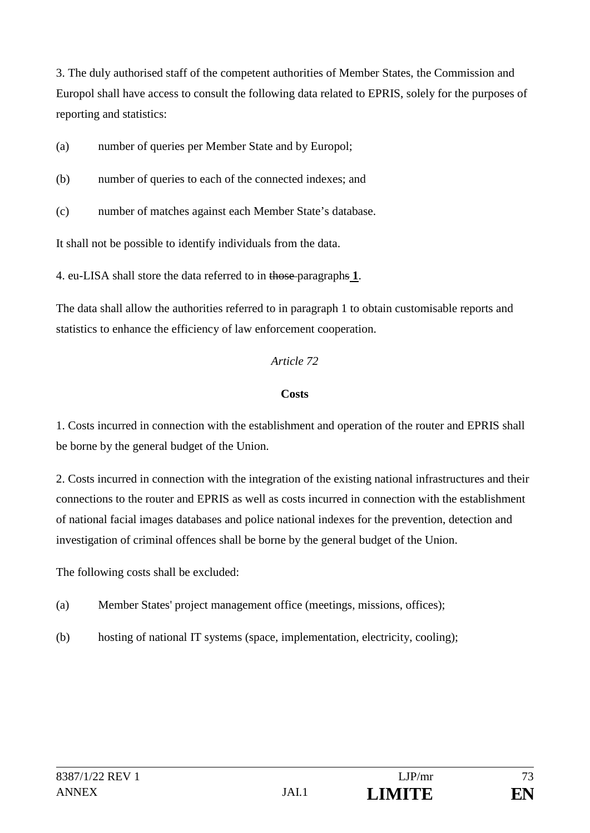3. The duly authorised staff of the competent authorities of Member States, the Commission and Europol shall have access to consult the following data related to EPRIS, solely for the purposes of reporting and statistics:

(a) number of queries per Member State and by Europol;

- (b) number of queries to each of the connected indexes; and
- (c) number of matches against each Member State's database.

It shall not be possible to identify individuals from the data.

4. eu-LISA shall store the data referred to in those paragraphs **1**.

The data shall allow the authorities referred to in paragraph 1 to obtain customisable reports and statistics to enhance the efficiency of law enforcement cooperation.

#### *Article 72*

#### **Costs**

1. Costs incurred in connection with the establishment and operation of the router and EPRIS shall be borne by the general budget of the Union.

2. Costs incurred in connection with the integration of the existing national infrastructures and their connections to the router and EPRIS as well as costs incurred in connection with the establishment of national facial images databases and police national indexes for the prevention, detection and investigation of criminal offences shall be borne by the general budget of the Union.

The following costs shall be excluded:

- (a) Member States' project management office (meetings, missions, offices);
- (b) hosting of national IT systems (space, implementation, electricity, cooling);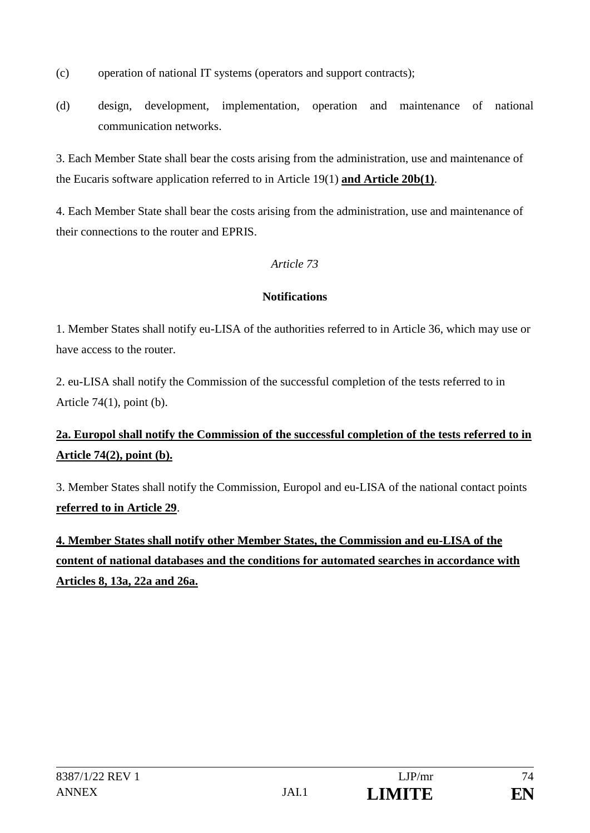- (c) operation of national IT systems (operators and support contracts);
- (d) design, development, implementation, operation and maintenance of national communication networks.

3. Each Member State shall bear the costs arising from the administration, use and maintenance of the Eucaris software application referred to in Article 19(1) **and Article 20b(1)**.

4. Each Member State shall bear the costs arising from the administration, use and maintenance of their connections to the router and EPRIS.

### *Article 73*

#### **Notifications**

1. Member States shall notify eu-LISA of the authorities referred to in Article 36, which may use or have access to the router.

2. eu-LISA shall notify the Commission of the successful completion of the tests referred to in Article  $74(1)$ , point (b).

# **2a. Europol shall notify the Commission of the successful completion of the tests referred to in Article 74(2), point (b).**

3. Member States shall notify the Commission, Europol and eu-LISA of the national contact points **referred to in Article 29**.

**4. Member States shall notify other Member States, the Commission and eu-LISA of the content of national databases and the conditions for automated searches in accordance with Articles 8, 13a, 22a and 26a.**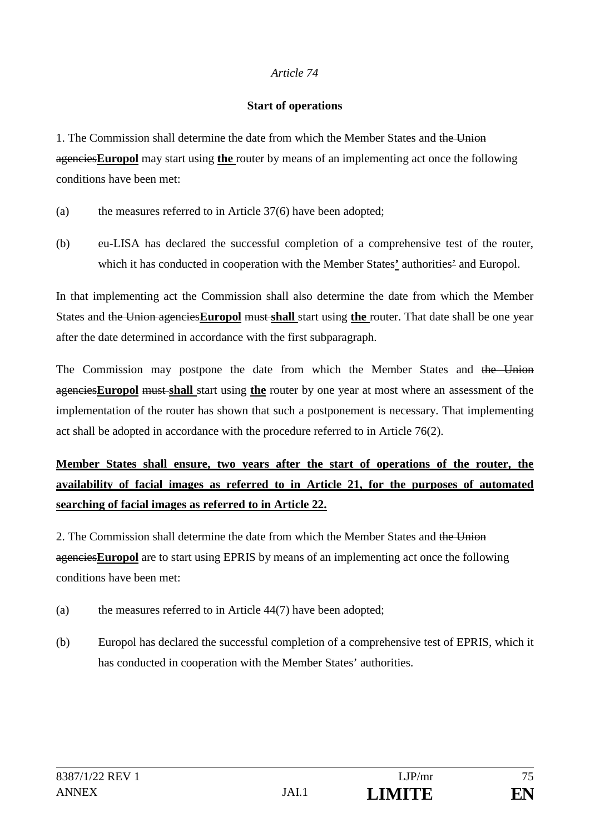#### *Article 74*

#### **Start of operations**

1. The Commission shall determine the date from which the Member States and the Union agencies**Europol** may start using **the** router by means of an implementing act once the following conditions have been met:

- (a) the measures referred to in Article 37(6) have been adopted;
- (b) eu-LISA has declared the successful completion of a comprehensive test of the router, which it has conducted in cooperation with the Member States**'** authorities' and Europol.

In that implementing act the Commission shall also determine the date from which the Member States and the Union agencies**Europol** must **shall** start using **the** router. That date shall be one year after the date determined in accordance with the first subparagraph.

The Commission may postpone the date from which the Member States and the Union agencies**Europol** must **shall** start using **the** router by one year at most where an assessment of the implementation of the router has shown that such a postponement is necessary. That implementing act shall be adopted in accordance with the procedure referred to in Article 76(2).

**Member States shall ensure, two years after the start of operations of the router, the availability of facial images as referred to in Article 21, for the purposes of automated searching of facial images as referred to in Article 22.**

2. The Commission shall determine the date from which the Member States and the Union agencies**Europol** are to start using EPRIS by means of an implementing act once the following conditions have been met:

- (a) the measures referred to in Article 44(7) have been adopted;
- (b) Europol has declared the successful completion of a comprehensive test of EPRIS, which it has conducted in cooperation with the Member States' authorities.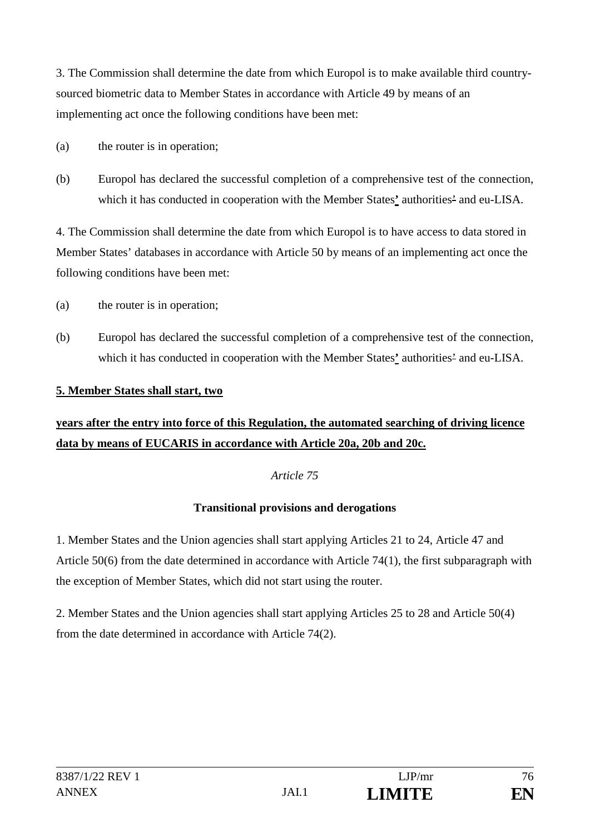3. The Commission shall determine the date from which Europol is to make available third countrysourced biometric data to Member States in accordance with Article 49 by means of an implementing act once the following conditions have been met:

- (a) the router is in operation;
- (b) Europol has declared the successful completion of a comprehensive test of the connection, which it has conducted in cooperation with the Member States**'** authorities' and eu-LISA.

4. The Commission shall determine the date from which Europol is to have access to data stored in Member States' databases in accordance with Article 50 by means of an implementing act once the following conditions have been met:

- (a) the router is in operation;
- (b) Europol has declared the successful completion of a comprehensive test of the connection, which it has conducted in cooperation with the Member States**'** authorities' and eu-LISA.

#### **5. Member States shall start, two**

# **years after the entry into force of this Regulation, the automated searching of driving licence data by means of EUCARIS in accordance with Article 20a, 20b and 20c.**

#### *Article 75*

#### **Transitional provisions and derogations**

1. Member States and the Union agencies shall start applying Articles 21 to 24, Article 47 and Article 50(6) from the date determined in accordance with Article 74(1), the first subparagraph with the exception of Member States, which did not start using the router.

2. Member States and the Union agencies shall start applying Articles 25 to 28 and Article 50(4) from the date determined in accordance with Article 74(2).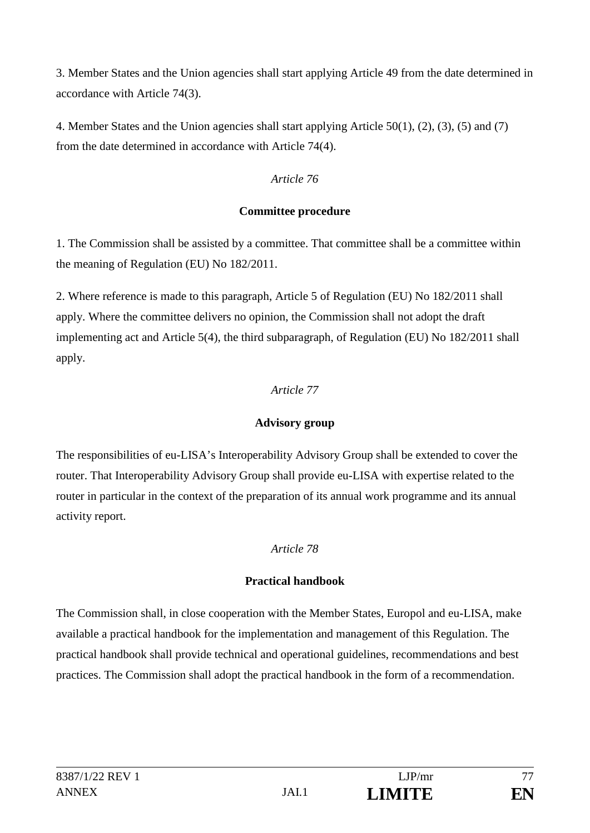3. Member States and the Union agencies shall start applying Article 49 from the date determined in accordance with Article 74(3).

4. Member States and the Union agencies shall start applying Article 50(1), (2), (3), (5) and (7) from the date determined in accordance with Article 74(4).

#### *Article 76*

#### **Committee procedure**

1. The Commission shall be assisted by a committee. That committee shall be a committee within the meaning of Regulation (EU) No 182/2011.

2. Where reference is made to this paragraph, Article 5 of Regulation (EU) No 182/2011 shall apply. Where the committee delivers no opinion, the Commission shall not adopt the draft implementing act and Article 5(4), the third subparagraph, of Regulation (EU) No 182/2011 shall apply.

### *Article 77*

## **Advisory group**

The responsibilities of eu-LISA's Interoperability Advisory Group shall be extended to cover the router. That Interoperability Advisory Group shall provide eu-LISA with expertise related to the router in particular in the context of the preparation of its annual work programme and its annual activity report.

## *Article 78*

## **Practical handbook**

The Commission shall, in close cooperation with the Member States, Europol and eu-LISA, make available a practical handbook for the implementation and management of this Regulation. The practical handbook shall provide technical and operational guidelines, recommendations and best practices. The Commission shall adopt the practical handbook in the form of a recommendation.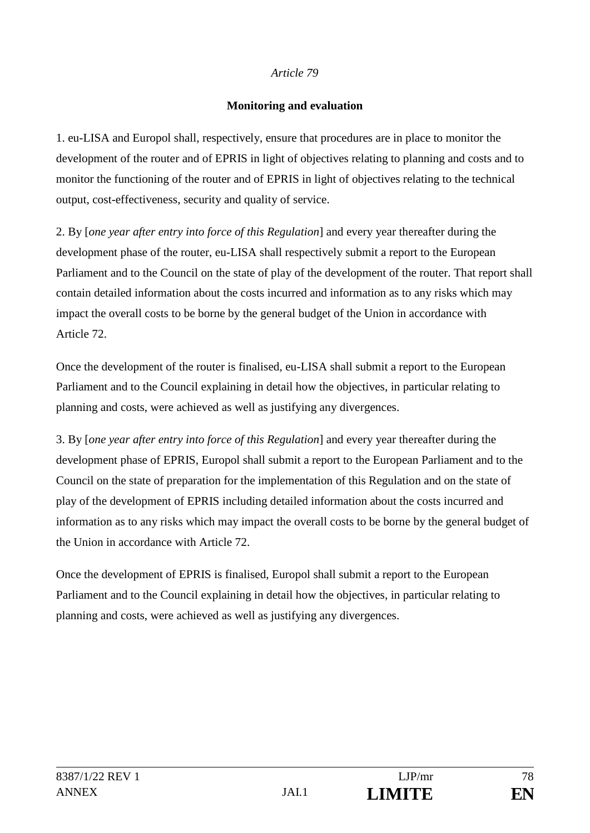#### *Article 79*

#### **Monitoring and evaluation**

1. eu-LISA and Europol shall, respectively, ensure that procedures are in place to monitor the development of the router and of EPRIS in light of objectives relating to planning and costs and to monitor the functioning of the router and of EPRIS in light of objectives relating to the technical output, cost-effectiveness, security and quality of service.

2. By [*one year after entry into force of this Regulation*] and every year thereafter during the development phase of the router, eu-LISA shall respectively submit a report to the European Parliament and to the Council on the state of play of the development of the router. That report shall contain detailed information about the costs incurred and information as to any risks which may impact the overall costs to be borne by the general budget of the Union in accordance with Article 72.

Once the development of the router is finalised, eu-LISA shall submit a report to the European Parliament and to the Council explaining in detail how the objectives, in particular relating to planning and costs, were achieved as well as justifying any divergences.

3. By [*one year after entry into force of this Regulation*] and every year thereafter during the development phase of EPRIS, Europol shall submit a report to the European Parliament and to the Council on the state of preparation for the implementation of this Regulation and on the state of play of the development of EPRIS including detailed information about the costs incurred and information as to any risks which may impact the overall costs to be borne by the general budget of the Union in accordance with Article 72.

Once the development of EPRIS is finalised, Europol shall submit a report to the European Parliament and to the Council explaining in detail how the objectives, in particular relating to planning and costs, were achieved as well as justifying any divergences.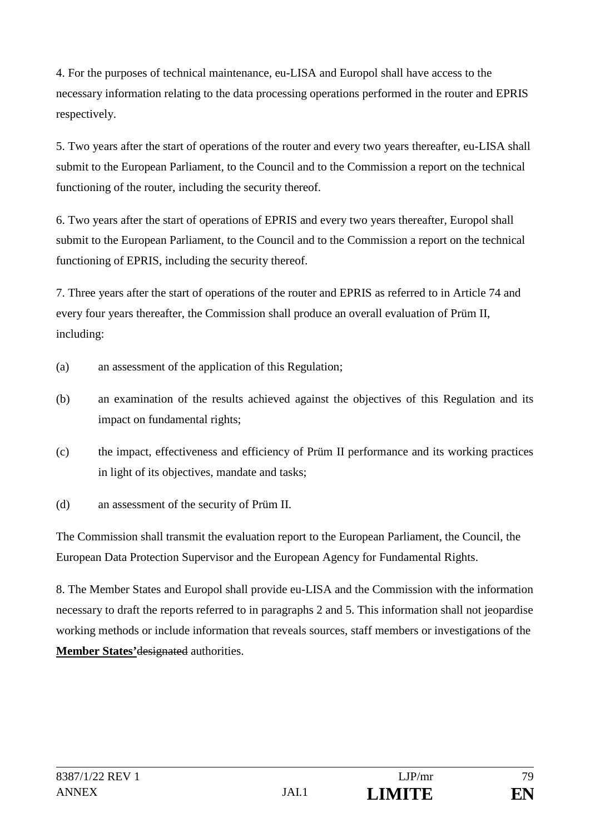4. For the purposes of technical maintenance, eu-LISA and Europol shall have access to the necessary information relating to the data processing operations performed in the router and EPRIS respectively.

5. Two years after the start of operations of the router and every two years thereafter, eu-LISA shall submit to the European Parliament, to the Council and to the Commission a report on the technical functioning of the router, including the security thereof.

6. Two years after the start of operations of EPRIS and every two years thereafter, Europol shall submit to the European Parliament, to the Council and to the Commission a report on the technical functioning of EPRIS, including the security thereof.

7. Three years after the start of operations of the router and EPRIS as referred to in Article 74 and every four years thereafter, the Commission shall produce an overall evaluation of Prüm II, including:

- (a) an assessment of the application of this Regulation;
- (b) an examination of the results achieved against the objectives of this Regulation and its impact on fundamental rights;
- (c) the impact, effectiveness and efficiency of Prüm II performance and its working practices in light of its objectives, mandate and tasks;
- (d) an assessment of the security of Prüm II.

The Commission shall transmit the evaluation report to the European Parliament, the Council, the European Data Protection Supervisor and the European Agency for Fundamental Rights.

8. The Member States and Europol shall provide eu-LISA and the Commission with the information necessary to draft the reports referred to in paragraphs 2 and 5. This information shall not jeopardise working methods or include information that reveals sources, staff members or investigations of the **Member States'**designated authorities.